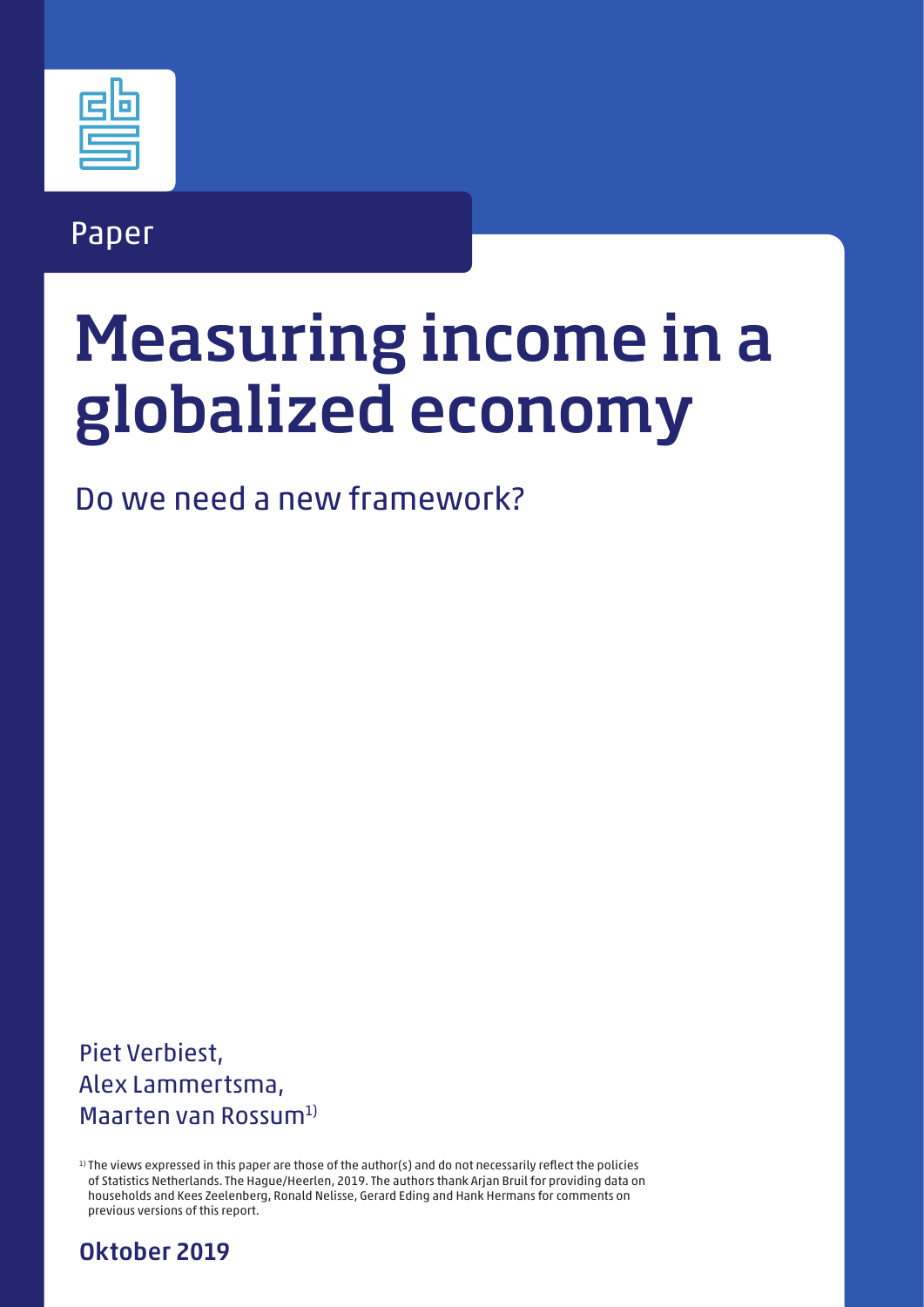# Paper

# Measuring income in a globalized economy

Do we need a new framework?

Piet Verbiest, Alex Lammertsma, Maarten van Rossum1)

1) The views expressed in this paper are those of the author(s) and do not necessarily reflect the policies of Statistics Netherlands. The Hague/Heerlen, 2019. The authors thank Arjan Bruil for providing data on households and Kees Zeelenberg, Ronald Nelisse, Gerard Eding and Hank Hermans for comments on previous versions of this report.

Oktober 2019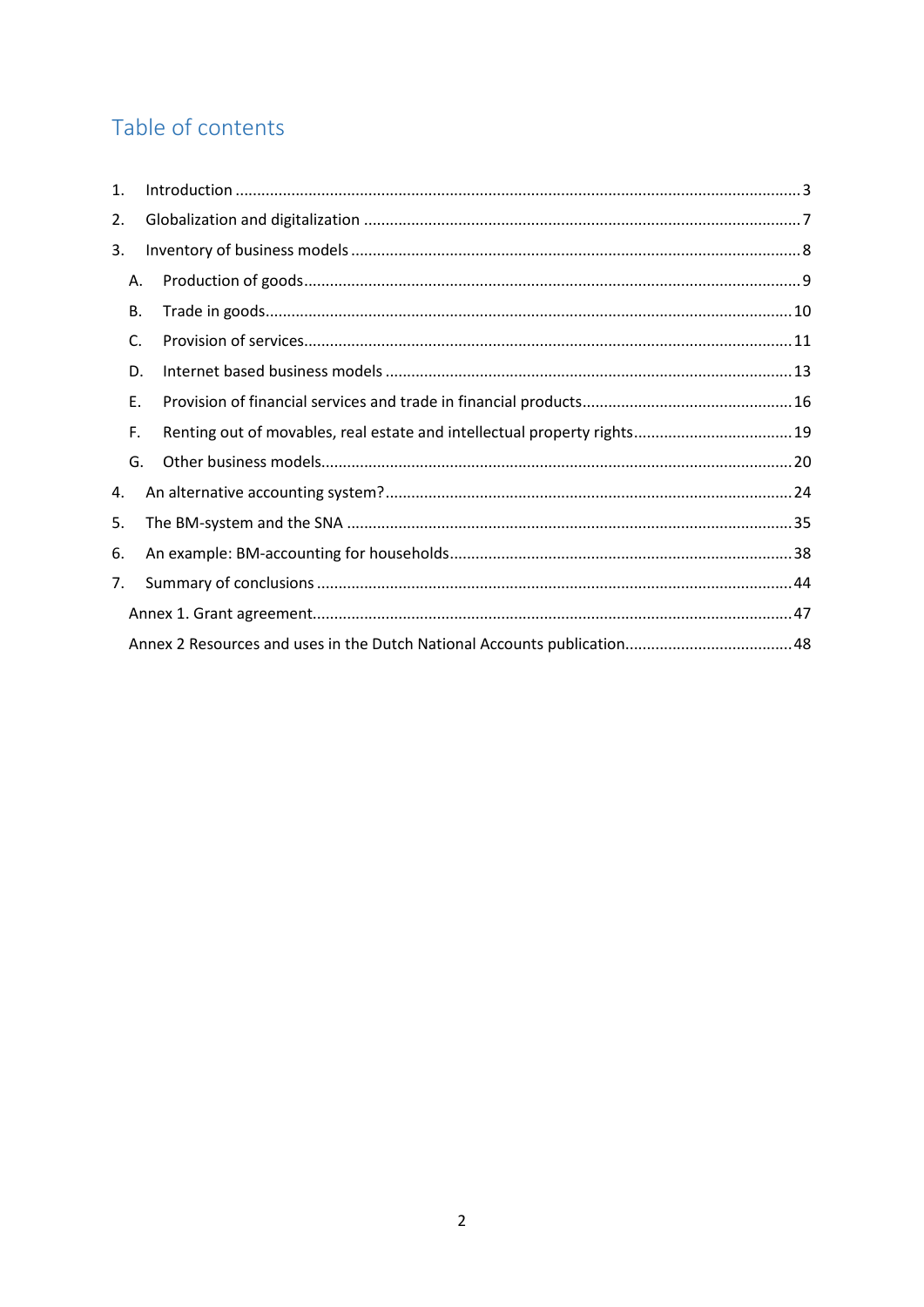# Table of contents

| 1. |           |                                                                         |  |
|----|-----------|-------------------------------------------------------------------------|--|
| 2. |           |                                                                         |  |
| 3. |           |                                                                         |  |
|    | А.        |                                                                         |  |
|    | <b>B.</b> |                                                                         |  |
|    | C.        |                                                                         |  |
|    | D.        |                                                                         |  |
|    | Ε.        |                                                                         |  |
|    | F.        | Renting out of movables, real estate and intellectual property rights19 |  |
|    | G.        |                                                                         |  |
| 4. |           |                                                                         |  |
| 5. |           |                                                                         |  |
| 6. |           |                                                                         |  |
| 7. |           |                                                                         |  |
|    |           |                                                                         |  |
|    |           |                                                                         |  |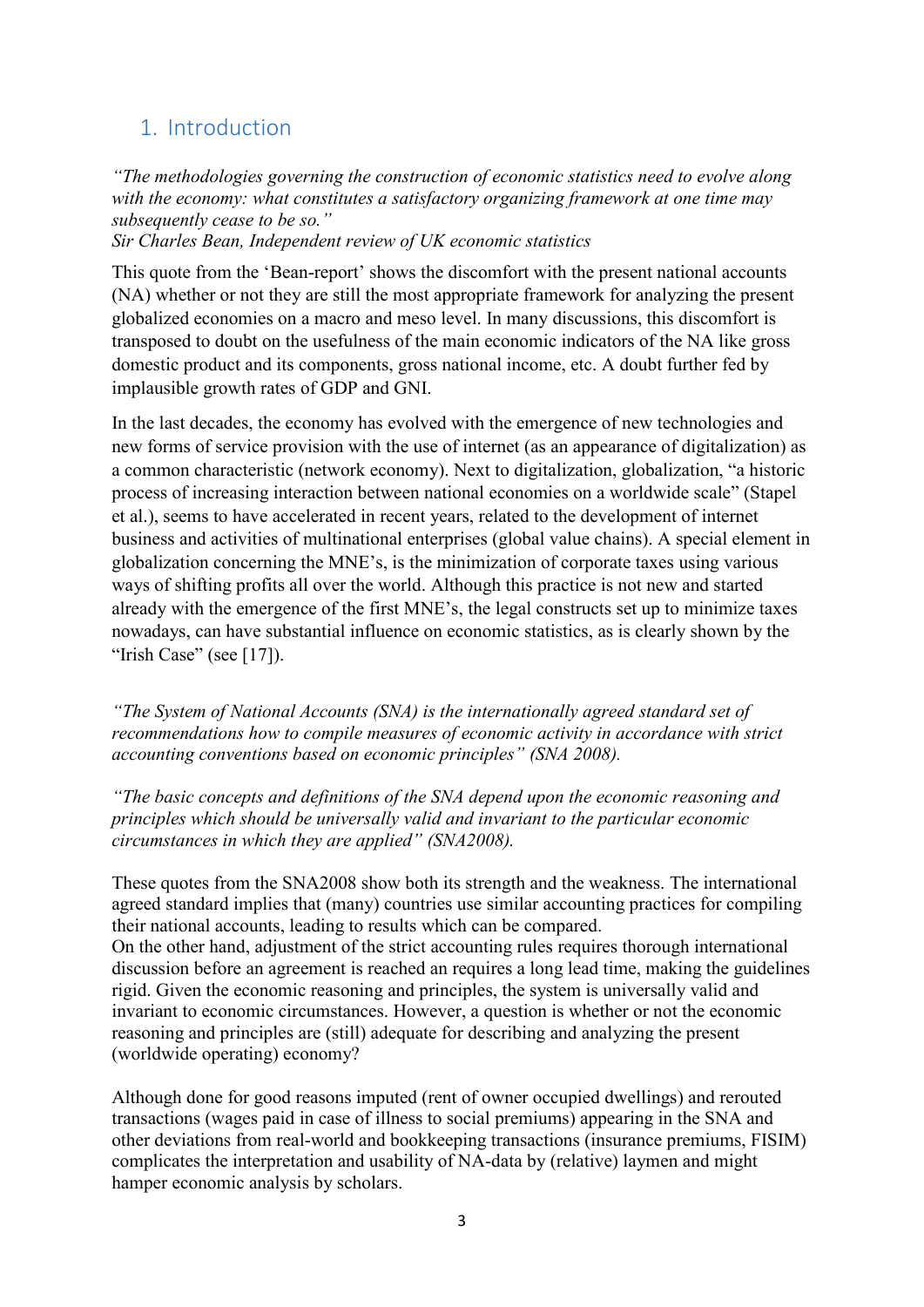# <span id="page-2-0"></span>1. Introduction

*"The methodologies governing the construction of economic statistics need to evolve along with the economy: what constitutes a satisfactory organizing framework at one time may subsequently cease to be so."*

*Sir Charles Bean, Independent review of UK economic statistics* 

This quote from the 'Bean-report' shows the discomfort with the present national accounts (NA) whether or not they are still the most appropriate framework for analyzing the present globalized economies on a macro and meso level. In many discussions, this discomfort is transposed to doubt on the usefulness of the main economic indicators of the NA like gross domestic product and its components, gross national income, etc. A doubt further fed by implausible growth rates of GDP and GNI.

In the last decades, the economy has evolved with the emergence of new technologies and new forms of service provision with the use of internet (as an appearance of digitalization) as a common characteristic (network economy). Next to digitalization, globalization, "a historic process of increasing interaction between national economies on a worldwide scale" (Stapel et al.), seems to have accelerated in recent years, related to the development of internet business and activities of multinational enterprises (global value chains). A special element in globalization concerning the MNE's, is the minimization of corporate taxes using various ways of shifting profits all over the world. Although this practice is not new and started already with the emergence of the first MNE's, the legal constructs set up to minimize taxes nowadays, can have substantial influence on economic statistics, as is clearly shown by the "Irish Case" (see  $[17]$ ).

*"The System of National Accounts (SNA) is the internationally agreed standard set of recommendations how to compile measures of economic activity in accordance with strict accounting conventions based on economic principles" (SNA 2008).* 

*"The basic concepts and definitions of the SNA depend upon the economic reasoning and principles which should be universally valid and invariant to the particular economic circumstances in which they are applied" (SNA2008).* 

These quotes from the SNA2008 show both its strength and the weakness. The international agreed standard implies that (many) countries use similar accounting practices for compiling their national accounts, leading to results which can be compared. On the other hand, adjustment of the strict accounting rules requires thorough international discussion before an agreement is reached an requires a long lead time, making the guidelines rigid. Given the economic reasoning and principles, the system is universally valid and invariant to economic circumstances. However, a question is whether or not the economic reasoning and principles are (still) adequate for describing and analyzing the present (worldwide operating) economy?

Although done for good reasons imputed (rent of owner occupied dwellings) and rerouted transactions (wages paid in case of illness to social premiums) appearing in the SNA and other deviations from real-world and bookkeeping transactions (insurance premiums, FISIM) complicates the interpretation and usability of NA-data by (relative) laymen and might hamper economic analysis by scholars.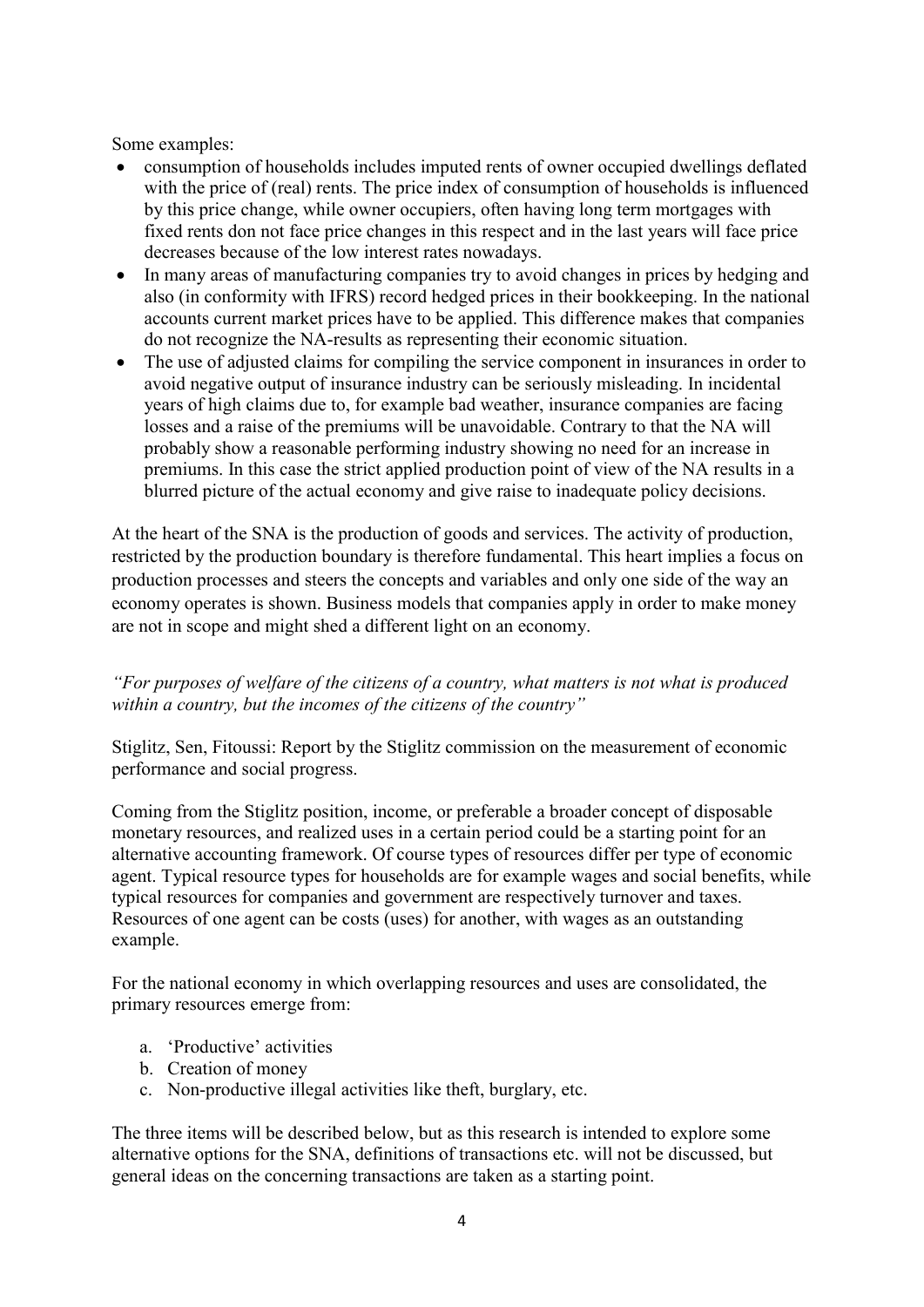Some examples:

- consumption of households includes imputed rents of owner occupied dwellings deflated with the price of (real) rents. The price index of consumption of households is influenced by this price change, while owner occupiers, often having long term mortgages with fixed rents don not face price changes in this respect and in the last years will face price decreases because of the low interest rates nowadays.
- In many areas of manufacturing companies try to avoid changes in prices by hedging and also (in conformity with IFRS) record hedged prices in their bookkeeping. In the national accounts current market prices have to be applied. This difference makes that companies do not recognize the NA-results as representing their economic situation.
- The use of adjusted claims for compiling the service component in insurances in order to avoid negative output of insurance industry can be seriously misleading. In incidental years of high claims due to, for example bad weather, insurance companies are facing losses and a raise of the premiums will be unavoidable. Contrary to that the NA will probably show a reasonable performing industry showing no need for an increase in premiums. In this case the strict applied production point of view of the NA results in a blurred picture of the actual economy and give raise to inadequate policy decisions.

At the heart of the SNA is the production of goods and services. The activity of production, restricted by the production boundary is therefore fundamental. This heart implies a focus on production processes and steers the concepts and variables and only one side of the way an economy operates is shown. Business models that companies apply in order to make money are not in scope and might shed a different light on an economy.

# *"For purposes of welfare of the citizens of a country, what matters is not what is produced within a country, but the incomes of the citizens of the country"*

Stiglitz, Sen, Fitoussi: Report by the Stiglitz commission on the measurement of economic performance and social progress.

Coming from the Stiglitz position, income, or preferable a broader concept of disposable monetary resources, and realized uses in a certain period could be a starting point for an alternative accounting framework. Of course types of resources differ per type of economic agent. Typical resource types for households are for example wages and social benefits, while typical resources for companies and government are respectively turnover and taxes. Resources of one agent can be costs (uses) for another, with wages as an outstanding example.

For the national economy in which overlapping resources and uses are consolidated, the primary resources emerge from:

- a. 'Productive' activities
- b. Creation of money
- c. Non-productive illegal activities like theft, burglary, etc.

The three items will be described below, but as this research is intended to explore some alternative options for the SNA, definitions of transactions etc. will not be discussed, but general ideas on the concerning transactions are taken as a starting point.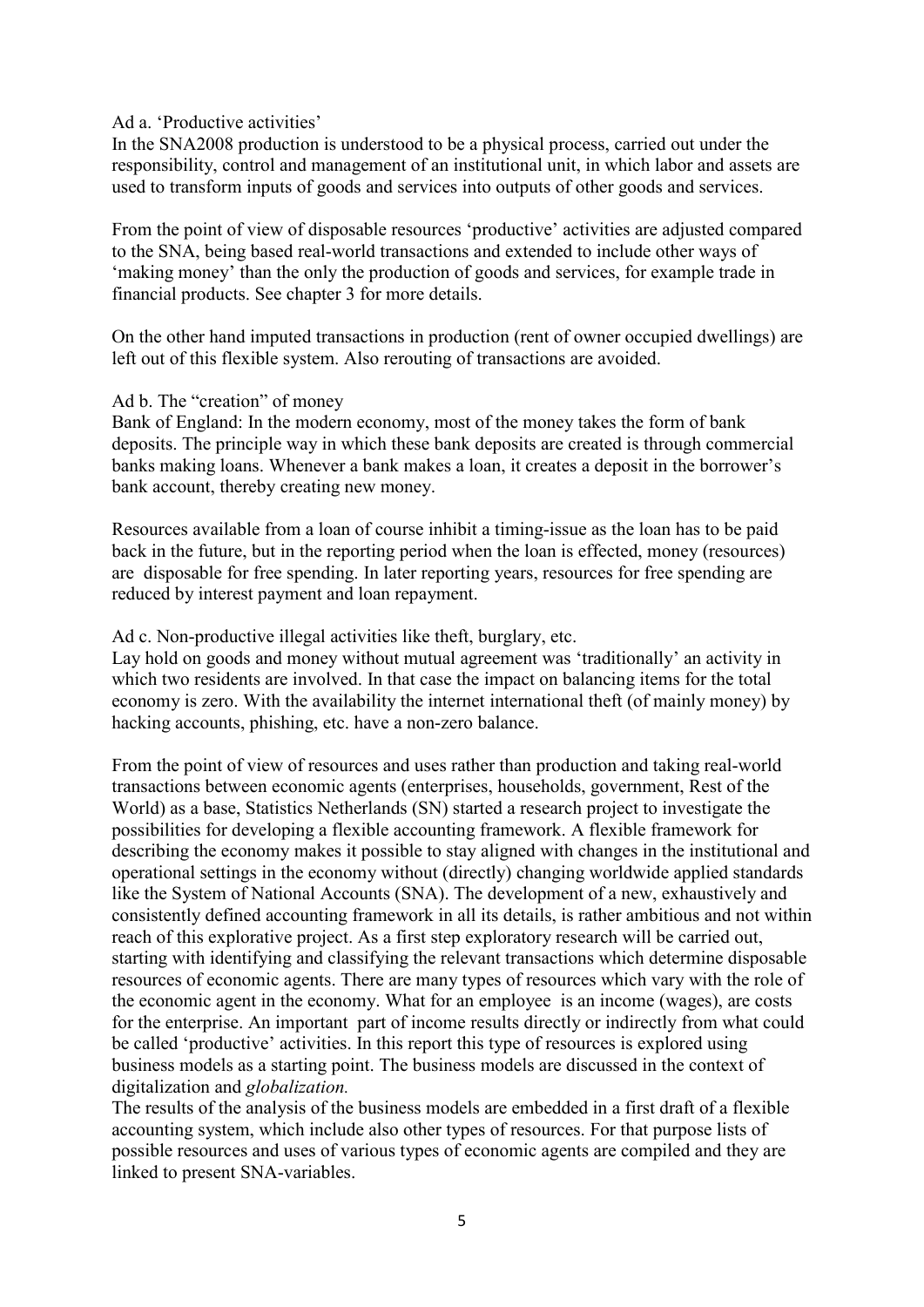#### Ad a. 'Productive activities'

In the SNA2008 production is understood to be a physical process, carried out under the responsibility, control and management of an institutional unit, in which labor and assets are used to transform inputs of goods and services into outputs of other goods and services.

From the point of view of disposable resources 'productive' activities are adjusted compared to the SNA, being based real-world transactions and extended to include other ways of 'making money' than the only the production of goods and services, for example trade in financial products. See chapter 3 for more details.

On the other hand imputed transactions in production (rent of owner occupied dwellings) are left out of this flexible system. Also rerouting of transactions are avoided.

#### Ad b. The "creation" of money

Bank of England: In the modern economy, most of the money takes the form of bank deposits. The principle way in which these bank deposits are created is through commercial banks making loans. Whenever a bank makes a loan, it creates a deposit in the borrower's bank account, thereby creating new money.

Resources available from a loan of course inhibit a timing-issue as the loan has to be paid back in the future, but in the reporting period when the loan is effected, money (resources) are disposable for free spending. In later reporting years, resources for free spending are reduced by interest payment and loan repayment.

#### Ad c. Non-productive illegal activities like theft, burglary, etc.

Lay hold on goods and money without mutual agreement was 'traditionally' an activity in which two residents are involved. In that case the impact on balancing items for the total economy is zero. With the availability the internet international theft (of mainly money) by hacking accounts, phishing, etc. have a non-zero balance.

From the point of view of resources and uses rather than production and taking real-world transactions between economic agents (enterprises, households, government, Rest of the World) as a base, Statistics Netherlands (SN) started a research project to investigate the possibilities for developing a flexible accounting framework. A flexible framework for describing the economy makes it possible to stay aligned with changes in the institutional and operational settings in the economy without (directly) changing worldwide applied standards like the System of National Accounts (SNA). The development of a new, exhaustively and consistently defined accounting framework in all its details, is rather ambitious and not within reach of this explorative project. As a first step exploratory research will be carried out, starting with identifying and classifying the relevant transactions which determine disposable resources of economic agents. There are many types of resources which vary with the role of the economic agent in the economy. What for an employee is an income (wages), are costs for the enterprise. An important part of income results directly or indirectly from what could be called 'productive' activities. In this report this type of resources is explored using business models as a starting point. The business models are discussed in the context of digitalization and *globalization.* 

The results of the analysis of the business models are embedded in a first draft of a flexible accounting system, which include also other types of resources. For that purpose lists of possible resources and uses of various types of economic agents are compiled and they are linked to present SNA-variables.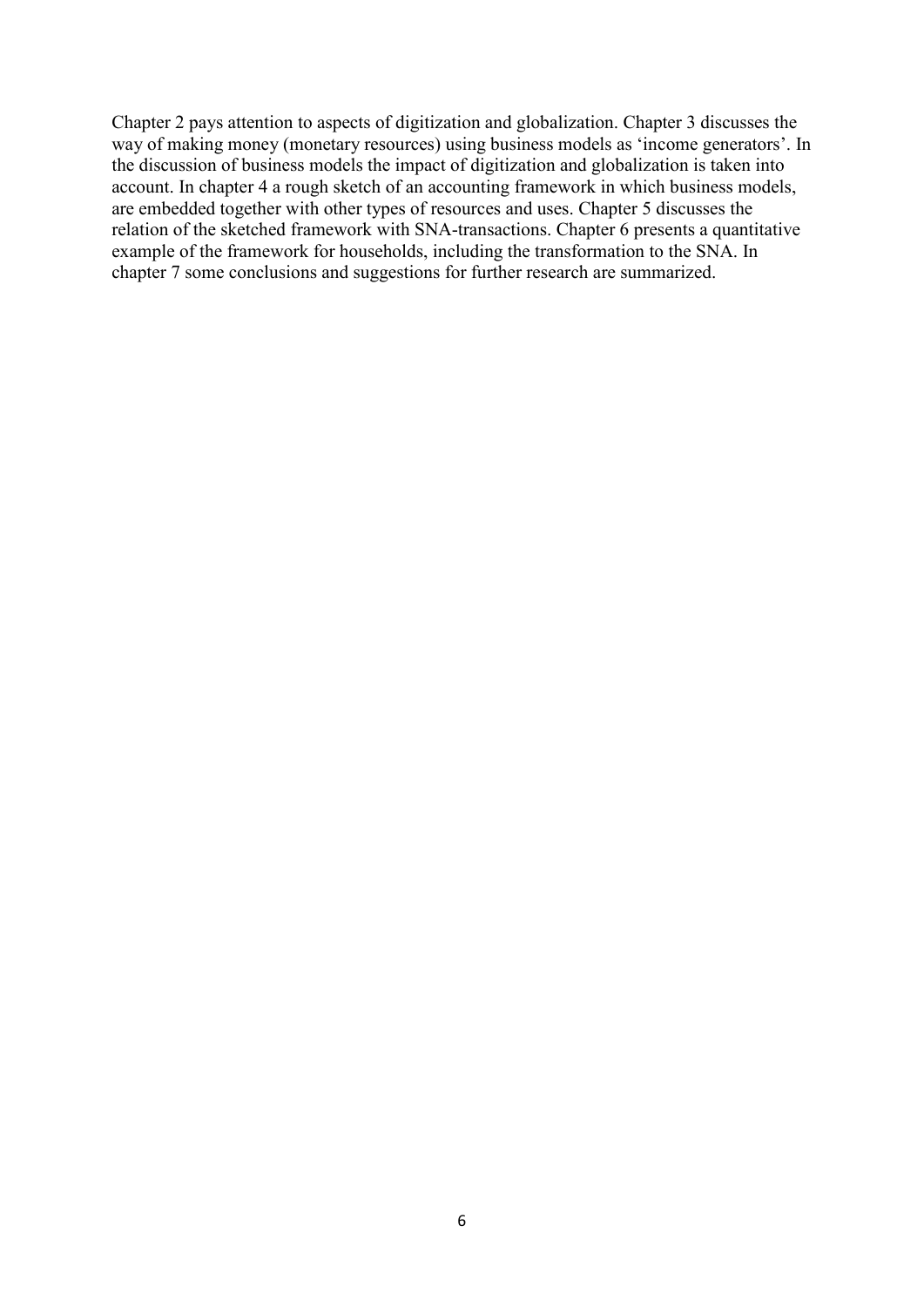Chapter 2 pays attention to aspects of digitization and globalization. Chapter 3 discusses the way of making money (monetary resources) using business models as 'income generators'. In the discussion of business models the impact of digitization and globalization is taken into account. In chapter 4 a rough sketch of an accounting framework in which business models, are embedded together with other types of resources and uses. Chapter 5 discusses the relation of the sketched framework with SNA-transactions. Chapter 6 presents a quantitative example of the framework for households, including the transformation to the SNA. In chapter 7 some conclusions and suggestions for further research are summarized.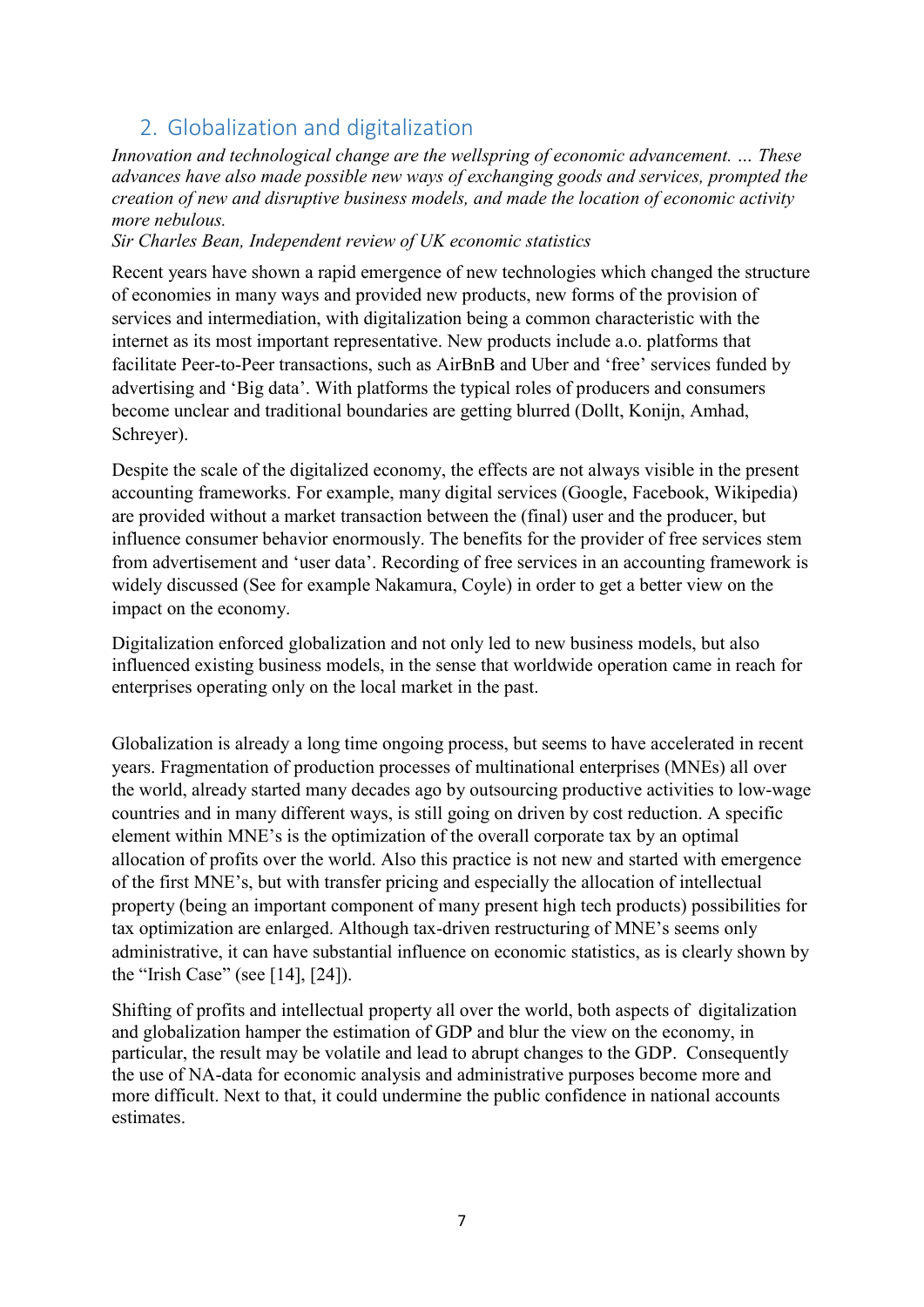# <span id="page-6-0"></span>2. Globalization and digitalization

*Innovation and technological change are the wellspring of economic advancement. … These advances have also made possible new ways of exchanging goods and services, prompted the creation of new and disruptive business models, and made the location of economic activity more nebulous.* 

# *Sir Charles Bean, Independent review of UK economic statistics*

Recent years have shown a rapid emergence of new technologies which changed the structure of economies in many ways and provided new products, new forms of the provision of services and intermediation, with digitalization being a common characteristic with the internet as its most important representative. New products include a.o. platforms that facilitate Peer-to-Peer transactions, such as AirBnB and Uber and 'free' services funded by advertising and 'Big data'. With platforms the typical roles of producers and consumers become unclear and traditional boundaries are getting blurred (Dollt, Konijn, Amhad, Schreyer).

Despite the scale of the digitalized economy, the effects are not always visible in the present accounting frameworks. For example, many digital services (Google, Facebook, Wikipedia) are provided without a market transaction between the (final) user and the producer, but influence consumer behavior enormously. The benefits for the provider of free services stem from advertisement and 'user data'. Recording of free services in an accounting framework is widely discussed (See for example Nakamura, Coyle) in order to get a better view on the impact on the economy.

Digitalization enforced globalization and not only led to new business models, but also influenced existing business models, in the sense that worldwide operation came in reach for enterprises operating only on the local market in the past.

Globalization is already a long time ongoing process, but seems to have accelerated in recent years. Fragmentation of production processes of multinational enterprises (MNEs) all over the world, already started many decades ago by outsourcing productive activities to low-wage countries and in many different ways, is still going on driven by cost reduction. A specific element within MNE's is the optimization of the overall corporate tax by an optimal allocation of profits over the world. Also this practice is not new and started with emergence of the first MNE's, but with transfer pricing and especially the allocation of intellectual property (being an important component of many present high tech products) possibilities for tax optimization are enlarged. Although tax-driven restructuring of MNE's seems only administrative, it can have substantial influence on economic statistics, as is clearly shown by the "Irish Case" (see [14], [24]).

Shifting of profits and intellectual property all over the world, both aspects of digitalization and globalization hamper the estimation of GDP and blur the view on the economy, in particular, the result may be volatile and lead to abrupt changes to the GDP. Consequently the use of NA-data for economic analysis and administrative purposes become more and more difficult. Next to that, it could undermine the public confidence in national accounts estimates.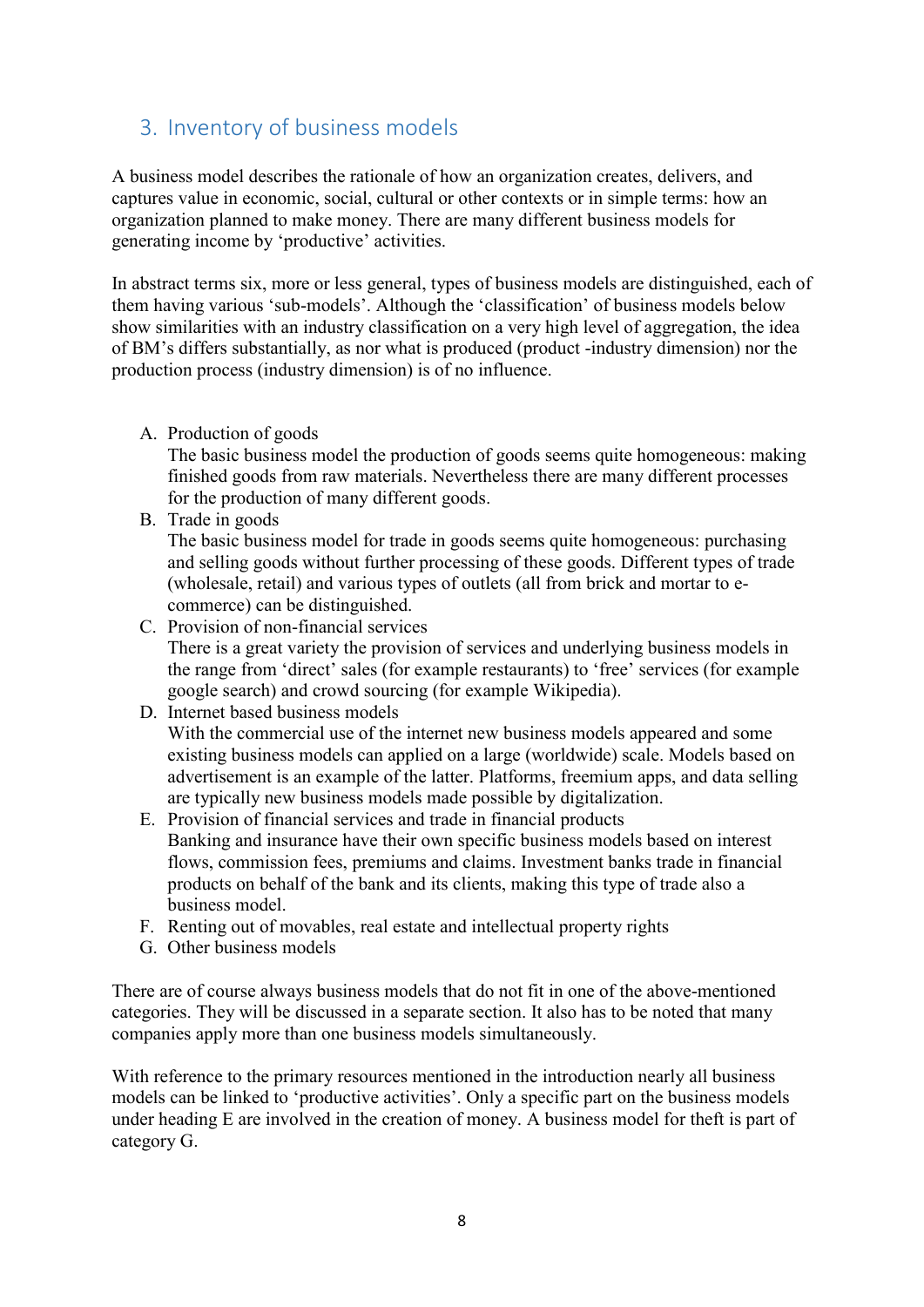# <span id="page-7-0"></span>3. Inventory of business models

A business model describes the rationale of how an organization creates, delivers, and captures value in economic, social, cultural or other contexts or in simple terms: how an organization planned to make money. There are many different business models for generating income by 'productive' activities.

In abstract terms six, more or less general, types of business models are distinguished, each of them having various 'sub-models'. Although the 'classification' of business models below show similarities with an industry classification on a very high level of aggregation, the idea of BM's differs substantially, as nor what is produced (product -industry dimension) nor the production process (industry dimension) is of no influence.

A. Production of goods

The basic business model the production of goods seems quite homogeneous: making finished goods from raw materials. Nevertheless there are many different processes for the production of many different goods.

B. Trade in goods

The basic business model for trade in goods seems quite homogeneous: purchasing and selling goods without further processing of these goods. Different types of trade (wholesale, retail) and various types of outlets (all from brick and mortar to ecommerce) can be distinguished.

C. Provision of non-financial services There is a great variety the provision of services and underlying business models in the range from 'direct' sales (for example restaurants) to 'free' services (for example google search) and crowd sourcing (for example Wikipedia).

# D. Internet based business models With the commercial use of the internet new business models appeared and some existing business models can applied on a large (worldwide) scale. Models based on advertisement is an example of the latter. Platforms, freemium apps, and data selling are typically new business models made possible by digitalization.

- E. Provision of financial services and trade in financial products Banking and insurance have their own specific business models based on interest flows, commission fees, premiums and claims. Investment banks trade in financial products on behalf of the bank and its clients, making this type of trade also a business model.
- F. Renting out of movables, real estate and intellectual property rights
- G. Other business models

There are of course always business models that do not fit in one of the above-mentioned categories. They will be discussed in a separate section. It also has to be noted that many companies apply more than one business models simultaneously.

With reference to the primary resources mentioned in the introduction nearly all business models can be linked to 'productive activities'. Only a specific part on the business models under heading E are involved in the creation of money. A business model for theft is part of category G.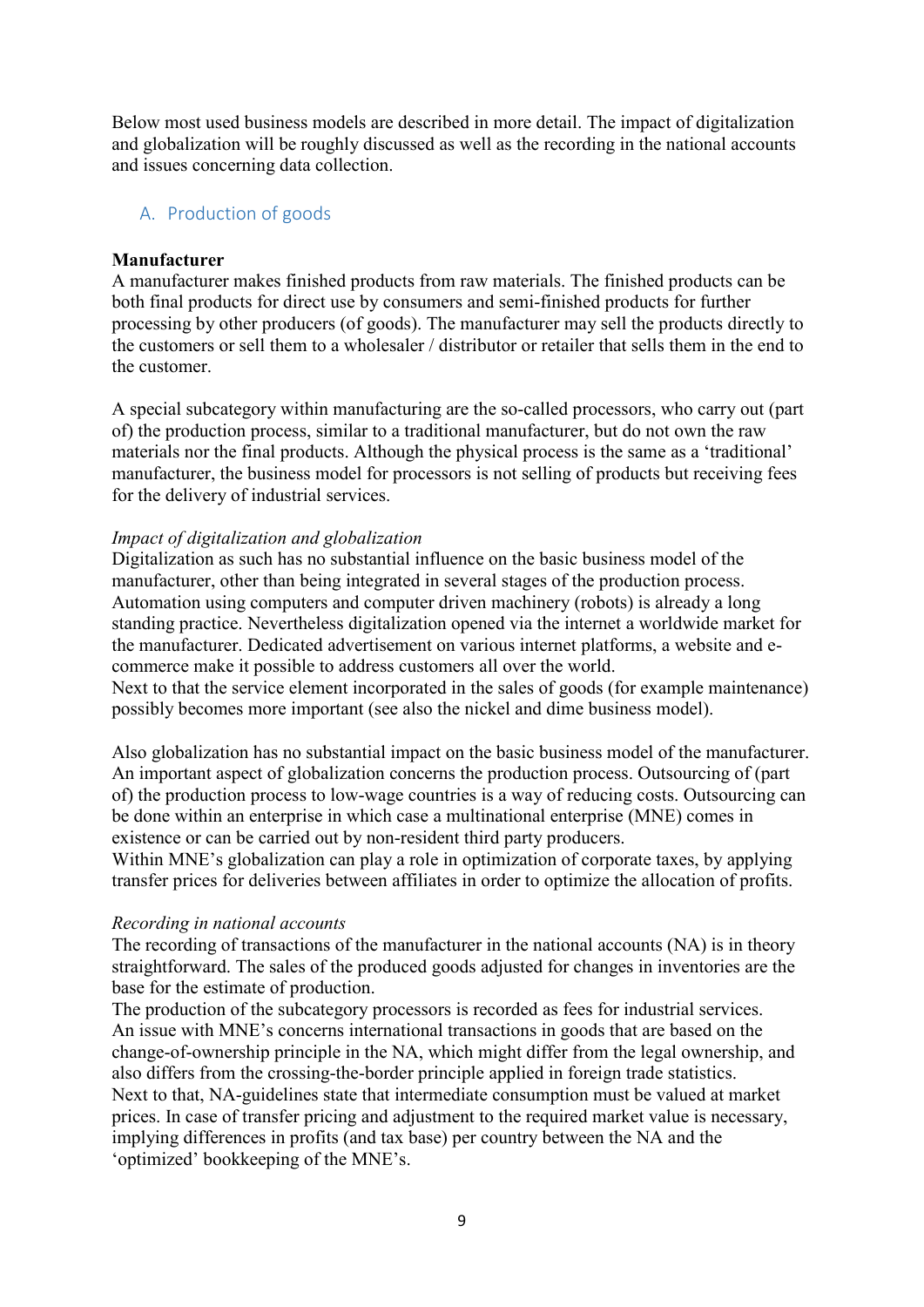Below most used business models are described in more detail. The impact of digitalization and globalization will be roughly discussed as well as the recording in the national accounts and issues concerning data collection.

#### <span id="page-8-0"></span>A. Production of goods

#### **Manufacturer**

A manufacturer makes finished products from raw materials. The finished products can be both final products for direct use by consumers and semi-finished products for further processing by other producers (of goods). The manufacturer may sell the products directly to the customers or sell them to a wholesaler / distributor or retailer that sells them in the end to the customer.

A special subcategory within manufacturing are the so-called processors, who carry out (part of) the production process, similar to a traditional manufacturer, but do not own the raw materials nor the final products. Although the physical process is the same as a 'traditional' manufacturer, the business model for processors is not selling of products but receiving fees for the delivery of industrial services.

#### *Impact of digitalization and globalization*

Digitalization as such has no substantial influence on the basic business model of the manufacturer, other than being integrated in several stages of the production process. Automation using computers and computer driven machinery (robots) is already a long standing practice. Nevertheless digitalization opened via the internet a worldwide market for the manufacturer. Dedicated advertisement on various internet platforms, a website and ecommerce make it possible to address customers all over the world.

Next to that the service element incorporated in the sales of goods (for example maintenance) possibly becomes more important (see also the nickel and dime business model).

Also globalization has no substantial impact on the basic business model of the manufacturer. An important aspect of globalization concerns the production process. Outsourcing of (part of) the production process to low-wage countries is a way of reducing costs. Outsourcing can be done within an enterprise in which case a multinational enterprise (MNE) comes in existence or can be carried out by non-resident third party producers.

Within MNE's globalization can play a role in optimization of corporate taxes, by applying transfer prices for deliveries between affiliates in order to optimize the allocation of profits.

#### *Recording in national accounts*

The recording of transactions of the manufacturer in the national accounts (NA) is in theory straightforward. The sales of the produced goods adjusted for changes in inventories are the base for the estimate of production.

The production of the subcategory processors is recorded as fees for industrial services. An issue with MNE's concerns international transactions in goods that are based on the change-of-ownership principle in the NA, which might differ from the legal ownership, and also differs from the crossing-the-border principle applied in foreign trade statistics. Next to that, NA-guidelines state that intermediate consumption must be valued at market prices. In case of transfer pricing and adjustment to the required market value is necessary, implying differences in profits (and tax base) per country between the NA and the 'optimized' bookkeeping of the MNE's.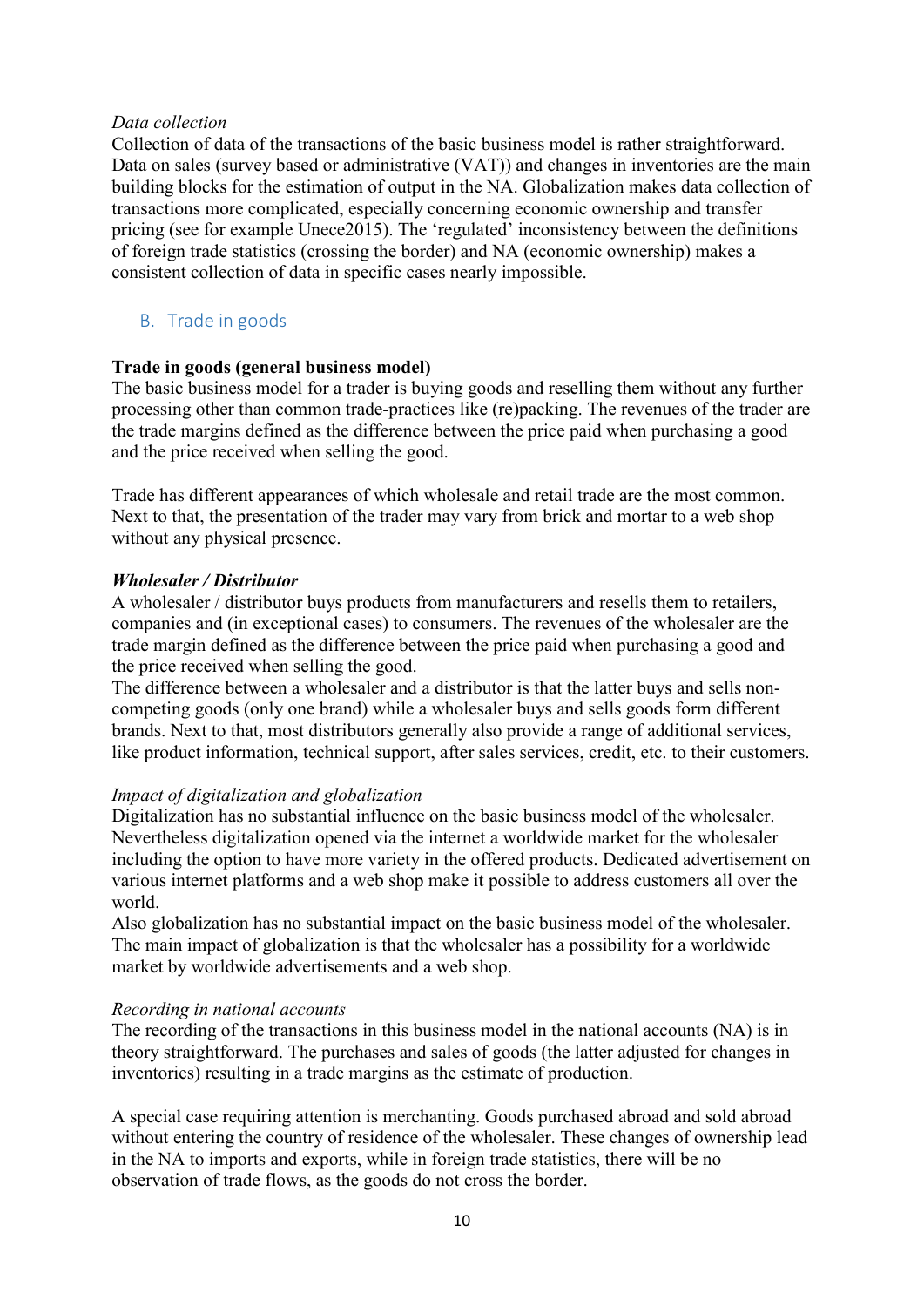#### *Data collection*

Collection of data of the transactions of the basic business model is rather straightforward. Data on sales (survey based or administrative (VAT)) and changes in inventories are the main building blocks for the estimation of output in the NA. Globalization makes data collection of transactions more complicated, especially concerning economic ownership and transfer pricing (see for example Unece2015). The 'regulated' inconsistency between the definitions of foreign trade statistics (crossing the border) and NA (economic ownership) makes a consistent collection of data in specific cases nearly impossible.

## <span id="page-9-0"></span>B. Trade in goods

#### **Trade in goods (general business model)**

The basic business model for a trader is buying goods and reselling them without any further processing other than common trade-practices like (re)packing. The revenues of the trader are the trade margins defined as the difference between the price paid when purchasing a good and the price received when selling the good.

Trade has different appearances of which wholesale and retail trade are the most common. Next to that, the presentation of the trader may vary from brick and mortar to a web shop without any physical presence.

#### *Wholesaler / Distributor*

A wholesaler / distributor buys products from manufacturers and resells them to retailers, companies and (in exceptional cases) to consumers. The revenues of the wholesaler are the trade margin defined as the difference between the price paid when purchasing a good and the price received when selling the good.

The difference between a wholesaler and a distributor is that the latter buys and sells noncompeting goods (only one brand) while a wholesaler buys and sells goods form different brands. Next to that, most distributors generally also provide a range of additional services, like product information, technical support, after sales services, credit, etc. to their customers.

#### *Impact of digitalization and globalization*

Digitalization has no substantial influence on the basic business model of the wholesaler. Nevertheless digitalization opened via the internet a worldwide market for the wholesaler including the option to have more variety in the offered products. Dedicated advertisement on various internet platforms and a web shop make it possible to address customers all over the world.

Also globalization has no substantial impact on the basic business model of the wholesaler. The main impact of globalization is that the wholesaler has a possibility for a worldwide market by worldwide advertisements and a web shop.

#### *Recording in national accounts*

The recording of the transactions in this business model in the national accounts (NA) is in theory straightforward. The purchases and sales of goods (the latter adjusted for changes in inventories) resulting in a trade margins as the estimate of production.

A special case requiring attention is merchanting. Goods purchased abroad and sold abroad without entering the country of residence of the wholesaler. These changes of ownership lead in the NA to imports and exports, while in foreign trade statistics, there will be no observation of trade flows, as the goods do not cross the border.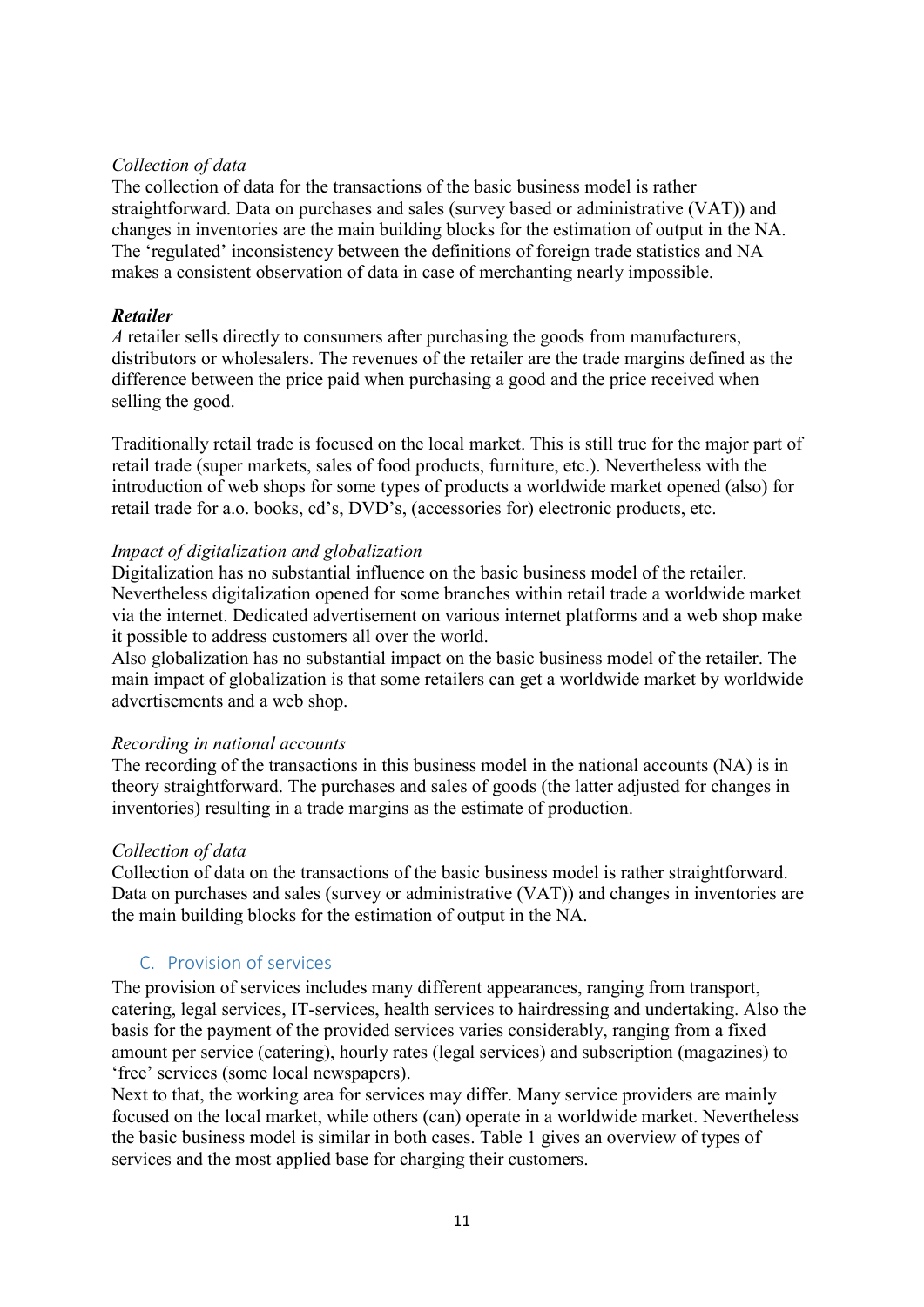## *Collection of data*

The collection of data for the transactions of the basic business model is rather straightforward. Data on purchases and sales (survey based or administrative (VAT)) and changes in inventories are the main building blocks for the estimation of output in the NA. The 'regulated' inconsistency between the definitions of foreign trade statistics and NA makes a consistent observation of data in case of merchanting nearly impossible.

#### *Retailer*

*A* retailer sells directly to consumers after purchasing the goods from manufacturers, distributors or wholesalers. The revenues of the retailer are the trade margins defined as the difference between the price paid when purchasing a good and the price received when selling the good.

Traditionally retail trade is focused on the local market. This is still true for the major part of retail trade (super markets, sales of food products, furniture, etc.). Nevertheless with the introduction of web shops for some types of products a worldwide market opened (also) for retail trade for a.o. books, cd's, DVD's, (accessories for) electronic products, etc.

#### *Impact of digitalization and globalization*

Digitalization has no substantial influence on the basic business model of the retailer. Nevertheless digitalization opened for some branches within retail trade a worldwide market via the internet. Dedicated advertisement on various internet platforms and a web shop make it possible to address customers all over the world.

Also globalization has no substantial impact on the basic business model of the retailer. The main impact of globalization is that some retailers can get a worldwide market by worldwide advertisements and a web shop.

#### *Recording in national accounts*

The recording of the transactions in this business model in the national accounts (NA) is in theory straightforward. The purchases and sales of goods (the latter adjusted for changes in inventories) resulting in a trade margins as the estimate of production.

#### *Collection of data*

Collection of data on the transactions of the basic business model is rather straightforward. Data on purchases and sales (survey or administrative (VAT)) and changes in inventories are the main building blocks for the estimation of output in the NA.

# <span id="page-10-0"></span>C. Provision of services

The provision of services includes many different appearances, ranging from transport, catering, legal services, IT-services, health services to hairdressing and undertaking. Also the basis for the payment of the provided services varies considerably, ranging from a fixed amount per service (catering), hourly rates (legal services) and subscription (magazines) to 'free' services (some local newspapers).

Next to that, the working area for services may differ. Many service providers are mainly focused on the local market, while others (can) operate in a worldwide market. Nevertheless the basic business model is similar in both cases. Table 1 gives an overview of types of services and the most applied base for charging their customers.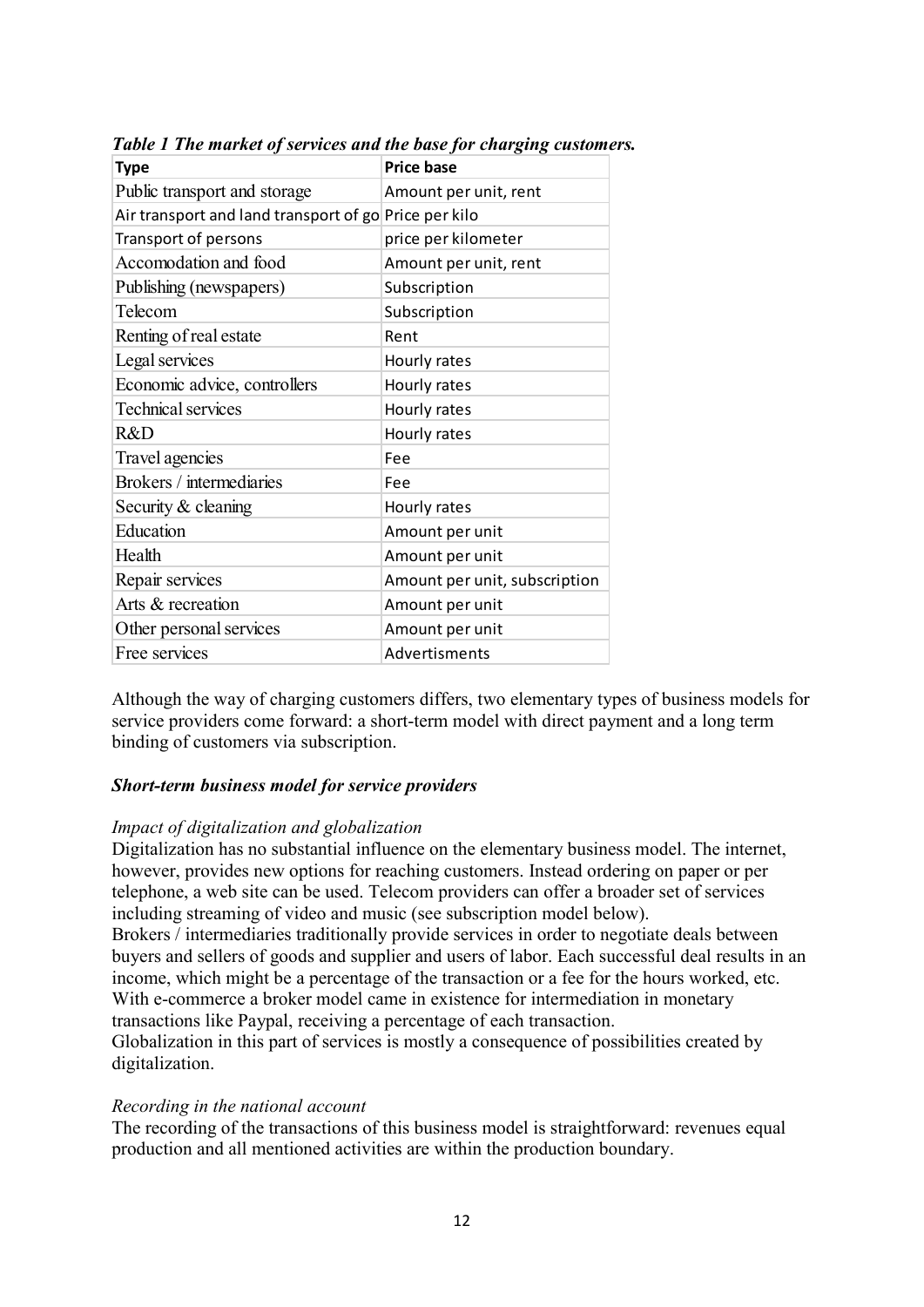| <b>Type</b>                                           | <b>Price base</b>             |
|-------------------------------------------------------|-------------------------------|
| Public transport and storage                          | Amount per unit, rent         |
| Air transport and land transport of go Price per kilo |                               |
| Transport of persons                                  | price per kilometer           |
| Accomodation and food                                 | Amount per unit, rent         |
| Publishing (newspapers)                               | Subscription                  |
| Telecom                                               | Subscription                  |
| Renting of real estate                                | Rent                          |
| Legal services                                        | Hourly rates                  |
| Economic advice, controllers                          | Hourly rates                  |
| <b>Technical services</b>                             | Hourly rates                  |
| R&D                                                   | Hourly rates                  |
| Travel agencies                                       | Fee                           |
| Brokers / intermediaries                              | Fee                           |
| Security & cleaning                                   | Hourly rates                  |
| Education                                             | Amount per unit               |
| Health                                                | Amount per unit               |
| Repair services                                       | Amount per unit, subscription |
| Arts & recreation                                     | Amount per unit               |
| Other personal services                               | Amount per unit               |
| Free services                                         | Advertisments                 |

*Table 1 The market of services and the base for charging customers.* 

Although the way of charging customers differs, two elementary types of business models for service providers come forward: a short-term model with direct payment and a long term binding of customers via subscription.

# *Short-term business model for service providers*

#### *Impact of digitalization and globalization*

Digitalization has no substantial influence on the elementary business model. The internet, however, provides new options for reaching customers. Instead ordering on paper or per telephone, a web site can be used. Telecom providers can offer a broader set of services including streaming of video and music (see subscription model below).

Brokers / intermediaries traditionally provide services in order to negotiate deals between buyers and sellers of goods and supplier and users of labor. Each successful deal results in an income, which might be a percentage of the transaction or a fee for the hours worked, etc. With e-commerce a broker model came in existence for intermediation in monetary transactions like Paypal, receiving a percentage of each transaction.

Globalization in this part of services is mostly a consequence of possibilities created by digitalization.

#### *Recording in the national account*

The recording of the transactions of this business model is straightforward: revenues equal production and all mentioned activities are within the production boundary.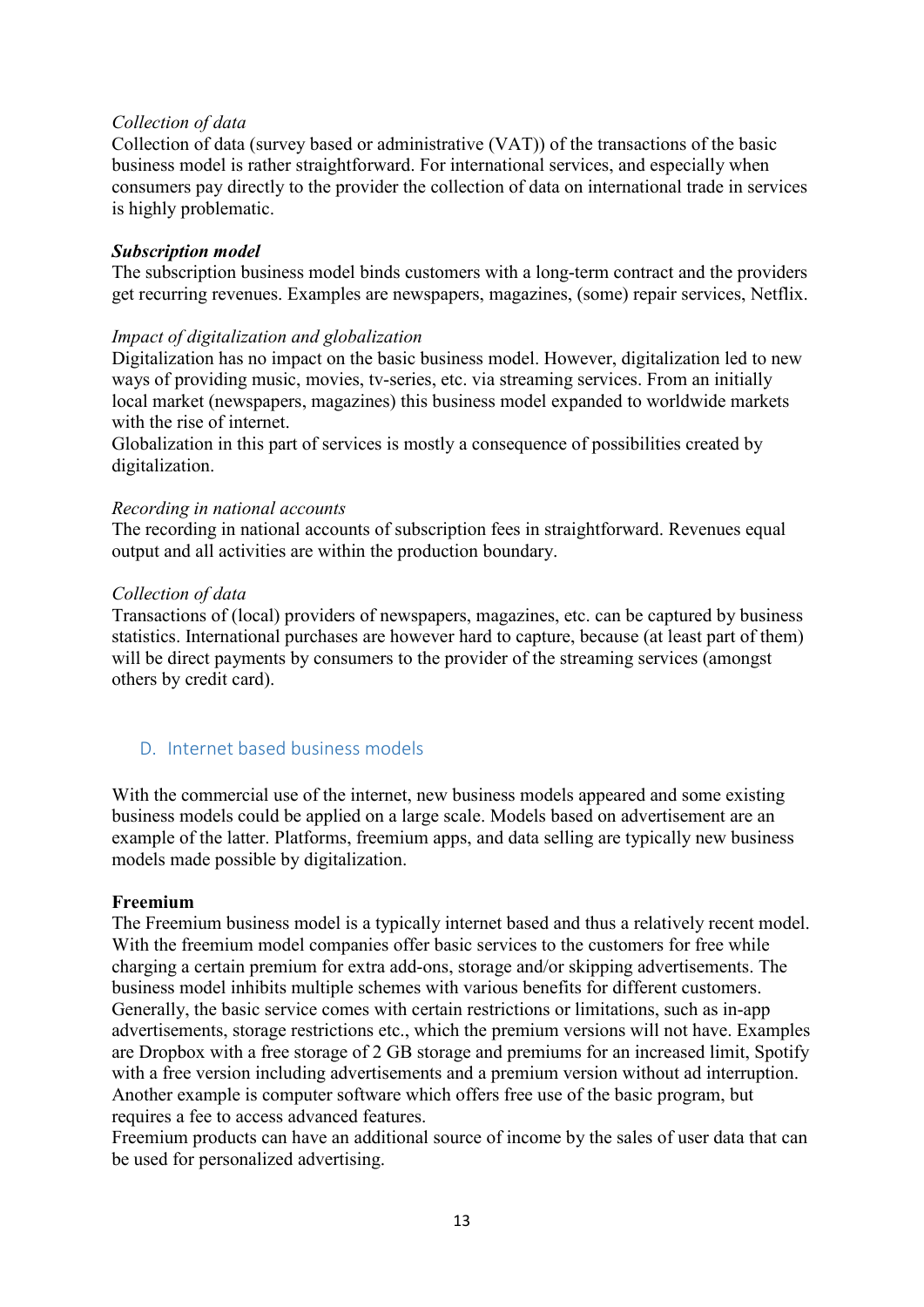#### *Collection of data*

Collection of data (survey based or administrative (VAT)) of the transactions of the basic business model is rather straightforward. For international services, and especially when consumers pay directly to the provider the collection of data on international trade in services is highly problematic.

#### *Subscription model*

The subscription business model binds customers with a long-term contract and the providers get recurring revenues. Examples are newspapers, magazines, (some) repair services, Netflix.

#### *Impact of digitalization and globalization*

Digitalization has no impact on the basic business model. However, digitalization led to new ways of providing music, movies, tv-series, etc. via streaming services. From an initially local market (newspapers, magazines) this business model expanded to worldwide markets with the rise of internet.

Globalization in this part of services is mostly a consequence of possibilities created by digitalization.

#### *Recording in national accounts*

The recording in national accounts of subscription fees in straightforward. Revenues equal output and all activities are within the production boundary.

#### *Collection of data*

Transactions of (local) providers of newspapers, magazines, etc. can be captured by business statistics. International purchases are however hard to capture, because (at least part of them) will be direct payments by consumers to the provider of the streaming services (amongst others by credit card).

# <span id="page-12-0"></span>D. Internet based business models

With the commercial use of the internet, new business models appeared and some existing business models could be applied on a large scale. Models based on advertisement are an example of the latter. Platforms, freemium apps, and data selling are typically new business models made possible by digitalization.

#### **Freemium**

The Freemium business model is a typically internet based and thus a relatively recent model. With the freemium model companies offer basic services to the customers for free while charging a certain premium for extra add-ons, storage and/or skipping advertisements. The business model inhibits multiple schemes with various benefits for different customers. Generally, the basic service comes with certain restrictions or limitations, such as in-app advertisements, storage restrictions etc., which the premium versions will not have. Examples are Dropbox with a free storage of 2 GB storage and premiums for an increased limit, Spotify with a free version including advertisements and a premium version without ad interruption. Another example is computer software which offers free use of the basic program, but requires a fee to access advanced features.

Freemium products can have an additional source of income by the sales of user data that can be used for personalized advertising.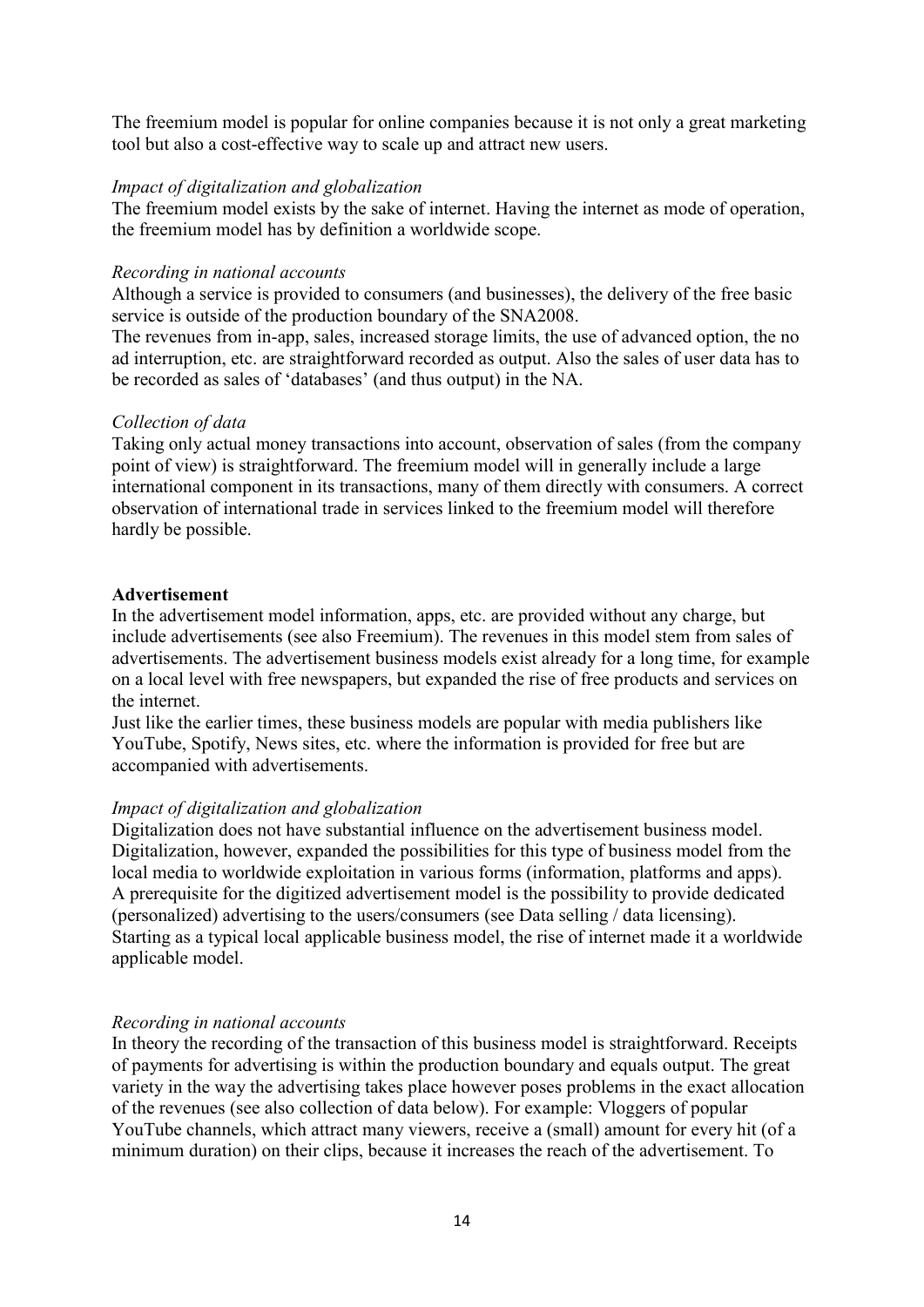The freemium model is popular for online companies because it is not only a great marketing tool but also a cost-effective way to scale up and attract new users.

#### *Impact of digitalization and globalization*

The freemium model exists by the sake of internet. Having the internet as mode of operation, the freemium model has by definition a worldwide scope.

#### *Recording in national accounts*

Although a service is provided to consumers (and businesses), the delivery of the free basic service is outside of the production boundary of the SNA2008.

The revenues from in-app, sales, increased storage limits, the use of advanced option, the no ad interruption, etc. are straightforward recorded as output. Also the sales of user data has to be recorded as sales of 'databases' (and thus output) in the NA.

#### *Collection of data*

Taking only actual money transactions into account, observation of sales (from the company point of view) is straightforward. The freemium model will in generally include a large international component in its transactions, many of them directly with consumers. A correct observation of international trade in services linked to the freemium model will therefore hardly be possible.

#### **Advertisement**

In the advertisement model information, apps, etc. are provided without any charge, but include advertisements (see also Freemium). The revenues in this model stem from sales of advertisements. The advertisement business models exist already for a long time, for example on a local level with free newspapers, but expanded the rise of free products and services on the internet.

Just like the earlier times, these business models are popular with media publishers like YouTube, Spotify, News sites, etc. where the information is provided for free but are accompanied with advertisements.

#### *Impact of digitalization and globalization*

Digitalization does not have substantial influence on the advertisement business model. Digitalization, however, expanded the possibilities for this type of business model from the local media to worldwide exploitation in various forms (information, platforms and apps). A prerequisite for the digitized advertisement model is the possibility to provide dedicated (personalized) advertising to the users/consumers (see Data selling / data licensing). Starting as a typical local applicable business model, the rise of internet made it a worldwide applicable model.

#### *Recording in national accounts*

In theory the recording of the transaction of this business model is straightforward. Receipts of payments for advertising is within the production boundary and equals output. The great variety in the way the advertising takes place however poses problems in the exact allocation of the revenues (see also collection of data below). For example: Vloggers of popular YouTube channels, which attract many viewers, receive a (small) amount for every hit (of a minimum duration) on their clips, because it increases the reach of the advertisement. To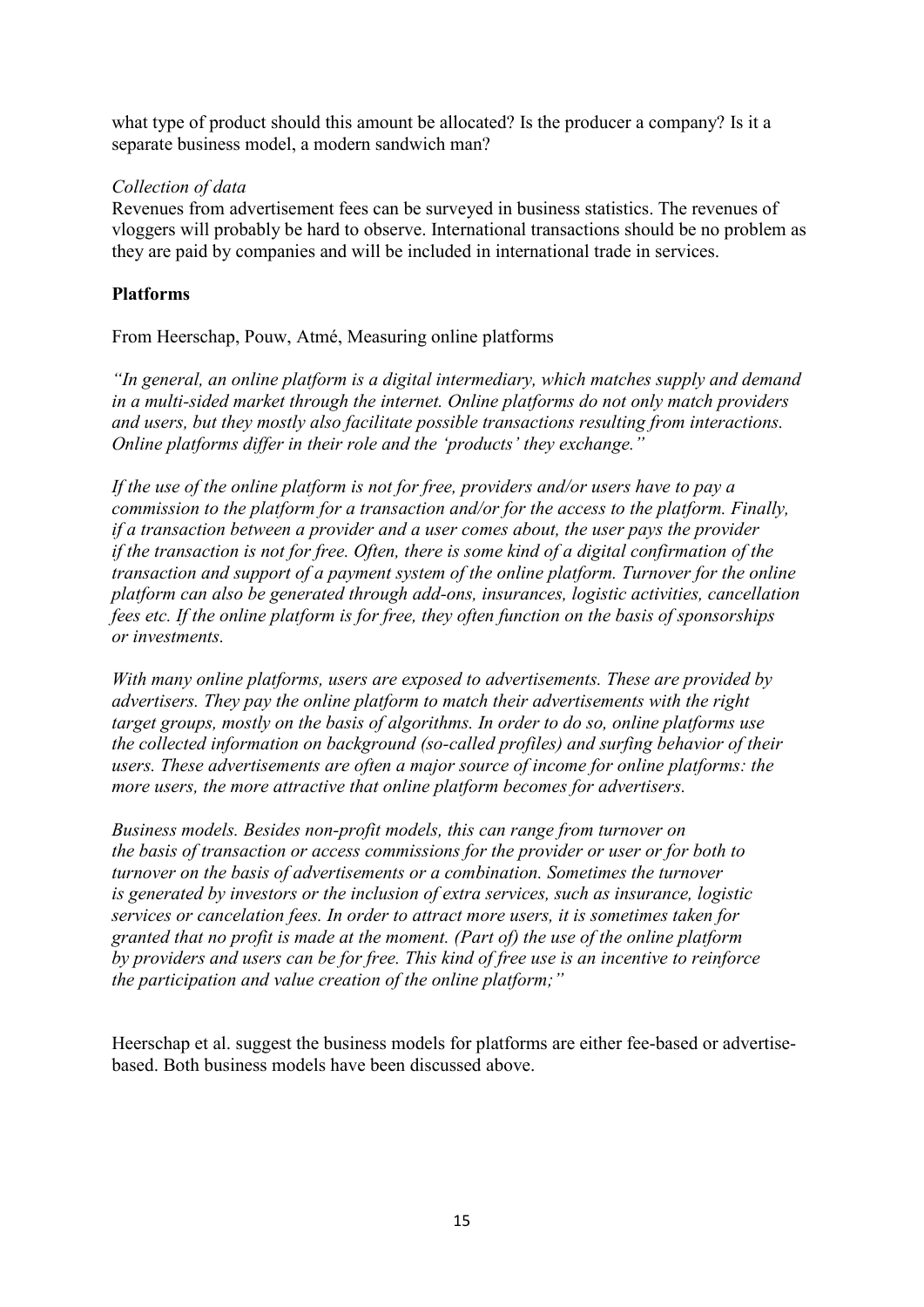what type of product should this amount be allocated? Is the producer a company? Is it a separate business model, a modern sandwich man?

# *Collection of data*

Revenues from advertisement fees can be surveyed in business statistics. The revenues of vloggers will probably be hard to observe. International transactions should be no problem as they are paid by companies and will be included in international trade in services.

# **Platforms**

From Heerschap, Pouw, Atmé, Measuring online platforms

*"In general, an online platform is a digital intermediary, which matches supply and demand in a multi-sided market through the internet. Online platforms do not only match providers and users, but they mostly also facilitate possible transactions resulting from interactions. Online platforms differ in their role and the 'products' they exchange."*

*If the use of the online platform is not for free, providers and/or users have to pay a commission to the platform for a transaction and/or for the access to the platform. Finally, if a transaction between a provider and a user comes about, the user pays the provider if the transaction is not for free. Often, there is some kind of a digital confirmation of the transaction and support of a payment system of the online platform. Turnover for the online platform can also be generated through add-ons, insurances, logistic activities, cancellation fees etc. If the online platform is for free, they often function on the basis of sponsorships or investments.*

*With many online platforms, users are exposed to advertisements. These are provided by advertisers. They pay the online platform to match their advertisements with the right target groups, mostly on the basis of algorithms. In order to do so, online platforms use the collected information on background (so-called profiles) and surfing behavior of their users. These advertisements are often a major source of income for online platforms: the more users, the more attractive that online platform becomes for advertisers.* 

*Business models. Besides non-profit models, this can range from turnover on the basis of transaction or access commissions for the provider or user or for both to turnover on the basis of advertisements or a combination. Sometimes the turnover is generated by investors or the inclusion of extra services, such as insurance, logistic services or cancelation fees. In order to attract more users, it is sometimes taken for granted that no profit is made at the moment. (Part of) the use of the online platform by providers and users can be for free. This kind of free use is an incentive to reinforce the participation and value creation of the online platform;"*

Heerschap et al. suggest the business models for platforms are either fee-based or advertisebased. Both business models have been discussed above.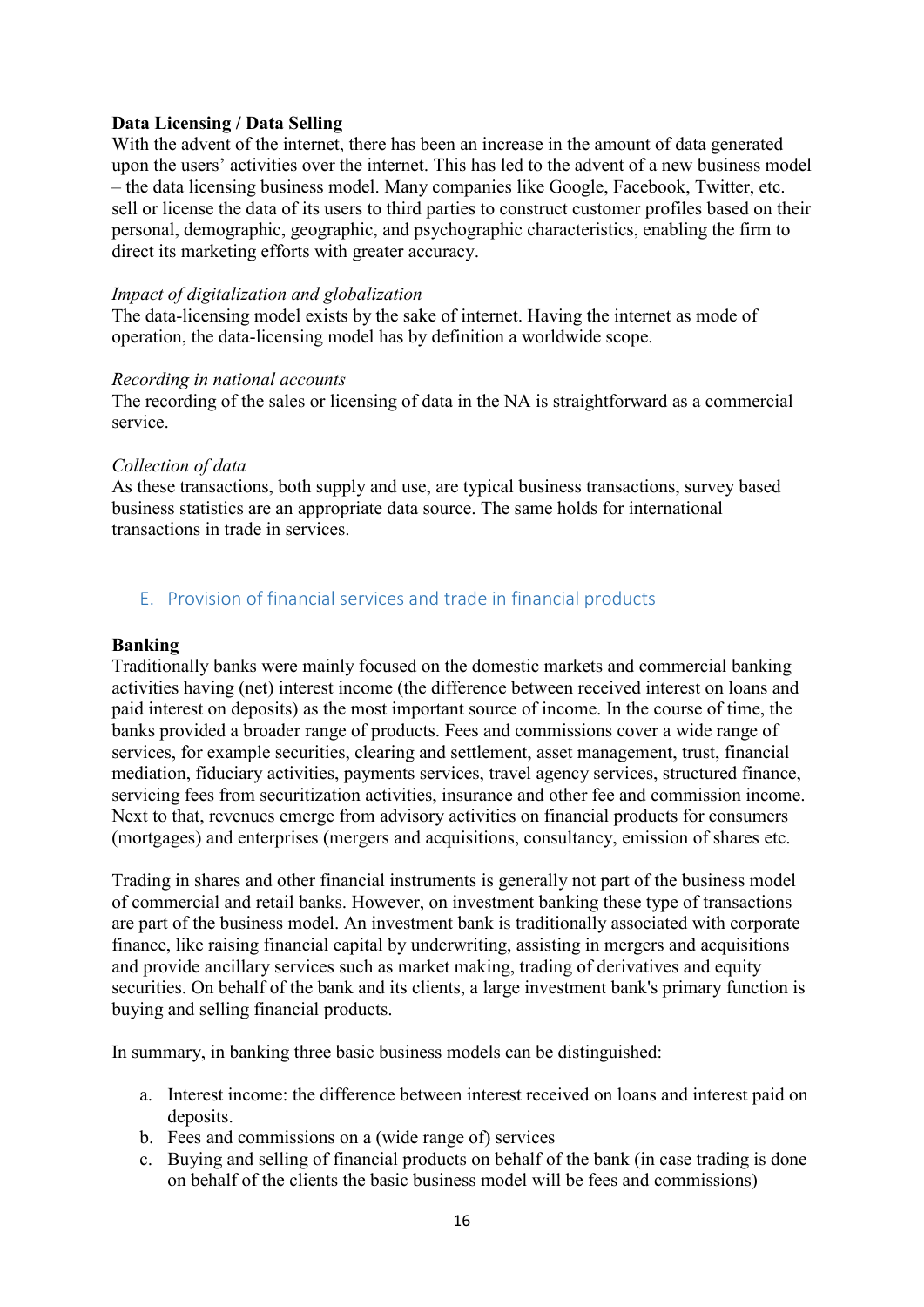#### **Data Licensing / Data Selling**

With the advent of the internet, there has been an increase in the amount of data generated upon the users' activities over the internet. This has led to the advent of a new business model – the data licensing business model. Many companies like Google, Facebook, Twitter, etc. sell or license the data of its users to third parties to construct customer profiles based on their personal, demographic, geographic, and psychographic characteristics, enabling the firm to direct its marketing efforts with greater accuracy.

#### *Impact of digitalization and globalization*

The data-licensing model exists by the sake of internet. Having the internet as mode of operation, the data-licensing model has by definition a worldwide scope.

#### *Recording in national accounts*

The recording of the sales or licensing of data in the NA is straightforward as a commercial service.

#### *Collection of data*

As these transactions, both supply and use, are typical business transactions, survey based business statistics are an appropriate data source. The same holds for international transactions in trade in services.

# <span id="page-15-0"></span>E. Provision of financial services and trade in financial products

#### **Banking**

Traditionally banks were mainly focused on the domestic markets and commercial banking activities having (net) interest income (the difference between received interest on loans and paid interest on deposits) as the most important source of income. In the course of time, the banks provided a broader range of products. Fees and commissions cover a wide range of services, for example securities, clearing and settlement, asset management, trust, financial mediation, fiduciary activities, payments services, travel agency services, structured finance, servicing fees from securitization activities, insurance and other fee and commission income. Next to that, revenues emerge from advisory activities on financial products for consumers (mortgages) and enterprises (mergers and acquisitions, consultancy, emission of shares etc.

Trading in shares and other financial instruments is generally not part of the business model of commercial and retail banks. However, on investment banking these type of transactions are part of the business model. An investment bank is traditionally associated with corporate finance, like raising financial capital by underwriting, assisting in mergers and acquisitions and provide ancillary services such as market making, trading of derivatives and equity securities. On behalf of the bank and its clients, a large investment bank's primary function is buying and selling financial products.

In summary, in banking three basic business models can be distinguished:

- a. Interest income: the difference between interest received on loans and interest paid on deposits.
- b. Fees and commissions on a (wide range of) services
- c. Buying and selling of financial products on behalf of the bank (in case trading is done on behalf of the clients the basic business model will be fees and commissions)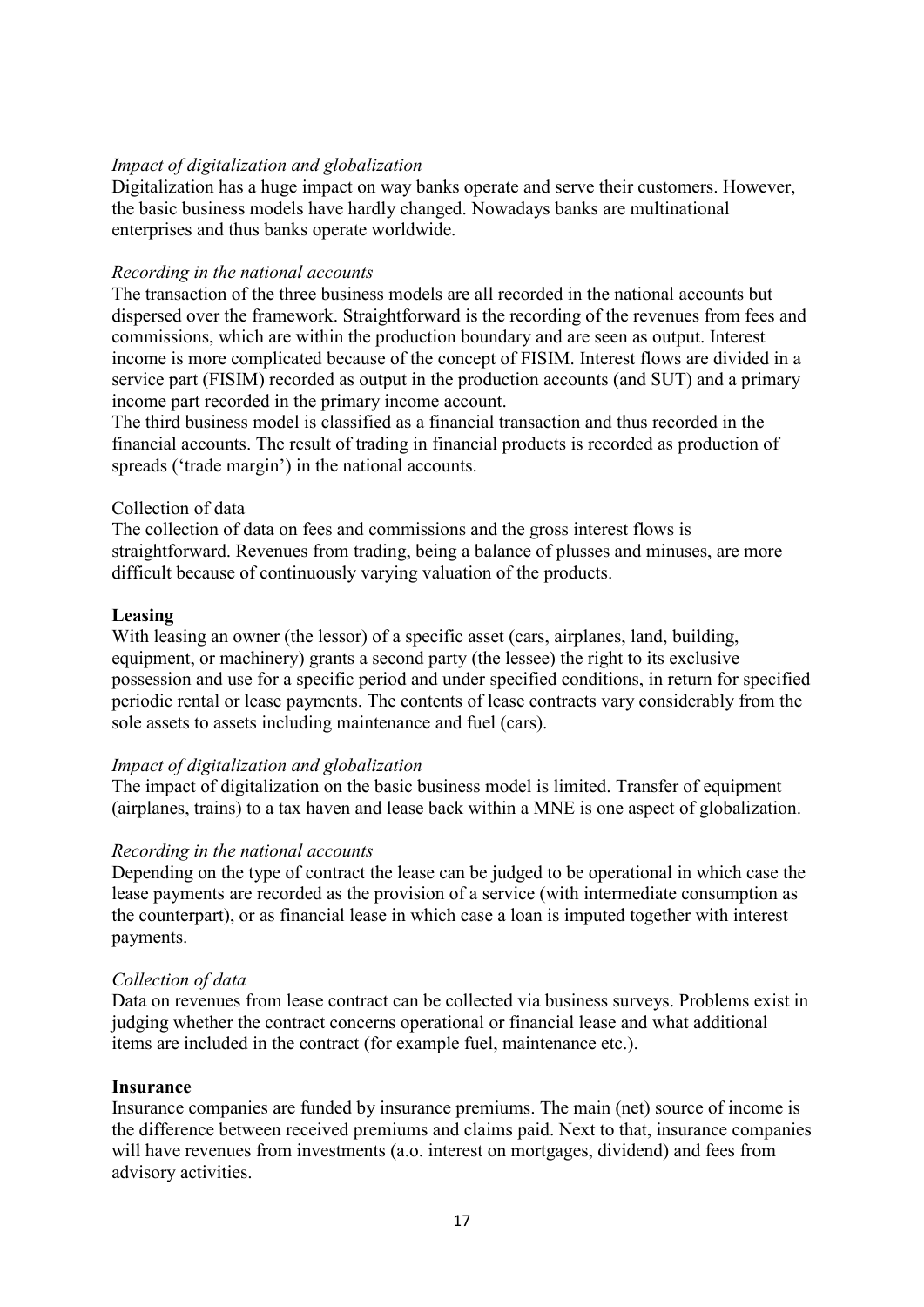Digitalization has a huge impact on way banks operate and serve their customers. However, the basic business models have hardly changed. Nowadays banks are multinational enterprises and thus banks operate worldwide.

#### *Recording in the national accounts*

The transaction of the three business models are all recorded in the national accounts but dispersed over the framework. Straightforward is the recording of the revenues from fees and commissions, which are within the production boundary and are seen as output. Interest income is more complicated because of the concept of FISIM. Interest flows are divided in a service part (FISIM) recorded as output in the production accounts (and SUT) and a primary income part recorded in the primary income account.

The third business model is classified as a financial transaction and thus recorded in the financial accounts. The result of trading in financial products is recorded as production of spreads ('trade margin') in the national accounts.

#### Collection of data

The collection of data on fees and commissions and the gross interest flows is straightforward. Revenues from trading, being a balance of plusses and minuses, are more difficult because of continuously varying valuation of the products.

#### **Leasing**

With leasing an owner (the lessor) of a specific asset (cars, airplanes, land, building, equipment, or machinery) grants a second party (the lessee) the right to its exclusive possession and use for a specific period and under specified conditions, in return for specified periodic rental or lease payments. The contents of lease contracts vary considerably from the sole assets to assets including maintenance and fuel (cars).

#### *Impact of digitalization and globalization*

The impact of digitalization on the basic business model is limited. Transfer of equipment (airplanes, trains) to a tax haven and lease back within a MNE is one aspect of globalization.

#### *Recording in the national accounts*

Depending on the type of contract the lease can be judged to be operational in which case the lease payments are recorded as the provision of a service (with intermediate consumption as the counterpart), or as financial lease in which case a loan is imputed together with interest payments.

#### *Collection of data*

Data on revenues from lease contract can be collected via business surveys. Problems exist in judging whether the contract concerns operational or financial lease and what additional items are included in the contract (for example fuel, maintenance etc.).

#### **Insurance**

Insurance companies are funded by insurance premiums. The main (net) source of income is the difference between received premiums and claims paid. Next to that, insurance companies will have revenues from investments (a.o. interest on mortgages, dividend) and fees from advisory activities.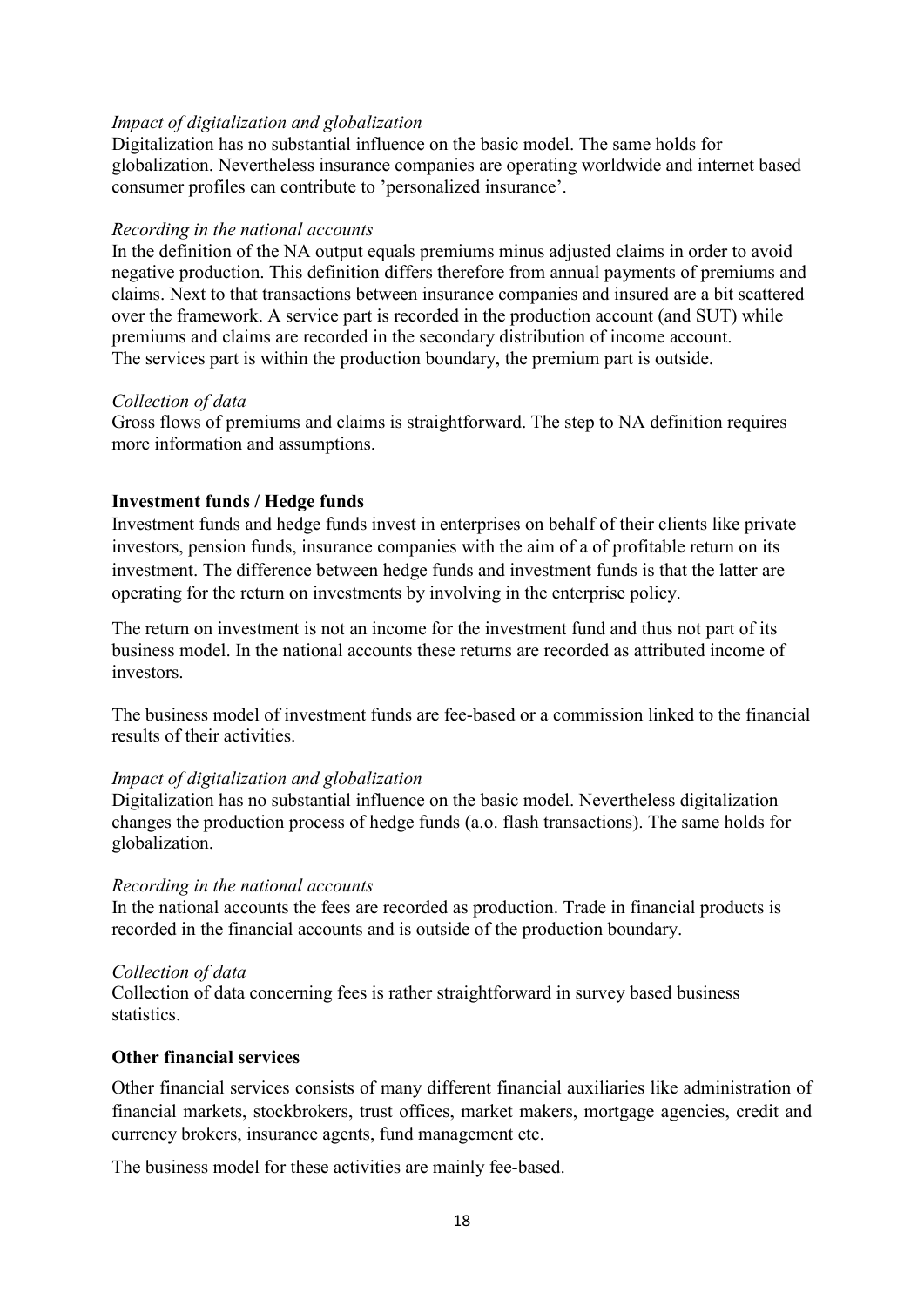Digitalization has no substantial influence on the basic model. The same holds for globalization. Nevertheless insurance companies are operating worldwide and internet based consumer profiles can contribute to 'personalized insurance'.

#### *Recording in the national accounts*

In the definition of the NA output equals premiums minus adjusted claims in order to avoid negative production. This definition differs therefore from annual payments of premiums and claims. Next to that transactions between insurance companies and insured are a bit scattered over the framework. A service part is recorded in the production account (and SUT) while premiums and claims are recorded in the secondary distribution of income account. The services part is within the production boundary, the premium part is outside.

#### *Collection of data*

Gross flows of premiums and claims is straightforward. The step to NA definition requires more information and assumptions.

#### **Investment funds / Hedge funds**

Investment funds and hedge funds invest in enterprises on behalf of their clients like private investors, pension funds, insurance companies with the aim of a of profitable return on its investment. The difference between hedge funds and investment funds is that the latter are operating for the return on investments by involving in the enterprise policy.

The return on investment is not an income for the investment fund and thus not part of its business model. In the national accounts these returns are recorded as attributed income of investors.

The business model of investment funds are fee-based or a commission linked to the financial results of their activities.

#### *Impact of digitalization and globalization*

Digitalization has no substantial influence on the basic model. Nevertheless digitalization changes the production process of hedge funds (a.o. flash transactions). The same holds for globalization.

#### *Recording in the national accounts*

In the national accounts the fees are recorded as production. Trade in financial products is recorded in the financial accounts and is outside of the production boundary.

#### *Collection of data*

Collection of data concerning fees is rather straightforward in survey based business statistics.

#### **Other financial services**

Other financial services consists of many different financial auxiliaries like administration of financial markets, stockbrokers, trust offices, market makers, mortgage agencies, credit and currency brokers, insurance agents, fund management etc.

The business model for these activities are mainly fee-based.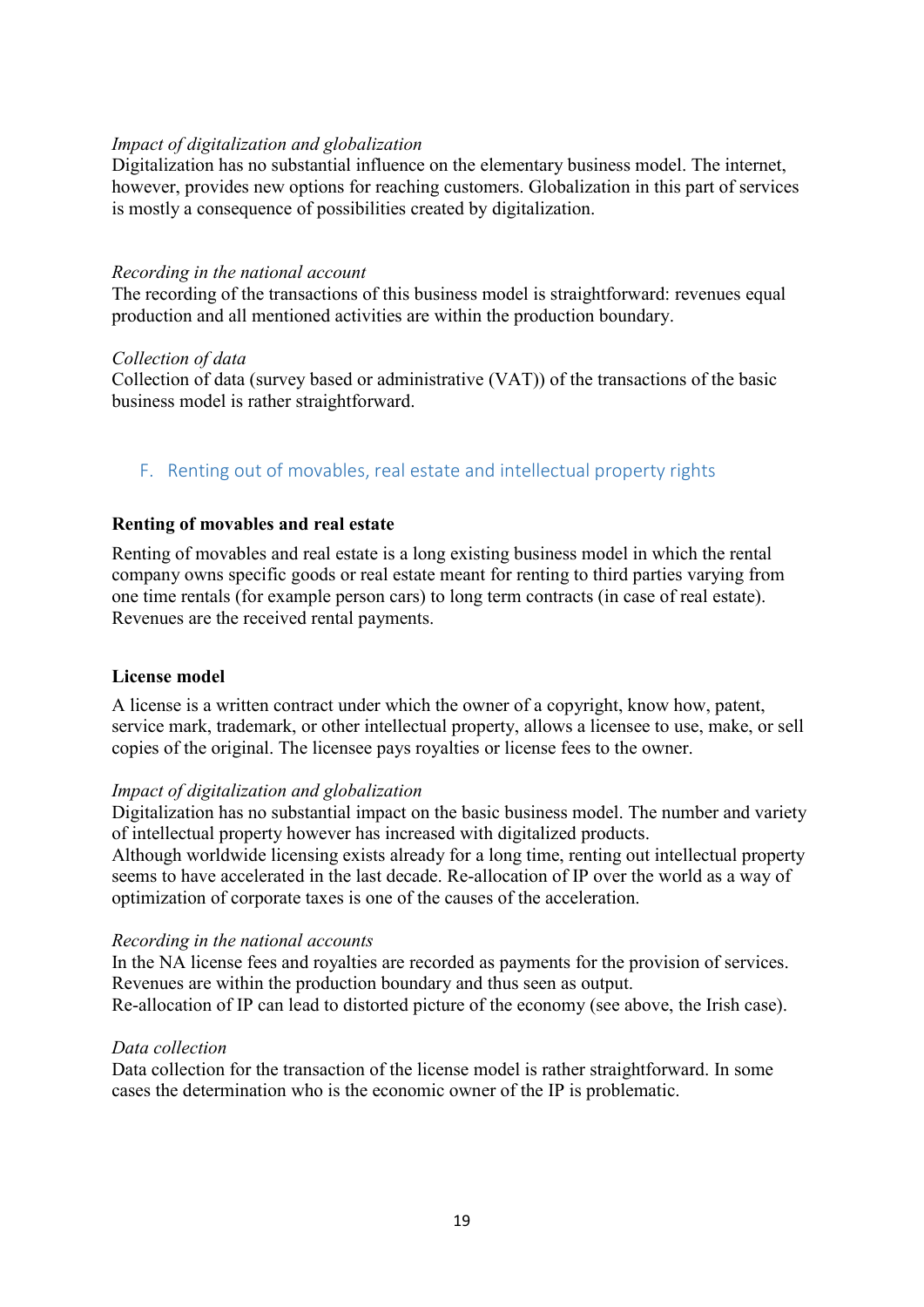Digitalization has no substantial influence on the elementary business model. The internet, however, provides new options for reaching customers. Globalization in this part of services is mostly a consequence of possibilities created by digitalization.

#### *Recording in the national account*

The recording of the transactions of this business model is straightforward: revenues equal production and all mentioned activities are within the production boundary.

#### *Collection of data*

Collection of data (survey based or administrative (VAT)) of the transactions of the basic business model is rather straightforward.

#### <span id="page-18-0"></span>F. Renting out of movables, real estate and intellectual property rights

#### **Renting of movables and real estate**

Renting of movables and real estate is a long existing business model in which the rental company owns specific goods or real estate meant for renting to third parties varying from one time rentals (for example person cars) to long term contracts (in case of real estate). Revenues are the received rental payments.

#### **License model**

A license is a written contract under which the owner of a copyright, know how, patent, service mark, trademark, or other intellectual property, allows a licensee to use, make, or sell copies of the original. The licensee pays royalties or license fees to the owner.

#### *Impact of digitalization and globalization*

Digitalization has no substantial impact on the basic business model. The number and variety of intellectual property however has increased with digitalized products.

Although worldwide licensing exists already for a long time, renting out intellectual property seems to have accelerated in the last decade. Re-allocation of IP over the world as a way of optimization of corporate taxes is one of the causes of the acceleration.

#### *Recording in the national accounts*

In the NA license fees and royalties are recorded as payments for the provision of services. Revenues are within the production boundary and thus seen as output.

Re-allocation of IP can lead to distorted picture of the economy (see above, the Irish case).

#### *Data collection*

Data collection for the transaction of the license model is rather straightforward. In some cases the determination who is the economic owner of the IP is problematic.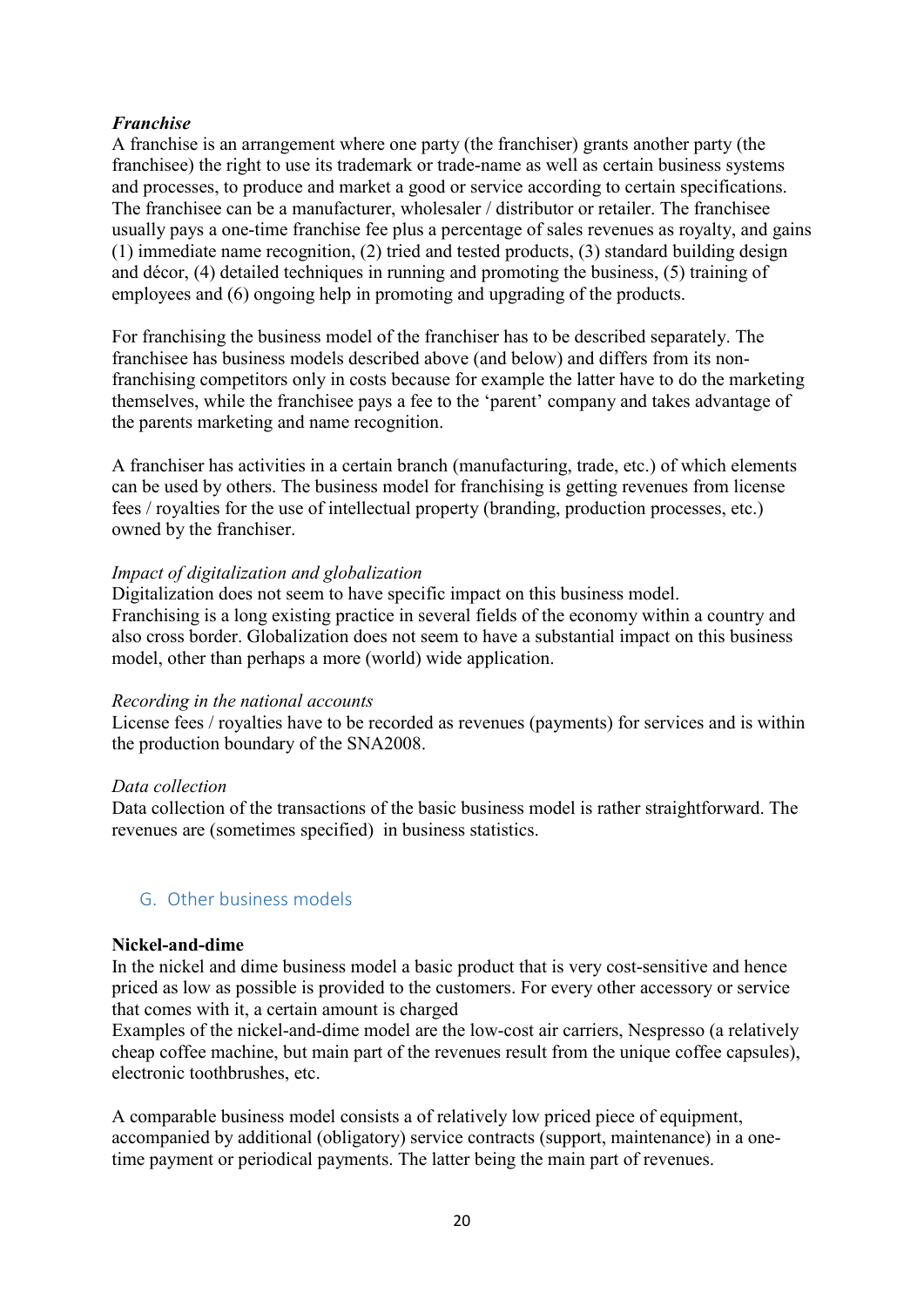# *Franchise*

A franchise is an arrangement where one party (the franchiser) grants another party (the franchisee) the right to use its trademark or trade-name as well as certain business systems and processes, to produce and market a good or service according to certain specifications. The franchisee can be a manufacturer, wholesaler / distributor or retailer. The franchisee usually pays a one-time franchise fee plus a percentage of sales revenues as royalty, and gains (1) immediate name recognition, (2) tried and tested products, (3) standard building design and décor, (4) detailed techniques in running and promoting the business, (5) training of employees and (6) ongoing help in promoting and upgrading of the products.

For franchising the business model of the franchiser has to be described separately. The franchisee has business models described above (and below) and differs from its nonfranchising competitors only in costs because for example the latter have to do the marketing themselves, while the franchisee pays a fee to the 'parent' company and takes advantage of the parents marketing and name recognition.

A franchiser has activities in a certain branch (manufacturing, trade, etc.) of which elements can be used by others. The business model for franchising is getting revenues from license fees / royalties for the use of intellectual property (branding, production processes, etc.) owned by the franchiser.

#### *Impact of digitalization and globalization*

Digitalization does not seem to have specific impact on this business model. Franchising is a long existing practice in several fields of the economy within a country and also cross border. Globalization does not seem to have a substantial impact on this business model, other than perhaps a more (world) wide application.

#### *Recording in the national accounts*

License fees / royalties have to be recorded as revenues (payments) for services and is within the production boundary of the SNA2008.

# *Data collection*

Data collection of the transactions of the basic business model is rather straightforward. The revenues are (sometimes specified) in business statistics.

# <span id="page-19-0"></span>G. Other business models

#### **Nickel-and-dime**

In the nickel and dime business model a basic product that is very cost-sensitive and hence priced as low as possible is provided to the customers. For every other accessory or service that comes with it, a certain amount is charged

Examples of the nickel-and-dime model are the low-cost air carriers, Nespresso (a relatively cheap coffee machine, but main part of the revenues result from the unique coffee capsules), electronic toothbrushes, etc.

A comparable business model consists a of relatively low priced piece of equipment, accompanied by additional (obligatory) service contracts (support, maintenance) in a onetime payment or periodical payments. The latter being the main part of revenues.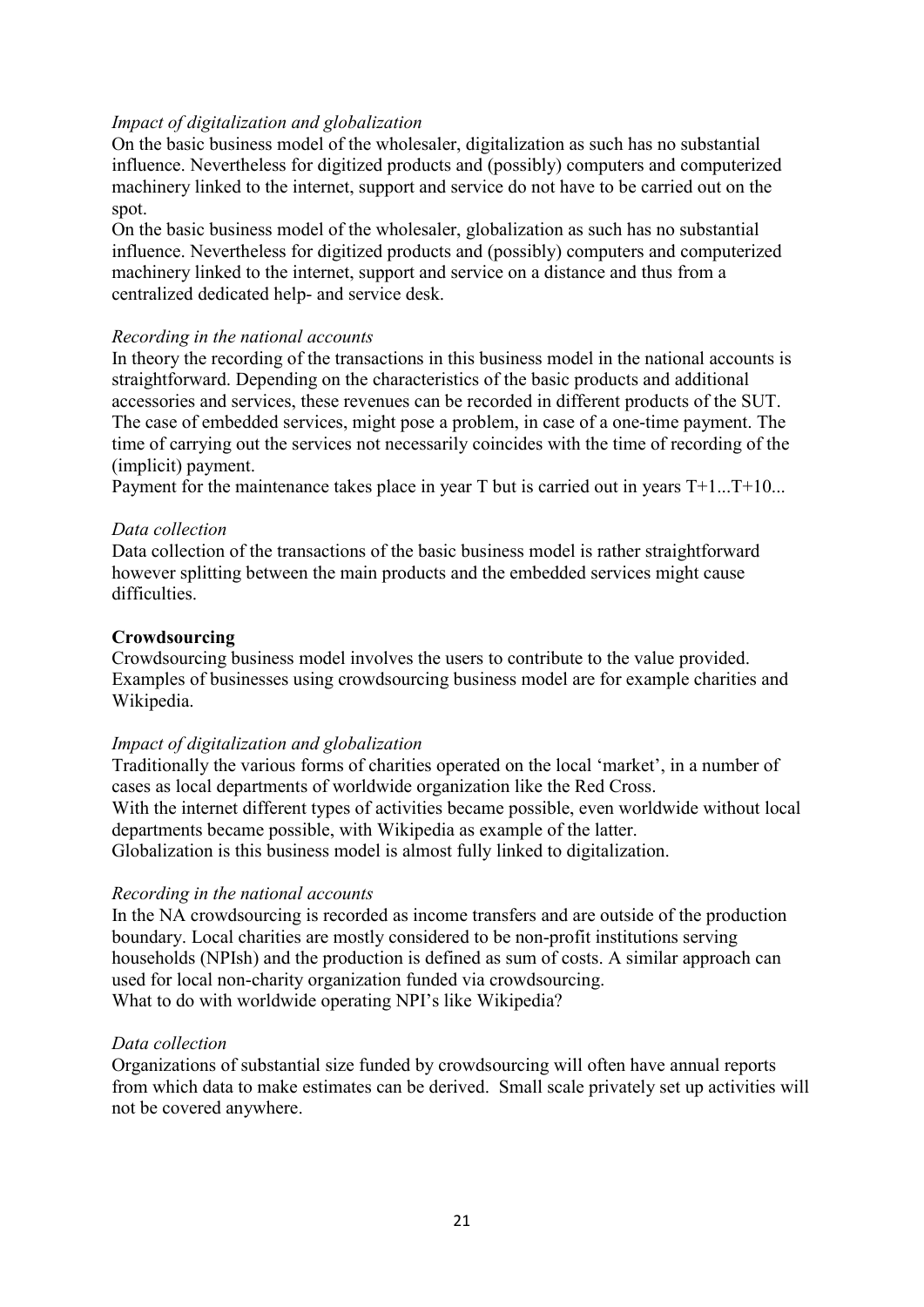On the basic business model of the wholesaler, digitalization as such has no substantial influence. Nevertheless for digitized products and (possibly) computers and computerized machinery linked to the internet, support and service do not have to be carried out on the spot.

On the basic business model of the wholesaler, globalization as such has no substantial influence. Nevertheless for digitized products and (possibly) computers and computerized machinery linked to the internet, support and service on a distance and thus from a centralized dedicated help- and service desk.

#### *Recording in the national accounts*

In theory the recording of the transactions in this business model in the national accounts is straightforward. Depending on the characteristics of the basic products and additional accessories and services, these revenues can be recorded in different products of the SUT. The case of embedded services, might pose a problem, in case of a one-time payment. The time of carrying out the services not necessarily coincides with the time of recording of the (implicit) payment.

Payment for the maintenance takes place in year T but is carried out in years T+1...T+10...

#### *Data collection*

Data collection of the transactions of the basic business model is rather straightforward however splitting between the main products and the embedded services might cause difficulties.

#### **Crowdsourcing**

Crowdsourcing business model involves the users to contribute to the value provided. Examples of businesses using crowdsourcing business model are for example charities and Wikipedia.

#### *Impact of digitalization and globalization*

Traditionally the various forms of charities operated on the local 'market', in a number of cases as local departments of worldwide organization like the Red Cross. With the internet different types of activities became possible, even worldwide without local departments became possible, with Wikipedia as example of the latter. Globalization is this business model is almost fully linked to digitalization.

#### *Recording in the national accounts*

In the NA crowdsourcing is recorded as income transfers and are outside of the production boundary. Local charities are mostly considered to be non-profit institutions serving households (NPIsh) and the production is defined as sum of costs. A similar approach can used for local non-charity organization funded via crowdsourcing. What to do with worldwide operating NPI's like Wikipedia?

#### *Data collection*

Organizations of substantial size funded by crowdsourcing will often have annual reports from which data to make estimates can be derived. Small scale privately set up activities will not be covered anywhere.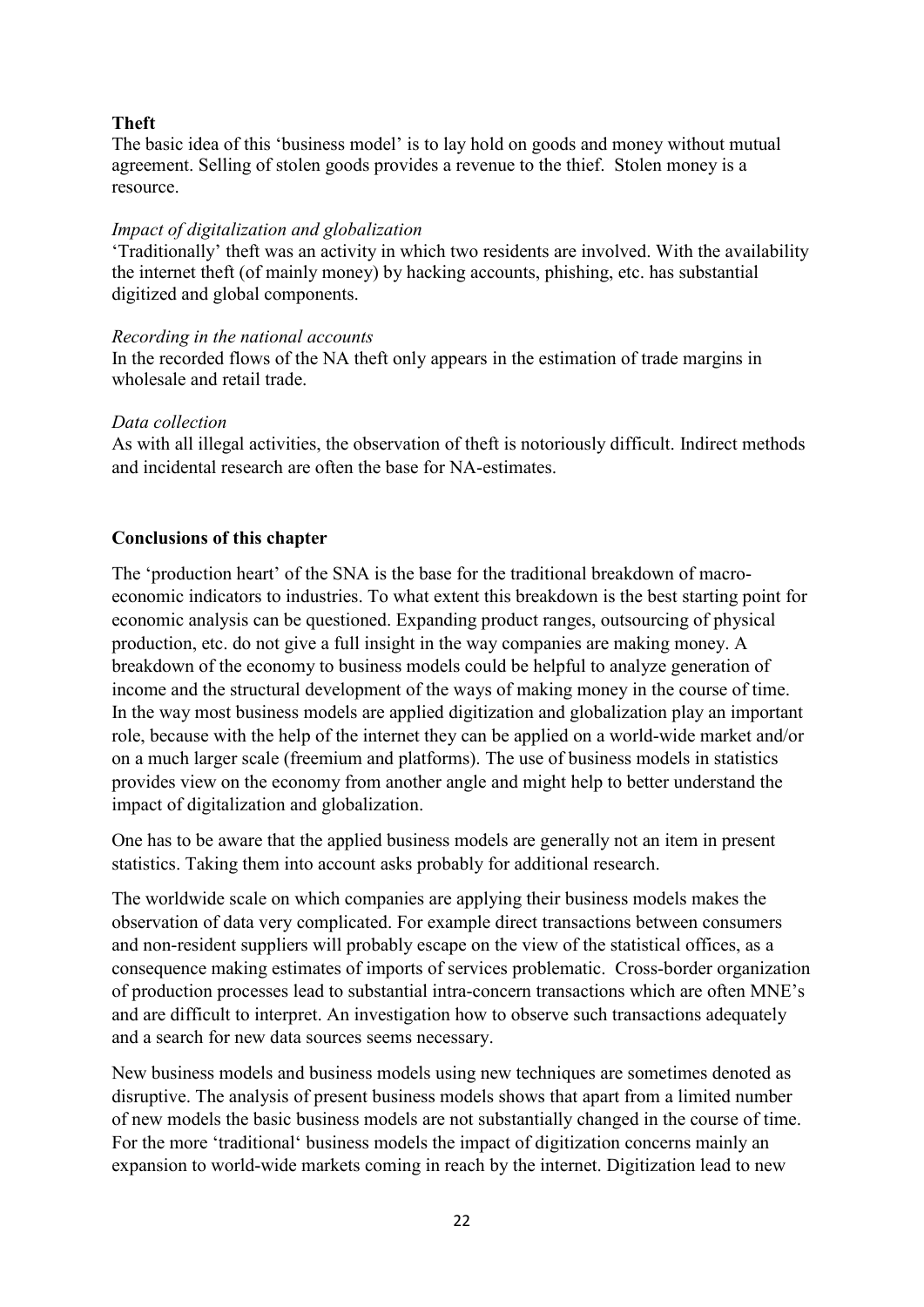# **Theft**

The basic idea of this 'business model' is to lay hold on goods and money without mutual agreement. Selling of stolen goods provides a revenue to the thief. Stolen money is a resource.

#### *Impact of digitalization and globalization*

'Traditionally' theft was an activity in which two residents are involved. With the availability the internet theft (of mainly money) by hacking accounts, phishing, etc. has substantial digitized and global components.

#### *Recording in the national accounts*

In the recorded flows of the NA theft only appears in the estimation of trade margins in wholesale and retail trade.

#### *Data collection*

As with all illegal activities, the observation of theft is notoriously difficult. Indirect methods and incidental research are often the base for NA-estimates.

# **Conclusions of this chapter**

The 'production heart' of the SNA is the base for the traditional breakdown of macroeconomic indicators to industries. To what extent this breakdown is the best starting point for economic analysis can be questioned. Expanding product ranges, outsourcing of physical production, etc. do not give a full insight in the way companies are making money. A breakdown of the economy to business models could be helpful to analyze generation of income and the structural development of the ways of making money in the course of time. In the way most business models are applied digitization and globalization play an important role, because with the help of the internet they can be applied on a world-wide market and/or on a much larger scale (freemium and platforms). The use of business models in statistics provides view on the economy from another angle and might help to better understand the impact of digitalization and globalization.

One has to be aware that the applied business models are generally not an item in present statistics. Taking them into account asks probably for additional research.

The worldwide scale on which companies are applying their business models makes the observation of data very complicated. For example direct transactions between consumers and non-resident suppliers will probably escape on the view of the statistical offices, as a consequence making estimates of imports of services problematic. Cross-border organization of production processes lead to substantial intra-concern transactions which are often MNE's and are difficult to interpret. An investigation how to observe such transactions adequately and a search for new data sources seems necessary.

New business models and business models using new techniques are sometimes denoted as disruptive. The analysis of present business models shows that apart from a limited number of new models the basic business models are not substantially changed in the course of time. For the more 'traditional' business models the impact of digitization concerns mainly an expansion to world-wide markets coming in reach by the internet. Digitization lead to new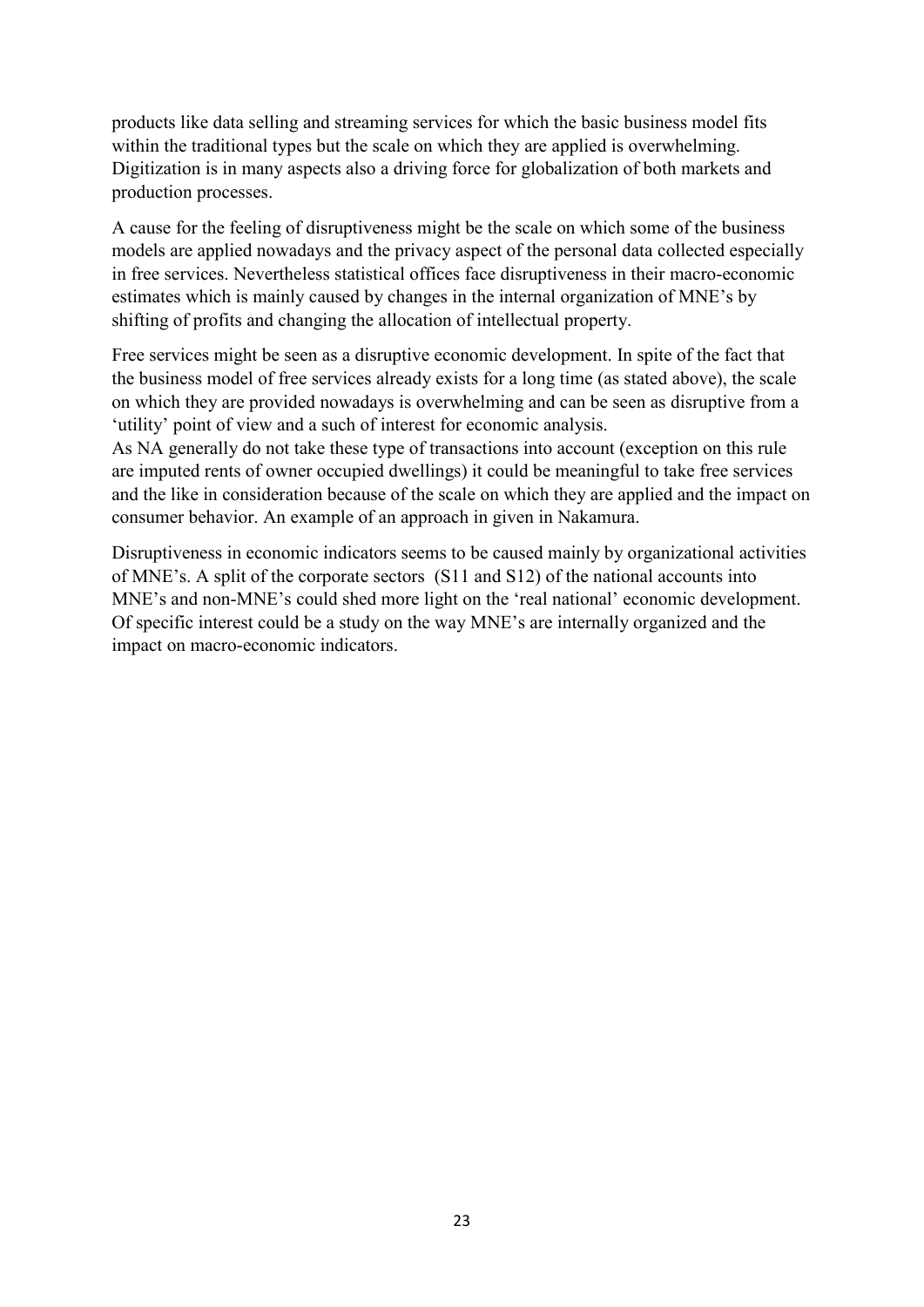products like data selling and streaming services for which the basic business model fits within the traditional types but the scale on which they are applied is overwhelming. Digitization is in many aspects also a driving force for globalization of both markets and production processes.

A cause for the feeling of disruptiveness might be the scale on which some of the business models are applied nowadays and the privacy aspect of the personal data collected especially in free services. Nevertheless statistical offices face disruptiveness in their macro-economic estimates which is mainly caused by changes in the internal organization of MNE's by shifting of profits and changing the allocation of intellectual property.

Free services might be seen as a disruptive economic development. In spite of the fact that the business model of free services already exists for a long time (as stated above), the scale on which they are provided nowadays is overwhelming and can be seen as disruptive from a 'utility' point of view and a such of interest for economic analysis.

As NA generally do not take these type of transactions into account (exception on this rule are imputed rents of owner occupied dwellings) it could be meaningful to take free services and the like in consideration because of the scale on which they are applied and the impact on consumer behavior. An example of an approach in given in Nakamura.

Disruptiveness in economic indicators seems to be caused mainly by organizational activities of MNE's. A split of the corporate sectors (S11 and S12) of the national accounts into MNE's and non-MNE's could shed more light on the 'real national' economic development. Of specific interest could be a study on the way MNE's are internally organized and the impact on macro-economic indicators.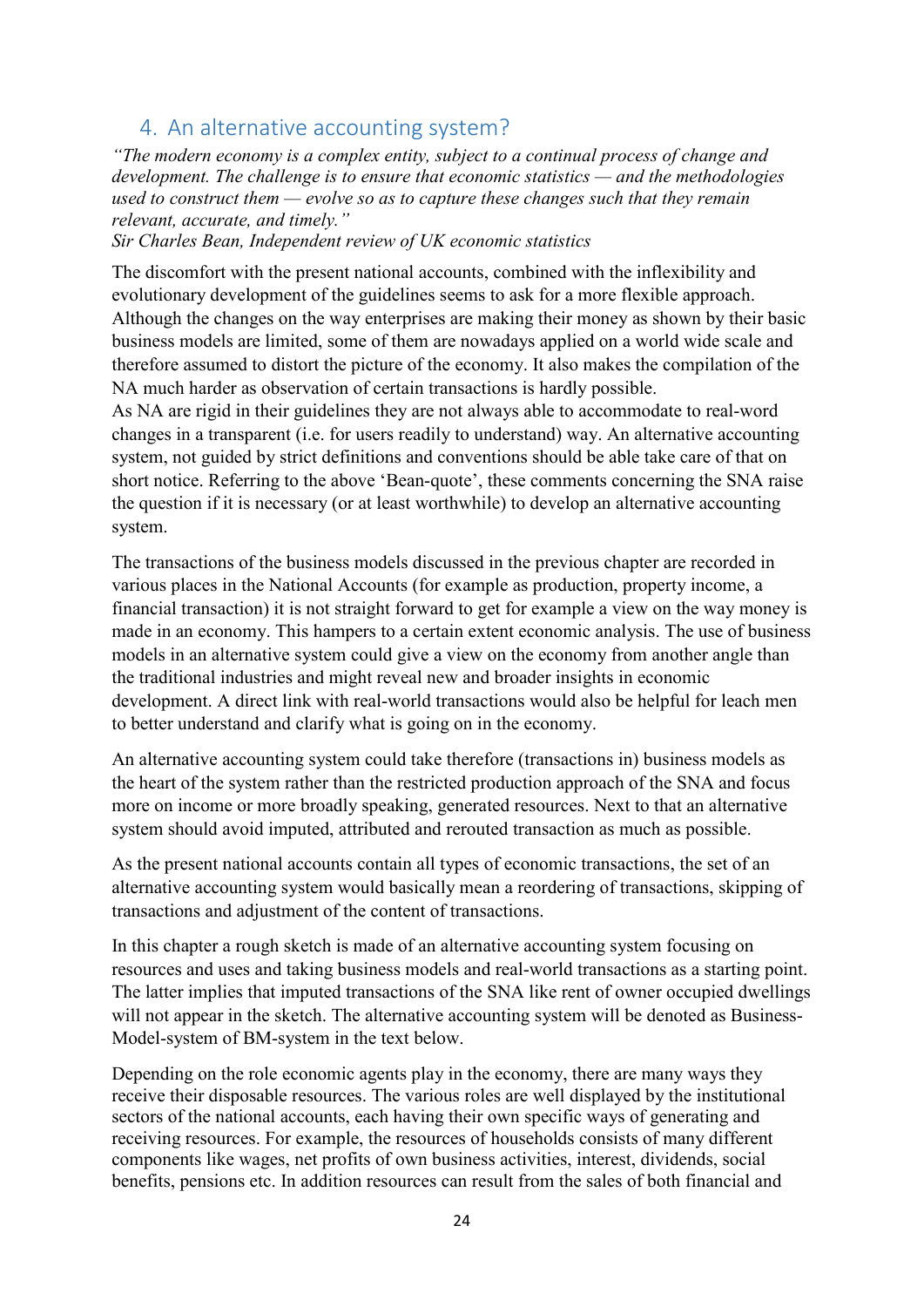# <span id="page-23-0"></span>4. An alternative accounting system?

*"The modern economy is a complex entity, subject to a continual process of change and development. The challenge is to ensure that economic statistics — and the methodologies used to construct them — evolve so as to capture these changes such that they remain relevant, accurate, and timely."*

*Sir Charles Bean, Independent review of UK economic statistics* 

The discomfort with the present national accounts, combined with the inflexibility and evolutionary development of the guidelines seems to ask for a more flexible approach. Although the changes on the way enterprises are making their money as shown by their basic business models are limited, some of them are nowadays applied on a world wide scale and therefore assumed to distort the picture of the economy. It also makes the compilation of the NA much harder as observation of certain transactions is hardly possible.

As NA are rigid in their guidelines they are not always able to accommodate to real-word changes in a transparent (i.e. for users readily to understand) way. An alternative accounting system, not guided by strict definitions and conventions should be able take care of that on short notice. Referring to the above 'Bean-quote', these comments concerning the SNA raise the question if it is necessary (or at least worthwhile) to develop an alternative accounting system.

The transactions of the business models discussed in the previous chapter are recorded in various places in the National Accounts (for example as production, property income, a financial transaction) it is not straight forward to get for example a view on the way money is made in an economy. This hampers to a certain extent economic analysis. The use of business models in an alternative system could give a view on the economy from another angle than the traditional industries and might reveal new and broader insights in economic development. A direct link with real-world transactions would also be helpful for leach men to better understand and clarify what is going on in the economy.

An alternative accounting system could take therefore (transactions in) business models as the heart of the system rather than the restricted production approach of the SNA and focus more on income or more broadly speaking, generated resources. Next to that an alternative system should avoid imputed, attributed and rerouted transaction as much as possible.

As the present national accounts contain all types of economic transactions, the set of an alternative accounting system would basically mean a reordering of transactions, skipping of transactions and adjustment of the content of transactions.

In this chapter a rough sketch is made of an alternative accounting system focusing on resources and uses and taking business models and real-world transactions as a starting point. The latter implies that imputed transactions of the SNA like rent of owner occupied dwellings will not appear in the sketch. The alternative accounting system will be denoted as Business-Model-system of BM-system in the text below.

Depending on the role economic agents play in the economy, there are many ways they receive their disposable resources. The various roles are well displayed by the institutional sectors of the national accounts, each having their own specific ways of generating and receiving resources. For example, the resources of households consists of many different components like wages, net profits of own business activities, interest, dividends, social benefits, pensions etc. In addition resources can result from the sales of both financial and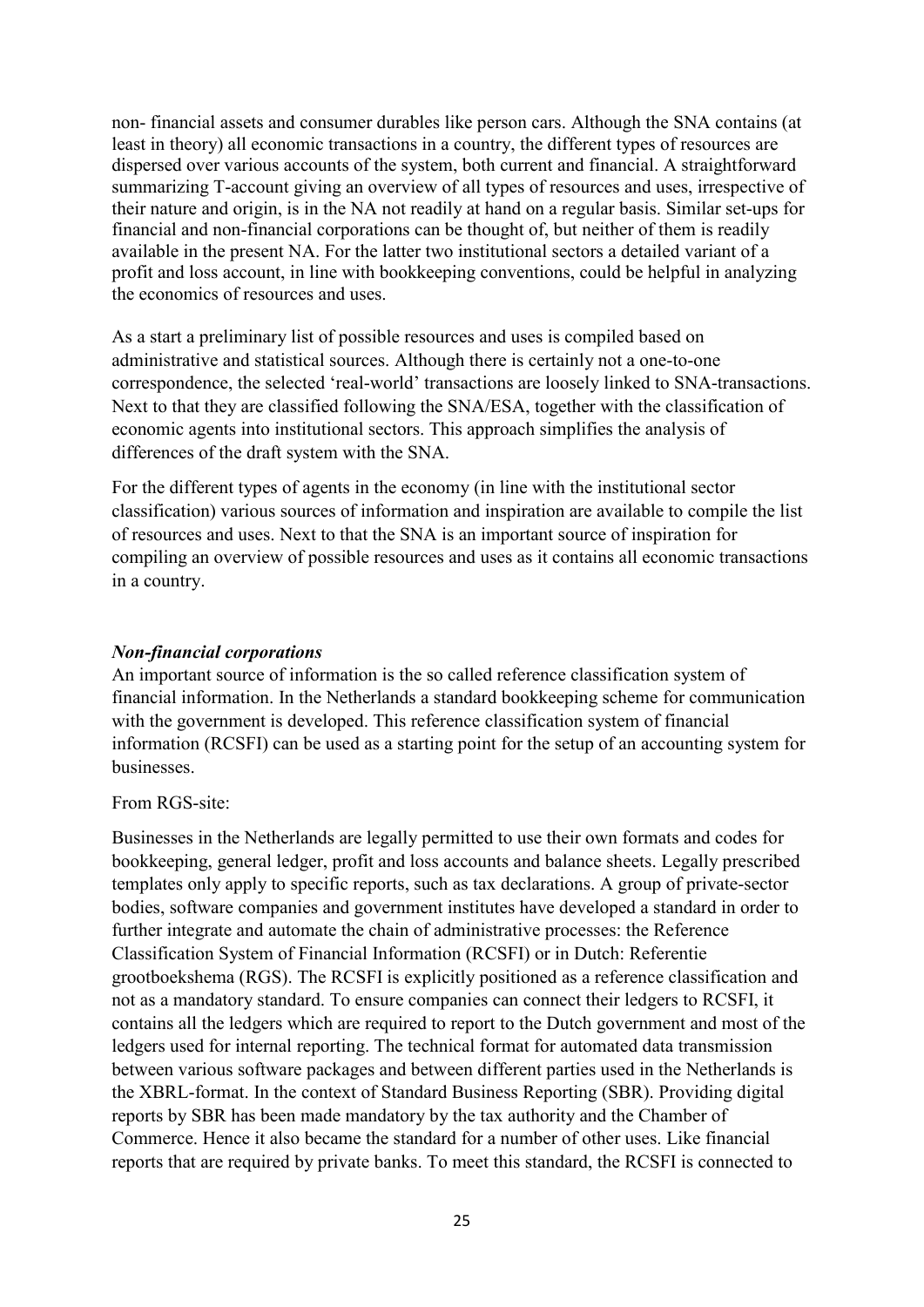non- financial assets and consumer durables like person cars. Although the SNA contains (at least in theory) all economic transactions in a country, the different types of resources are dispersed over various accounts of the system, both current and financial. A straightforward summarizing T-account giving an overview of all types of resources and uses, irrespective of their nature and origin, is in the NA not readily at hand on a regular basis. Similar set-ups for financial and non-financial corporations can be thought of, but neither of them is readily available in the present NA. For the latter two institutional sectors a detailed variant of a profit and loss account, in line with bookkeeping conventions, could be helpful in analyzing the economics of resources and uses.

As a start a preliminary list of possible resources and uses is compiled based on administrative and statistical sources. Although there is certainly not a one-to-one correspondence, the selected 'real-world' transactions are loosely linked to SNA-transactions. Next to that they are classified following the SNA/ESA, together with the classification of economic agents into institutional sectors. This approach simplifies the analysis of differences of the draft system with the SNA.

For the different types of agents in the economy (in line with the institutional sector classification) various sources of information and inspiration are available to compile the list of resources and uses. Next to that the SNA is an important source of inspiration for compiling an overview of possible resources and uses as it contains all economic transactions in a country.

#### *Non-financial corporations*

An important source of information is the so called reference classification system of financial information. In the Netherlands a standard bookkeeping scheme for communication with the government is developed. This reference classification system of financial information (RCSFI) can be used as a starting point for the setup of an accounting system for businesses.

#### From RGS-site:

Businesses in the Netherlands are legally permitted to use their own formats and codes for bookkeeping, general ledger, profit and loss accounts and balance sheets. Legally prescribed templates only apply to specific reports, such as tax declarations. A group of private-sector bodies, software companies and government institutes have developed a standard in order to further integrate and automate the chain of administrative processes: the Reference Classification System of Financial Information (RCSFI) or in Dutch: Referentie grootboekshema (RGS). The RCSFI is explicitly positioned as a reference classification and not as a mandatory standard. To ensure companies can connect their ledgers to RCSFI, it contains all the ledgers which are required to report to the Dutch government and most of the ledgers used for internal reporting. The technical format for automated data transmission between various software packages and between different parties used in the Netherlands is the XBRL-format. In the context of Standard Business Reporting (SBR). Providing digital reports by SBR has been made mandatory by the tax authority and the Chamber of Commerce. Hence it also became the standard for a number of other uses. Like financial reports that are required by private banks. To meet this standard, the RCSFI is connected to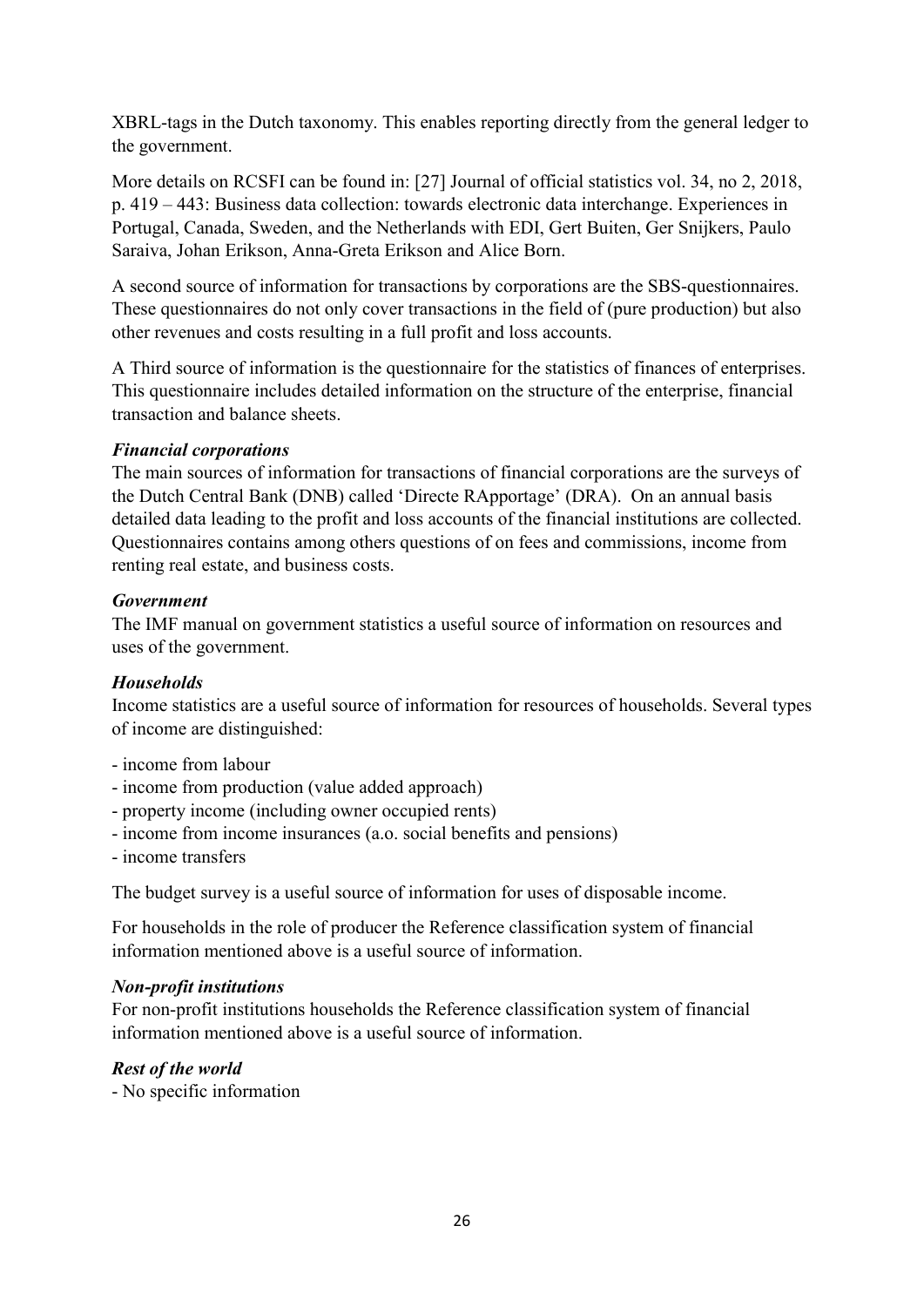XBRL-tags in the Dutch taxonomy. This enables reporting directly from the general ledger to the government.

More details on RCSFI can be found in: [27] Journal of official statistics vol. 34, no 2, 2018, p. 419 – 443: Business data collection: towards electronic data interchange. Experiences in Portugal, Canada, Sweden, and the Netherlands with EDI, Gert Buiten, Ger Snijkers, Paulo Saraiva, Johan Erikson, Anna-Greta Erikson and Alice Born.

A second source of information for transactions by corporations are the SBS-questionnaires. These questionnaires do not only cover transactions in the field of (pure production) but also other revenues and costs resulting in a full profit and loss accounts.

A Third source of information is the questionnaire for the statistics of finances of enterprises. This questionnaire includes detailed information on the structure of the enterprise, financial transaction and balance sheets.

# *Financial corporations*

The main sources of information for transactions of financial corporations are the surveys of the Dutch Central Bank (DNB) called 'Directe RApportage' (DRA). On an annual basis detailed data leading to the profit and loss accounts of the financial institutions are collected. Questionnaires contains among others questions of on fees and commissions, income from renting real estate, and business costs.

# *Government*

The IMF manual on government statistics a useful source of information on resources and uses of the government.

# *Households*

Income statistics are a useful source of information for resources of households. Several types of income are distinguished:

- income from labour
- income from production (value added approach)
- property income (including owner occupied rents)
- income from income insurances (a.o. social benefits and pensions)
- income transfers

The budget survey is a useful source of information for uses of disposable income.

For households in the role of producer the Reference classification system of financial information mentioned above is a useful source of information.

# *Non-profit institutions*

For non-profit institutions households the Reference classification system of financial information mentioned above is a useful source of information.

# *Rest of the world*

- No specific information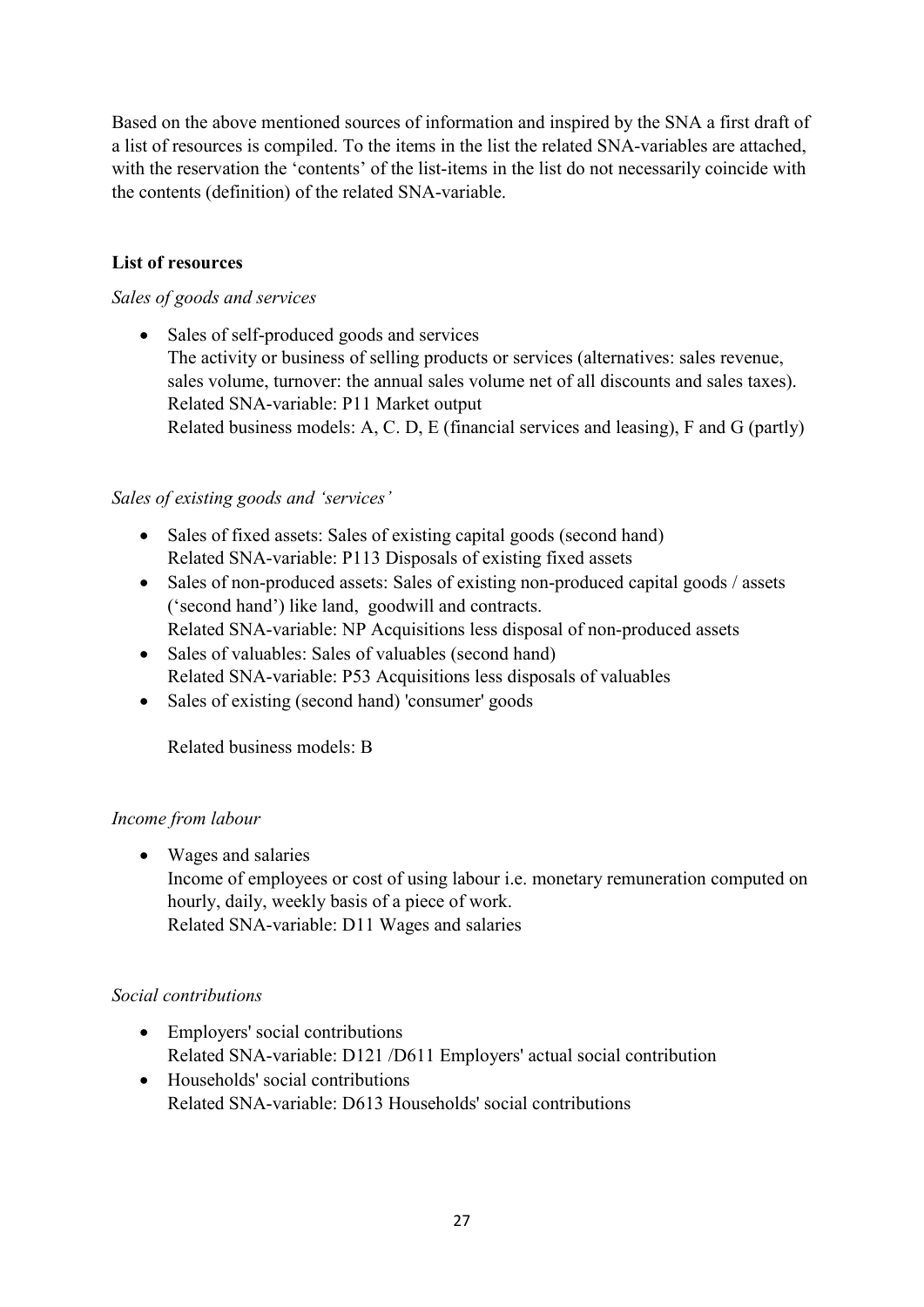Based on the above mentioned sources of information and inspired by the SNA a first draft of a list of resources is compiled. To the items in the list the related SNA-variables are attached, with the reservation the 'contents' of the list-items in the list do not necessarily coincide with the contents (definition) of the related SNA-variable.

# **List of resources**

# *Sales of goods and services*

• Sales of self-produced goods and services The activity or business of selling products or services (alternatives: sales revenue, sales volume, turnover: the annual sales volume net of all discounts and sales taxes). Related SNA-variable: P11 Market output Related business models: A, C. D, E (financial services and leasing), F and G (partly)

# *Sales of existing goods and 'services'*

- Sales of fixed assets: Sales of existing capital goods (second hand) Related SNA-variable: P113 Disposals of existing fixed assets
- Sales of non-produced assets: Sales of existing non-produced capital goods / assets ('second hand') like land, goodwill and contracts. Related SNA-variable: NP Acquisitions less disposal of non-produced assets
- Sales of valuables: Sales of valuables (second hand) Related SNA-variable: P53 Acquisitions less disposals of valuables
- Sales of existing (second hand) 'consumer' goods

Related business models: B

# *Income from labour*

• Wages and salaries Income of employees or cost of using labour i.e. monetary remuneration computed on hourly, daily, weekly basis of a piece of work. Related SNA-variable: D11 Wages and salaries

# *Social contributions*

- Employers' social contributions Related SNA-variable: D121 /D611 Employers' actual social contribution
- Households' social contributions Related SNA-variable: D613 Households' social contributions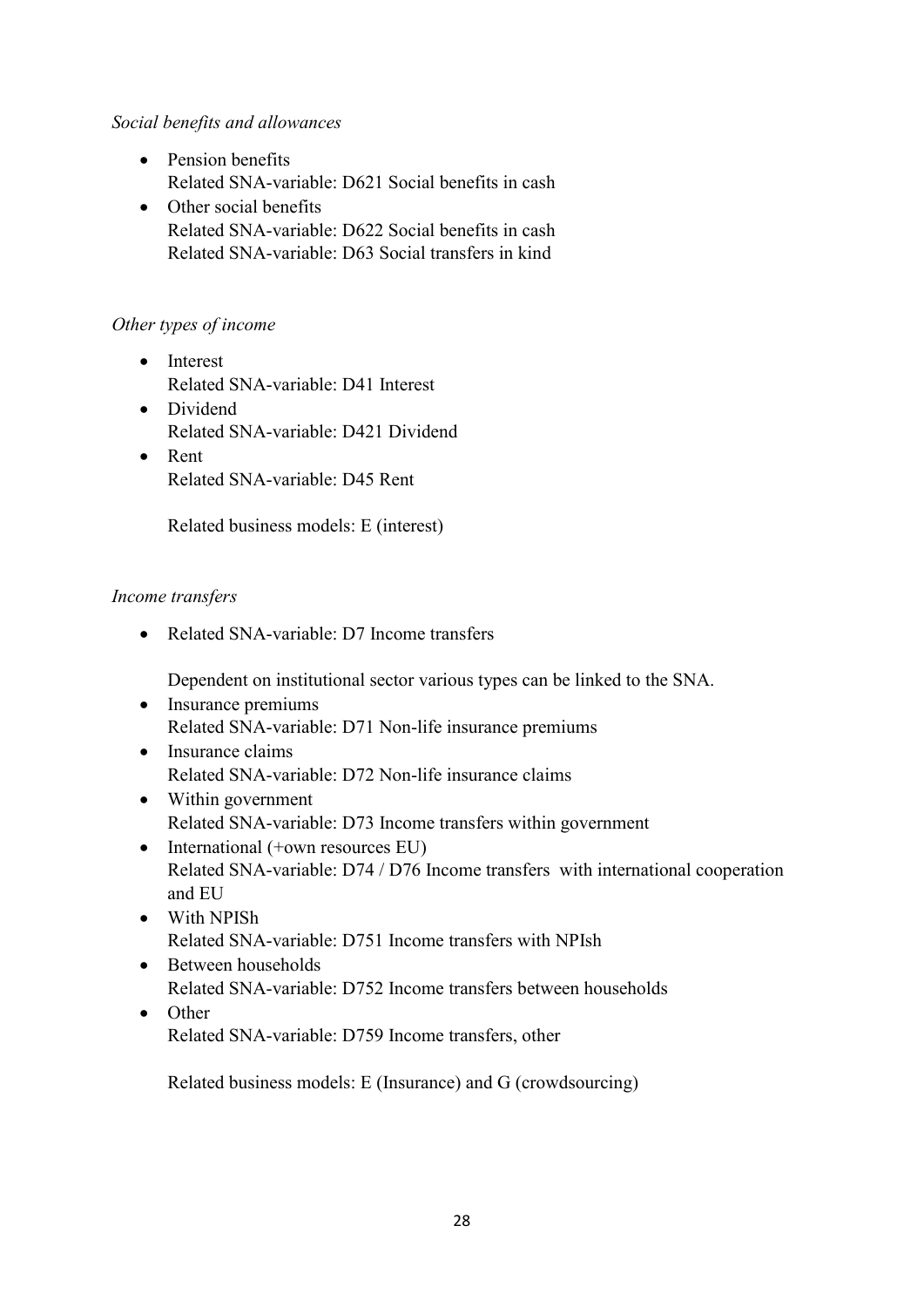# *Social benefits and allowances*

- Pension benefits Related SNA-variable: D621 Social benefits in cash
- Other social benefits Related SNA-variable: D622 Social benefits in cash Related SNA-variable: D63 Social transfers in kind

# *Other types of income*

- Interest Related SNA-variable: D41 Interest
- Dividend Related SNA-variable: D421 Dividend
- Rent Related SNA-variable: D45 Rent

Related business models: E (interest)

# *Income transfers*

• Related SNA-variable: D7 Income transfers

Dependent on institutional sector various types can be linked to the SNA.

- Insurance premiums Related SNA-variable: D71 Non-life insurance premiums
- Insurance claims Related SNA-variable: D72 Non-life insurance claims
- Within government Related SNA-variable: D73 Income transfers within government
- International (+own resources EU) Related SNA-variable: D74 / D76 Income transfers with international cooperation and EU
- With NPISh Related SNA-variable: D751 Income transfers with NPIsh
- Between households Related SNA-variable: D752 Income transfers between households
- Other Related SNA-variable: D759 Income transfers, other

Related business models: E (Insurance) and G (crowdsourcing)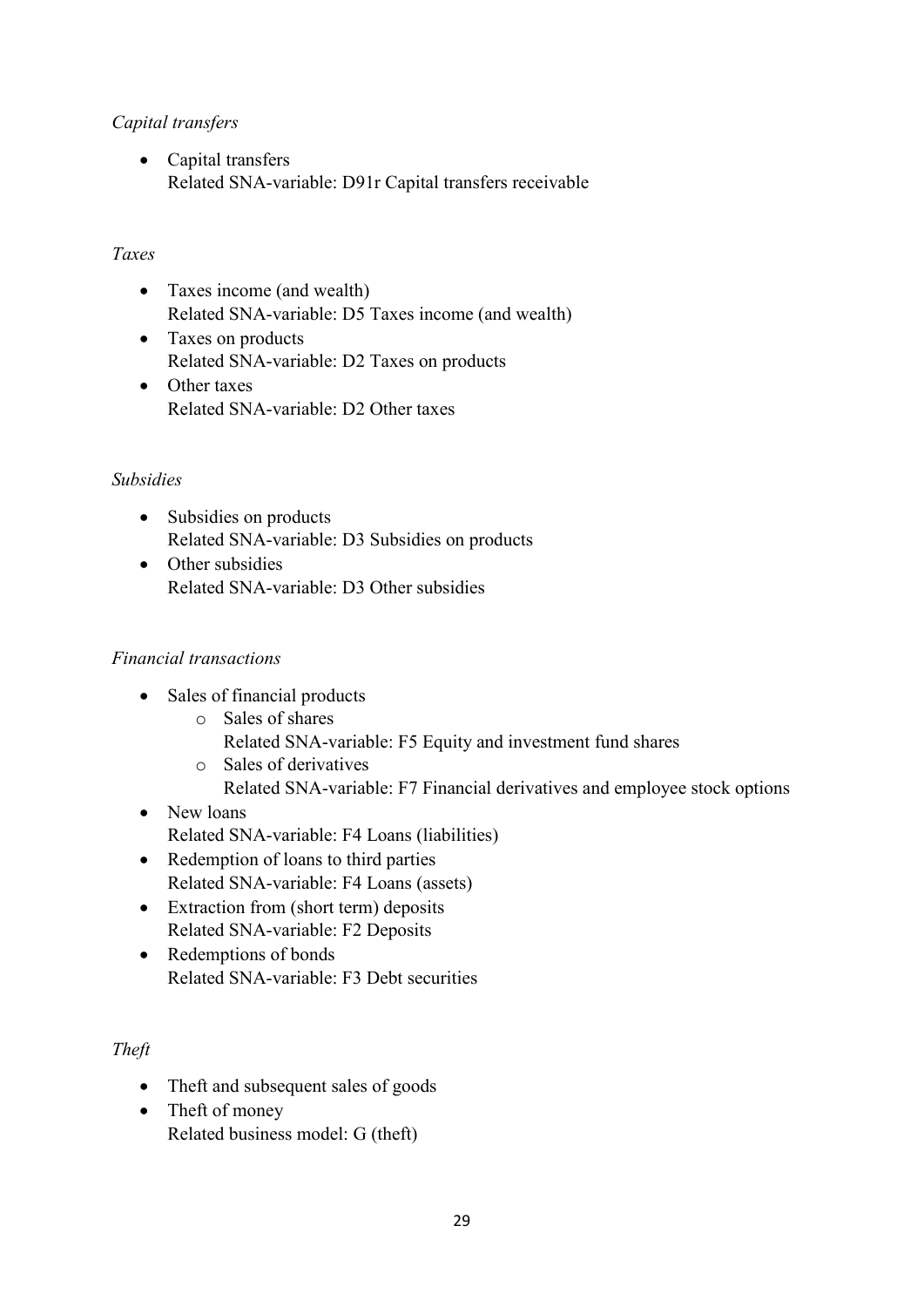# *Capital transfers*

• Capital transfers Related SNA-variable: D91r Capital transfers receivable

# *Taxes*

- Taxes income (and wealth) Related SNA-variable: D5 Taxes income (and wealth)
- Taxes on products Related SNA-variable: D2 Taxes on products
- Other taxes Related SNA-variable: D2 Other taxes

# *Subsidies*

- Subsidies on products Related SNA-variable: D3 Subsidies on products
- Other subsidies Related SNA-variable: D3 Other subsidies

# *Financial transactions*

- Sales of financial products
	- o Sales of shares Related SNA-variable: F5 Equity and investment fund shares
	- o Sales of derivatives Related SNA-variable: F7 Financial derivatives and employee stock options
- New loans Related SNA-variable: F4 Loans (liabilities)
- Redemption of loans to third parties Related SNA-variable: F4 Loans (assets)
- Extraction from (short term) deposits Related SNA-variable: F2 Deposits
- Redemptions of bonds Related SNA-variable: F3 Debt securities

# *Theft*

- Theft and subsequent sales of goods
- Theft of money Related business model: G (theft)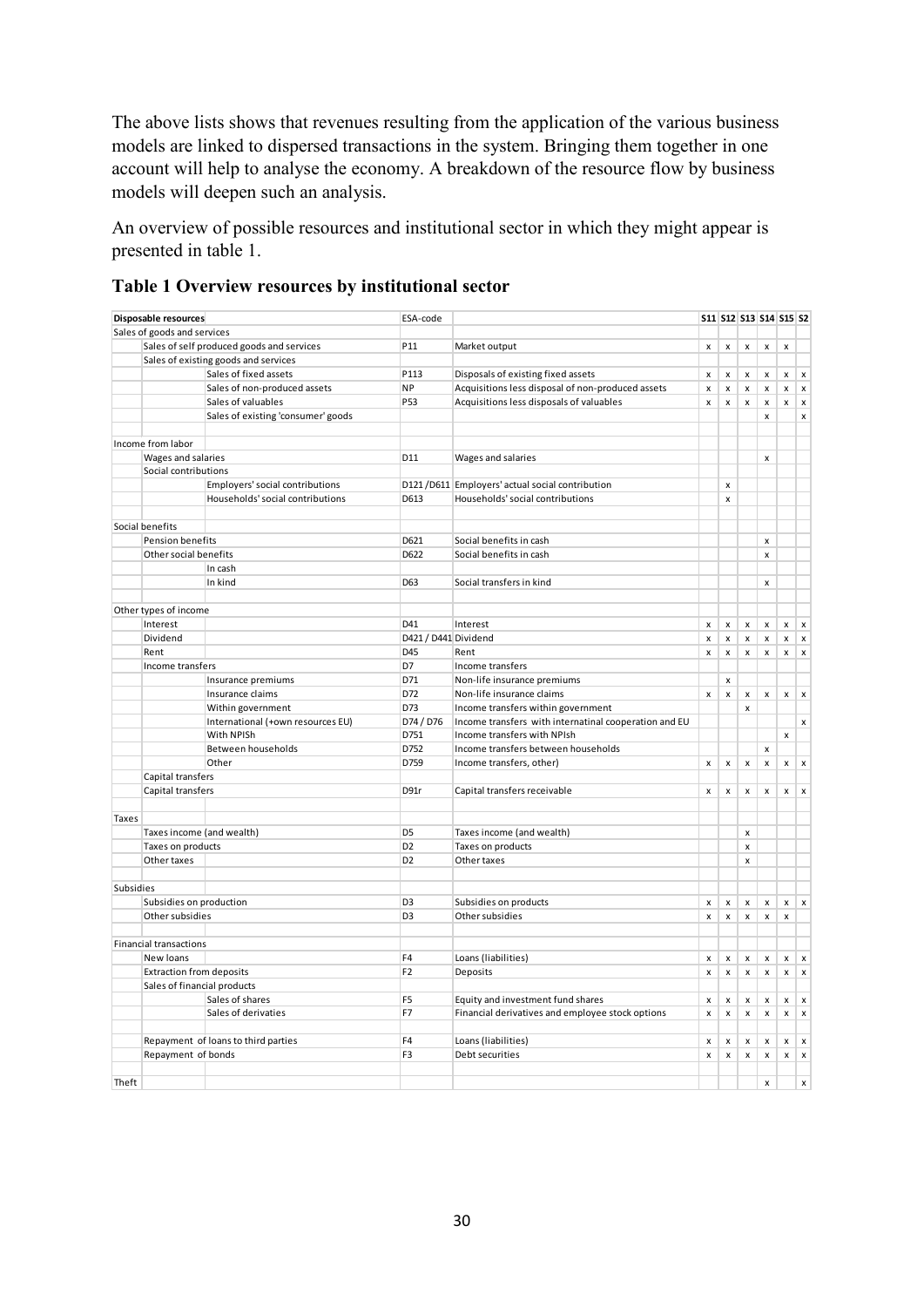The above lists shows that revenues resulting from the application of the various business models are linked to dispersed transactions in the system. Bringing them together in one account will help to analyse the economy. A breakdown of the resource flow by business models will deepen such an analysis.

An overview of possible resources and institutional sector in which they might appear is presented in table 1.

|  |  | Table 1 Overview resources by institutional sector |  |
|--|--|----------------------------------------------------|--|
|  |  |                                                    |  |

|           | Disposable resources            |                                           | ESA-code             |                                                       |                                          |                                    |                                    |                                | S11 S12 S13 S14 S15 S2 |                           |
|-----------|---------------------------------|-------------------------------------------|----------------------|-------------------------------------------------------|------------------------------------------|------------------------------------|------------------------------------|--------------------------------|------------------------|---------------------------|
|           | Sales of goods and services     |                                           |                      |                                                       |                                          |                                    |                                    |                                |                        |                           |
|           |                                 | Sales of self produced goods and services | P <sub>11</sub>      | Market output                                         | x                                        | x                                  | $\pmb{\mathsf{x}}$                 | $\pmb{\mathsf{x}}$             | $\pmb{\mathsf{x}}$     |                           |
|           |                                 | Sales of existing goods and services      |                      |                                                       |                                          |                                    |                                    |                                |                        |                           |
|           |                                 | Sales of fixed assets                     | P113                 | Disposals of existing fixed assets                    | x                                        | $\pmb{\mathsf{x}}$                 | x                                  | x                              | $\mathsf{x}$           | $\pmb{\times}$            |
|           |                                 | Sales of non-produced assets              | <b>NP</b>            | Acquisitions less disposal of non-produced assets     | x                                        | $\pmb{\mathsf{x}}$                 | $\pmb{\mathsf{x}}$                 | $\mathsf{x}$                   | $\pmb{\mathsf{x}}$     | $\pmb{\times}$            |
|           |                                 | Sales of valuables                        | P <sub>53</sub>      | Acquisitions less disposals of valuables              | $\mathsf{x}$                             | $\pmb{\times}$                     | $\pmb{\mathsf{x}}$                 | $\pmb{\mathsf{x}}$             |                        | $x \mid x$                |
|           |                                 | Sales of existing 'consumer' goods        |                      |                                                       |                                          |                                    |                                    | $\pmb{\times}$                 |                        | $\pmb{\times}$            |
|           |                                 |                                           |                      |                                                       |                                          |                                    |                                    |                                |                        |                           |
|           | Income from labor               |                                           |                      |                                                       |                                          |                                    |                                    |                                |                        |                           |
|           | Wages and salaries              |                                           | D11                  | Wages and salaries                                    |                                          |                                    |                                    | $\pmb{\times}$                 |                        |                           |
|           | Social contributions            |                                           |                      |                                                       |                                          |                                    |                                    |                                |                        |                           |
|           |                                 | Employers' social contributions           |                      | D121 / D611 Employers' actual social contribution     |                                          | $\mathsf{x}$                       |                                    |                                |                        |                           |
|           |                                 | Households' social contributions          | D613                 | Households' social contributions                      |                                          | $\mathsf{x}$                       |                                    |                                |                        |                           |
|           | Social benefits                 |                                           |                      |                                                       |                                          |                                    |                                    |                                |                        |                           |
|           | Pension benefits                |                                           | D621                 | Social benefits in cash                               |                                          |                                    |                                    | $\mathsf{x}$                   |                        |                           |
|           | Other social benefits           |                                           | D622                 | Social benefits in cash                               |                                          |                                    |                                    | $\mathsf{x}$                   |                        |                           |
|           |                                 | In cash                                   |                      |                                                       |                                          |                                    |                                    |                                |                        |                           |
|           |                                 | In kind                                   | D63                  | Social transfers in kind                              |                                          |                                    |                                    | $\mathsf{x}$                   |                        |                           |
|           |                                 |                                           |                      |                                                       |                                          |                                    |                                    |                                |                        |                           |
|           | Other types of income           |                                           |                      |                                                       |                                          |                                    |                                    |                                |                        |                           |
|           | Interest                        |                                           | D41                  | Interest                                              | X                                        | $\pmb{\mathsf{x}}$                 | $\pmb{\mathsf{x}}$                 | $\pmb{\mathsf{x}}$             | $\mathsf{x}$           | $\pmb{\chi}$              |
|           | Dividend                        |                                           | D421 / D441 Dividend |                                                       | $\pmb{\mathsf{x}}$                       | $\pmb{\times}$                     | $\pmb{\mathsf{x}}$                 | $\pmb{\times}$                 | $\mathsf{x}$           | $\pmb{\times}$            |
|           | Rent                            |                                           | D45                  | Rent                                                  | x                                        | $\pmb{\mathsf{x}}$                 | $\pmb{\mathsf{x}}$                 | $\boldsymbol{\mathsf{x}}$      | x                      | $\pmb{\times}$            |
|           | Income transfers                |                                           | D7                   | Income transfers                                      |                                          |                                    |                                    |                                |                        |                           |
|           |                                 | Insurance premiums                        | D71                  | Non-life insurance premiums                           |                                          | $\pmb{\mathsf{x}}$                 |                                    |                                |                        |                           |
|           |                                 | Insurance claims                          | D72                  | Non-life insurance claims                             | $\pmb{\times}$                           | $\pmb{\mathsf{x}}$                 | $\pmb{\times}$                     | $\pmb{\times}$                 | $\pmb{\times}$         | $\boldsymbol{\mathsf{x}}$ |
|           |                                 | Within government                         | D73                  | Income transfers within government                    |                                          |                                    | $\pmb{\times}$                     |                                |                        |                           |
|           |                                 | International (+own resources EU)         | D74 / D76            | Income transfers with internatinal cooperation and EU |                                          |                                    |                                    |                                |                        | $\pmb{\times}$            |
|           |                                 | With NPISh                                | D751                 | Income transfers with NPIsh                           |                                          |                                    |                                    |                                | x                      |                           |
|           |                                 | Between households                        | D752                 | Income transfers between households                   |                                          |                                    |                                    | $\pmb{\times}$                 |                        |                           |
|           |                                 | Other                                     | D759                 | Income transfers, other)                              | $\pmb{\mathsf{x}}$                       | $\pmb{\mathsf{x}}$                 | $\pmb{\mathsf{x}}$                 | x                              | x                      | $\pmb{\mathsf{x}}$        |
|           | Capital transfers               |                                           |                      |                                                       |                                          |                                    |                                    |                                |                        |                           |
|           | Capital transfers               |                                           | D91r                 | Capital transfers receivable                          | $\pmb{\mathsf{x}}$                       | $\pmb{\mathsf{x}}$                 | $\pmb{\mathsf{x}}$                 | $\pmb{\times}$                 | $\mathsf{x}$           | $\pmb{\times}$            |
|           |                                 |                                           |                      |                                                       |                                          |                                    |                                    |                                |                        |                           |
| Taxes     |                                 |                                           |                      |                                                       |                                          |                                    |                                    |                                |                        |                           |
|           | Taxes income (and wealth)       |                                           | D <sub>5</sub>       | Taxes income (and wealth)                             |                                          |                                    | $\pmb{\mathsf{x}}$                 |                                |                        |                           |
|           | Taxes on products               |                                           | D <sub>2</sub>       | Taxes on products                                     |                                          |                                    | $\pmb{\mathsf{x}}$                 |                                |                        |                           |
|           | Other taxes                     |                                           | D <sub>2</sub>       | Other taxes                                           |                                          |                                    | $\mathsf{x}$                       |                                |                        |                           |
|           |                                 |                                           |                      |                                                       |                                          |                                    |                                    |                                |                        |                           |
| Subsidies | Subsidies on production         |                                           | D <sub>3</sub>       |                                                       |                                          |                                    |                                    |                                |                        |                           |
|           | Other subsidies                 |                                           | D <sub>3</sub>       | Subsidies on products<br>Other subsidies              | $\pmb{\mathsf{x}}$<br>$\pmb{\mathsf{x}}$ | $\pmb{\mathsf{x}}$<br>$\mathsf{x}$ | $\pmb{\mathsf{x}}$<br>$\mathsf{x}$ | $\pmb{\times}$<br>$\mathsf{x}$ | x<br>$\mathsf{x}$      | $\pmb{\times}$            |
|           |                                 |                                           |                      |                                                       |                                          |                                    |                                    |                                |                        |                           |
|           | <b>Financial transactions</b>   |                                           |                      |                                                       |                                          |                                    |                                    |                                |                        |                           |
|           | New loans                       |                                           | F <sub>4</sub>       | Loans (liabilities)                                   | $\pmb{\mathsf{x}}$                       | $\pmb{\mathsf{x}}$                 | $\pmb{\mathsf{x}}$                 | x                              | x                      | $\pmb{\times}$            |
|           | <b>Extraction from deposits</b> |                                           | F <sub>2</sub>       | Deposits                                              | $\mathsf{x}$                             | $\pmb{\mathsf{x}}$                 | $\pmb{\times}$                     | $\pmb{\times}$                 | $\pmb{\times}$         | $\pmb{\times}$            |
|           | Sales of financial products     |                                           |                      |                                                       |                                          |                                    |                                    |                                |                        |                           |
|           |                                 | Sales of shares                           | F <sub>5</sub>       | Equity and investment fund shares                     | $\pmb{\mathsf{x}}$                       | $\pmb{\mathsf{x}}$                 | $\pmb{\mathsf{x}}$                 | $\pmb{\times}$                 | $\pmb{\times}$         | $\mathsf{x}$              |
|           |                                 | Sales of derivaties                       | F7                   | Financial derivatives and employee stock options      | $\mathsf{x}$                             | $\mathsf{x}$                       | $\mathsf{x}$                       | $\mathsf{x}$                   | $\mathsf{x}$           | $\mathsf{x}$              |
|           |                                 |                                           |                      |                                                       |                                          |                                    |                                    |                                |                        |                           |
|           |                                 |                                           |                      |                                                       | $\pmb{\mathsf{x}}$                       | $\pmb{\mathsf{x}}$                 | $\pmb{\mathsf{x}}$                 | $\mathsf{x}$                   | $\mathsf{x}$           | $\pmb{\times}$            |
|           |                                 |                                           | F4                   |                                                       |                                          |                                    |                                    |                                |                        |                           |
|           | Repayment of bonds              | Repayment of loans to third parties       | F <sub>3</sub>       | Loans (liabilities)<br>Debt securities                | x                                        | $\pmb{\times}$                     | $\pmb{\mathsf{x}}$                 | x                              | $\pmb{\mathsf{x}}$     | $\pmb{\times}$            |
|           |                                 |                                           |                      |                                                       |                                          |                                    |                                    |                                |                        |                           |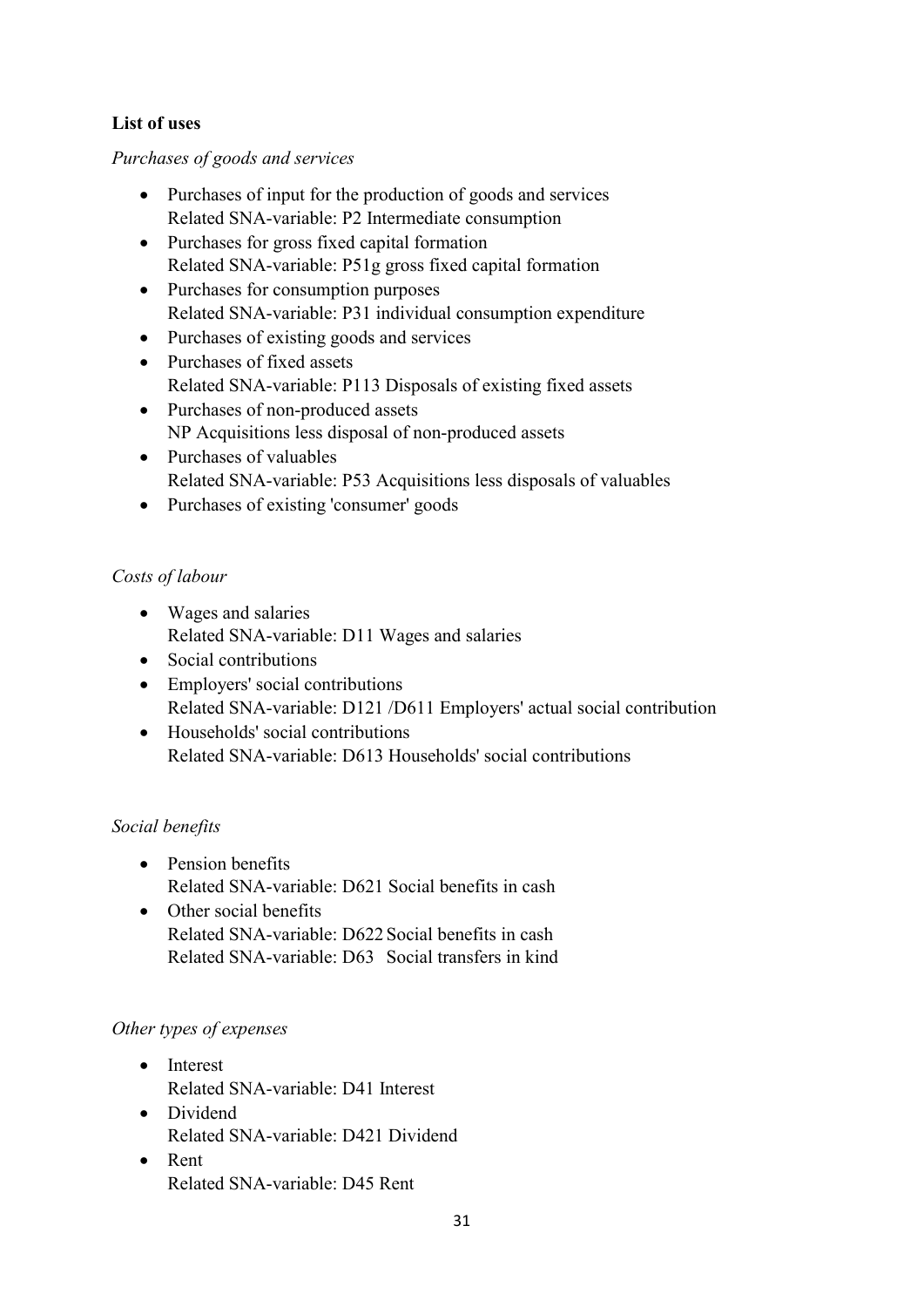# **List of uses**

# *Purchases of goods and services*

- Purchases of input for the production of goods and services Related SNA-variable: P2 Intermediate consumption
- Purchases for gross fixed capital formation Related SNA-variable: P51g gross fixed capital formation
- Purchases for consumption purposes Related SNA-variable: P31 individual consumption expenditure
- Purchases of existing goods and services
- Purchases of fixed assets Related SNA-variable: P113 Disposals of existing fixed assets
- Purchases of non-produced assets NP Acquisitions less disposal of non-produced assets
- Purchases of valuables Related SNA-variable: P53 Acquisitions less disposals of valuables
- Purchases of existing 'consumer' goods

# *Costs of labour*

- Wages and salaries Related SNA-variable: D11 Wages and salaries
- Social contributions
- Employers' social contributions Related SNA-variable: D121 /D611 Employers' actual social contribution
- Households' social contributions Related SNA-variable: D613 Households' social contributions

# *Social benefits*

- Pension benefits Related SNA-variable: D621 Social benefits in cash
- Other social benefits Related SNA-variable: D622 Social benefits in cash Related SNA-variable: D63 Social transfers in kind

# *Other types of expenses*

- Interest Related SNA-variable: D41 Interest
- Dividend Related SNA-variable: D421 Dividend
- Rent Related SNA-variable: D45 Rent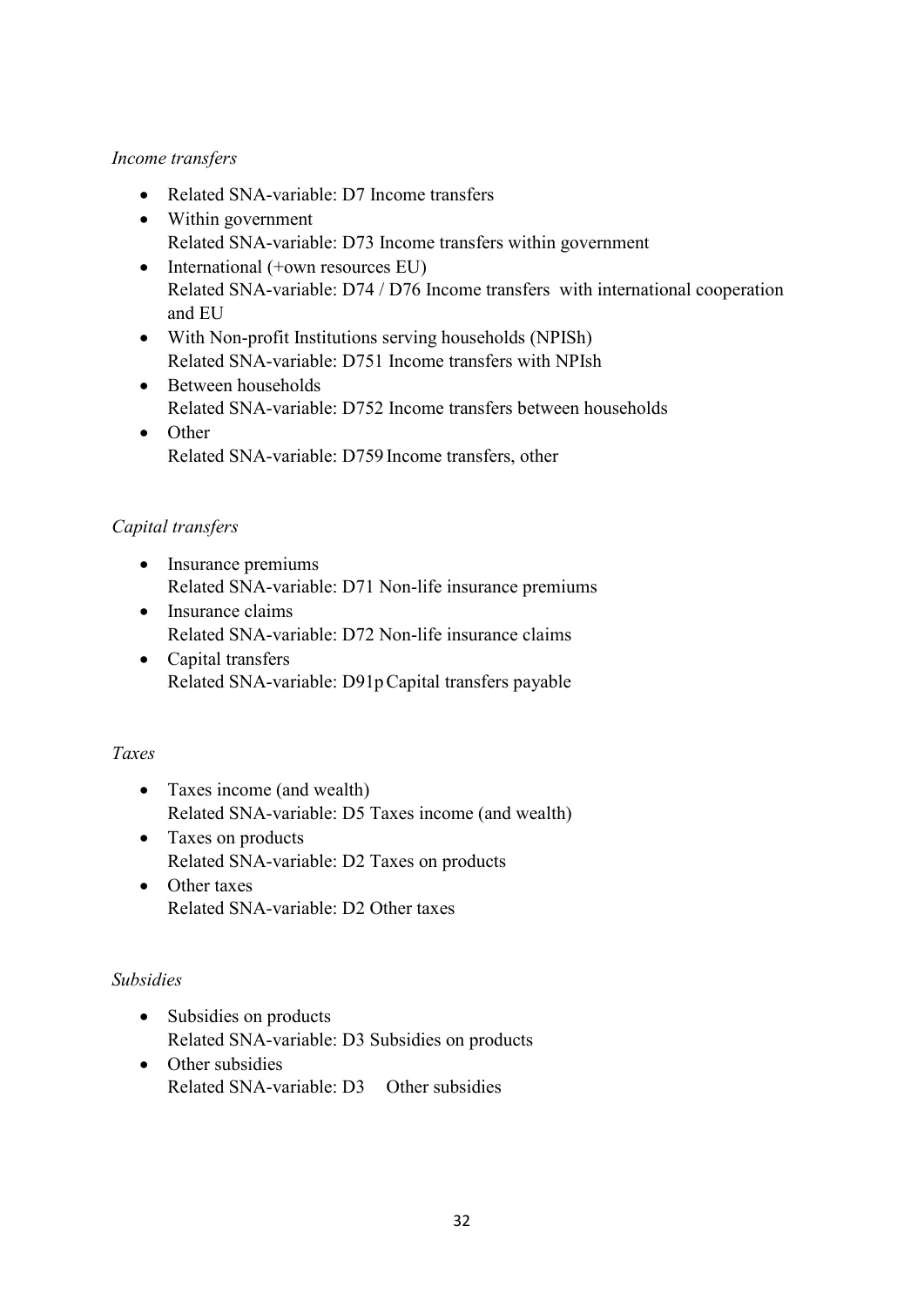# *Income transfers*

- Related SNA-variable: D7 Income transfers
- Within government Related SNA-variable: D73 Income transfers within government
- International (+own resources EU) Related SNA-variable: D74 / D76 Income transfers with international cooperation and EU
- With Non-profit Institutions serving households (NPISh) Related SNA-variable: D751 Income transfers with NPIsh
- Between households Related SNA-variable: D752 Income transfers between households
- Other Related SNA-variable: D759 Income transfers, other

# *Capital transfers*

- Insurance premiums Related SNA-variable: D71 Non-life insurance premiums
- Insurance claims Related SNA-variable: D72 Non-life insurance claims
- Capital transfers Related SNA-variable: D91pCapital transfers payable

# *Taxes*

- Taxes income (and wealth) Related SNA-variable: D5 Taxes income (and wealth)
- Taxes on products Related SNA-variable: D2 Taxes on products
- Other taxes Related SNA-variable: D2 Other taxes

# *Subsidies*

- Subsidies on products Related SNA-variable: D3 Subsidies on products
- Other subsidies Related SNA-variable: D3 Other subsidies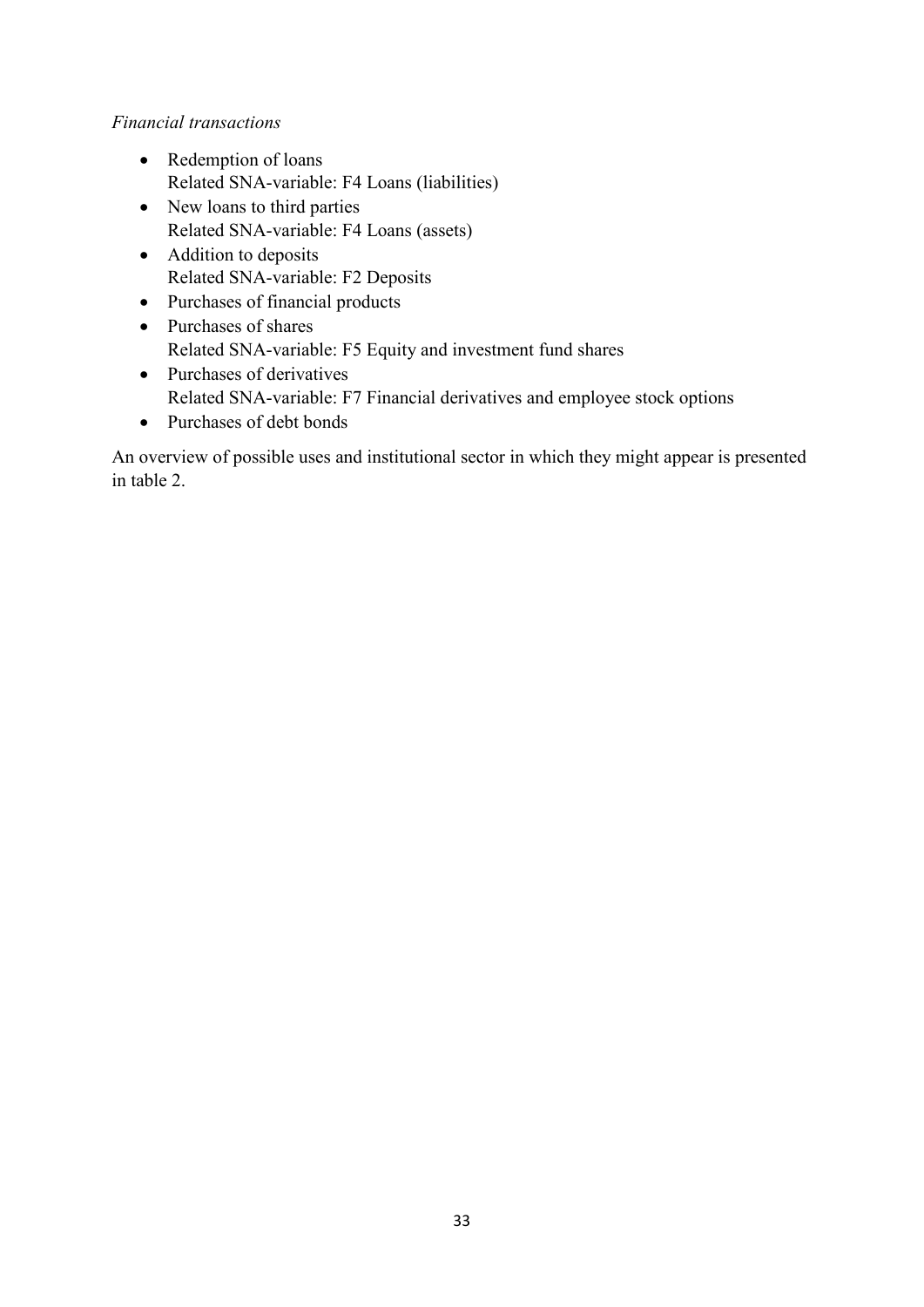# *Financial transactions*

- Redemption of loans Related SNA-variable: F4 Loans (liabilities)
- New loans to third parties Related SNA-variable: F4 Loans (assets)
- Addition to deposits Related SNA-variable: F2 Deposits
- Purchases of financial products
- Purchases of shares Related SNA-variable: F5 Equity and investment fund shares
- Purchases of derivatives Related SNA-variable: F7 Financial derivatives and employee stock options
- Purchases of debt bonds

An overview of possible uses and institutional sector in which they might appear is presented in table 2.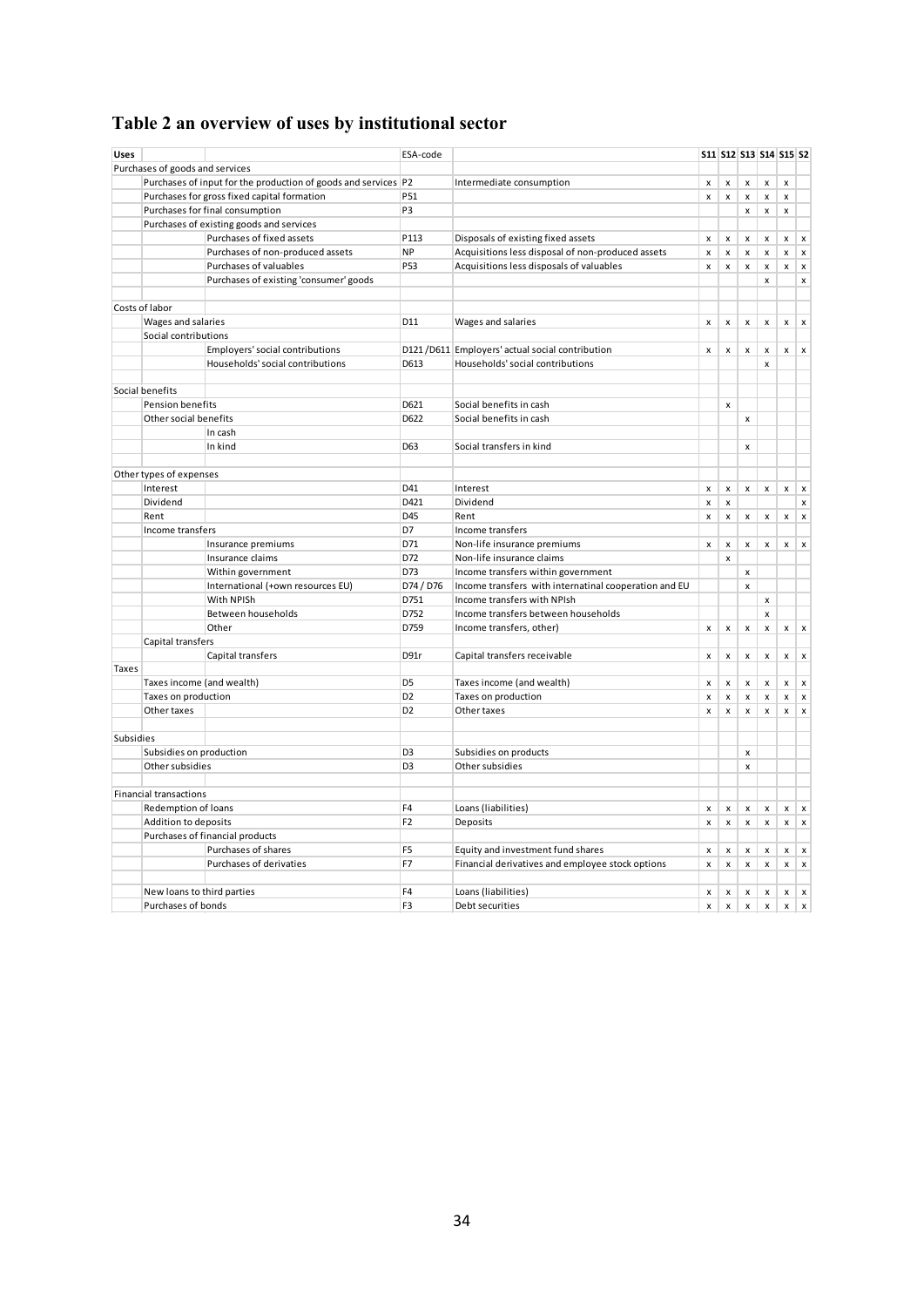# **Table 2 an overview of uses by institutional sector**

| <b>Uses</b> |                                 |                                                                | ESA-code        |                                                       |                    | S11 S12 S13 S14 S15 S2 |                    |                           |                    |                           |
|-------------|---------------------------------|----------------------------------------------------------------|-----------------|-------------------------------------------------------|--------------------|------------------------|--------------------|---------------------------|--------------------|---------------------------|
|             | Purchases of goods and services |                                                                |                 |                                                       |                    |                        |                    |                           |                    |                           |
|             |                                 | Purchases of input for the production of goods and services P2 |                 | Intermediate consumption                              | x                  | $\pmb{\times}$         | $\pmb{\mathsf{x}}$ | $\pmb{\mathsf{x}}$        | $\mathsf{x}$       |                           |
|             |                                 | Purchases for gross fixed capital formation                    | P51             |                                                       | x                  | $\pmb{\mathsf{x}}$     | $\pmb{\mathsf{x}}$ | $\pmb{\mathsf{x}}$        | $\pmb{\mathsf{x}}$ |                           |
|             | Purchases for final consumption |                                                                | P <sub>3</sub>  |                                                       |                    |                        | $\pmb{\times}$     | x                         | $\pmb{\times}$     |                           |
|             |                                 | Purchases of existing goods and services                       |                 |                                                       |                    |                        |                    |                           |                    |                           |
|             |                                 | Purchases of fixed assets                                      | P113            | Disposals of existing fixed assets                    | X                  | $\pmb{\times}$         | $\pmb{\times}$     | x                         | x                  | $\pmb{\times}$            |
|             |                                 | Purchases of non-produced assets                               | <b>NP</b>       | Acquisitions less disposal of non-produced assets     | x                  | $\pmb{\mathsf{x}}$     | $\pmb{\mathsf{x}}$ | $\pmb{\times}$            | $\pmb{\mathsf{x}}$ | $\pmb{\times}$            |
|             |                                 | Purchases of valuables                                         | P53             | Acquisitions less disposals of valuables              | x                  | $\pmb{\mathsf{x}}$     | $\pmb{\times}$     | $\pmb{\times}$            | $\pmb{\times}$     | $\pmb{\times}$            |
|             |                                 | Purchases of existing 'consumer' goods                         |                 |                                                       |                    |                        |                    | $\pmb{\mathsf{x}}$        |                    | $\pmb{\mathsf{x}}$        |
|             | Costs of labor                  |                                                                |                 |                                                       |                    |                        |                    |                           |                    |                           |
|             | Wages and salaries              |                                                                | D11             | Wages and salaries                                    | x                  | $\pmb{\mathsf{x}}$     | $\pmb{\times}$     | x                         | x                  | $\pmb{\times}$            |
|             | Social contributions            |                                                                |                 |                                                       |                    |                        |                    |                           |                    |                           |
|             |                                 | Employers' social contributions                                |                 | D121 / D611 Employers' actual social contribution     | $\pmb{\mathsf{x}}$ | $\pmb{\mathsf{x}}$     | $\pmb{\times}$     | $\pmb{\times}$            | $\pmb{\mathsf{x}}$ | $\pmb{\times}$            |
|             |                                 | Households' social contributions                               | D613            | Households' social contributions                      |                    |                        |                    | $\boldsymbol{\mathsf{x}}$ |                    |                           |
|             |                                 |                                                                |                 |                                                       |                    |                        |                    |                           |                    |                           |
|             | Social benefits                 |                                                                |                 |                                                       |                    |                        |                    |                           |                    |                           |
|             | Pension benefits                |                                                                | D621            | Social benefits in cash                               |                    | $\pmb{\mathsf{x}}$     |                    |                           |                    |                           |
|             | Other social benefits           |                                                                | D622            | Social benefits in cash                               |                    |                        | $\pmb{\mathsf{x}}$ |                           |                    |                           |
|             |                                 | In cash                                                        |                 |                                                       |                    |                        |                    |                           |                    |                           |
|             |                                 | In kind                                                        | D <sub>63</sub> | Social transfers in kind                              |                    |                        | $\pmb{\times}$     |                           |                    |                           |
|             |                                 |                                                                |                 |                                                       |                    |                        |                    |                           |                    |                           |
|             | Other types of expenses         |                                                                |                 |                                                       |                    |                        |                    |                           |                    |                           |
|             | Interest                        |                                                                | D41             | Interest                                              | x                  | $\pmb{\times}$         | x                  | x                         | $\pmb{\mathsf{x}}$ | $\pmb{\times}$            |
|             | Dividend                        |                                                                | D421            | Dividend                                              | x                  | $\pmb{\mathsf{x}}$     |                    |                           |                    | $\pmb{\mathsf{x}}$        |
|             | Rent                            |                                                                | D45             | Rent                                                  | $\mathsf{x}$       | $\pmb{\times}$         | $\pmb{\times}$     | $\pmb{\mathsf{x}}$        | x                  | $\pmb{\times}$            |
|             | Income transfers                |                                                                | D7              | Income transfers                                      |                    |                        |                    |                           |                    |                           |
|             |                                 | Insurance premiums                                             | D71             | Non-life insurance premiums                           | $\pmb{\mathsf{x}}$ | $\pmb{\times}$         | $\pmb{\times}$     | $\pmb{\times}$            | $\pmb{\times}$     | $\mathsf{x}$              |
|             |                                 | Insurance claims                                               | D72             | Non-life insurance claims                             |                    | $\mathsf{x}$           |                    |                           |                    |                           |
|             |                                 | Within government                                              | D73             | Income transfers within government                    |                    |                        | $\pmb{\mathsf{x}}$ |                           |                    |                           |
|             |                                 | International (+own resources EU)                              | D74 / D76       | Income transfers with internatinal cooperation and EU |                    |                        | $\pmb{\mathsf{x}}$ |                           |                    |                           |
|             |                                 | With NPISh                                                     | D751            | Income transfers with NPIsh                           |                    |                        |                    | $\pmb{\mathsf{x}}$        |                    |                           |
|             |                                 | Between households                                             | D752            | Income transfers between households                   |                    |                        |                    | $\pmb{\mathsf{x}}$        |                    |                           |
|             |                                 | Other                                                          | D759            | Income transfers, other)                              | $\pmb{\times}$     | $\pmb{\mathsf{x}}$     | $\pmb{\mathsf{x}}$ | x                         | x                  | $\pmb{\times}$            |
|             | Capital transfers               |                                                                |                 |                                                       |                    |                        |                    |                           |                    |                           |
|             |                                 | Capital transfers                                              | D91r            | Capital transfers receivable                          | x                  | $\pmb{\times}$         | x                  | x                         | $\mathsf{x}$       | $\mathbf{x}$              |
| Taxes       |                                 |                                                                |                 |                                                       |                    |                        |                    |                           |                    |                           |
|             |                                 | Taxes income (and wealth)                                      | D <sub>5</sub>  | Taxes income (and wealth)                             | X                  | x                      | $\pmb{\mathsf{x}}$ | x                         | $\pmb{\times}$     | $\pmb{\times}$            |
|             | Taxes on production             |                                                                | D <sub>2</sub>  | Taxes on production                                   | X                  | $\pmb{\mathsf{x}}$     | $\pmb{\times}$     | $\pmb{\mathsf{x}}$        | $\pmb{\times}$     | $\boldsymbol{\mathsf{x}}$ |
|             | Other taxes                     |                                                                | D <sub>2</sub>  | Other taxes                                           | $\mathsf{x}$       | $\pmb{\mathsf{x}}$     | $\mathsf{x}$       | $\mathsf{x}$              | x                  | $\pmb{\times}$            |
|             |                                 |                                                                |                 |                                                       |                    |                        |                    |                           |                    |                           |
| Subsidies   |                                 |                                                                |                 |                                                       |                    |                        |                    |                           |                    |                           |
|             | Subsidies on production         |                                                                | D <sub>3</sub>  | Subsidies on products                                 |                    |                        | $\pmb{\times}$     |                           |                    |                           |
|             | Other subsidies                 |                                                                | D <sub>3</sub>  | Other subsidies                                       |                    |                        | $\pmb{\times}$     |                           |                    |                           |
|             | <b>Financial transactions</b>   |                                                                |                 |                                                       |                    |                        |                    |                           |                    |                           |
|             | Redemption of loans             |                                                                | F4              | Loans (liabilities)                                   | x                  | x                      | $\pmb{\mathsf{x}}$ | x                         | x                  | $\pmb{\times}$            |
|             | Addition to deposits            |                                                                | F <sub>2</sub>  | Deposits                                              | $\mathsf{x}$       | $\pmb{\times}$         | $\pmb{\mathsf{x}}$ | $\pmb{\mathsf{x}}$        | $\pmb{\times}$     | $\boldsymbol{\mathsf{x}}$ |
|             |                                 | Purchases of financial products                                |                 |                                                       |                    |                        |                    |                           |                    |                           |
|             |                                 | Purchases of shares                                            | F <sub>5</sub>  | Equity and investment fund shares                     | x                  | x                      | x                  | x                         | x                  | $\pmb{\times}$            |
|             |                                 | Purchases of derivaties                                        | F7              | Financial derivatives and employee stock options      | $\mathsf{x}$       | $\mathsf{x}$           | $\pmb{\times}$     | $\mathsf{x}$              | $\pmb{\times}$     | $\boldsymbol{\mathsf{x}}$ |
|             |                                 |                                                                |                 |                                                       |                    |                        |                    |                           |                    |                           |
|             |                                 | New loans to third parties                                     | F <sub>4</sub>  | Loans (liabilities)                                   | x                  | x                      | x                  | x                         | x                  | $\pmb{\times}$            |
|             | Purchases of bonds              |                                                                | F <sub>3</sub>  | Debt securities                                       | x                  | $\pmb{\times}$         | $\pmb{\times}$     | $\mathsf{x}$              | x                  | $\mathsf{x}$              |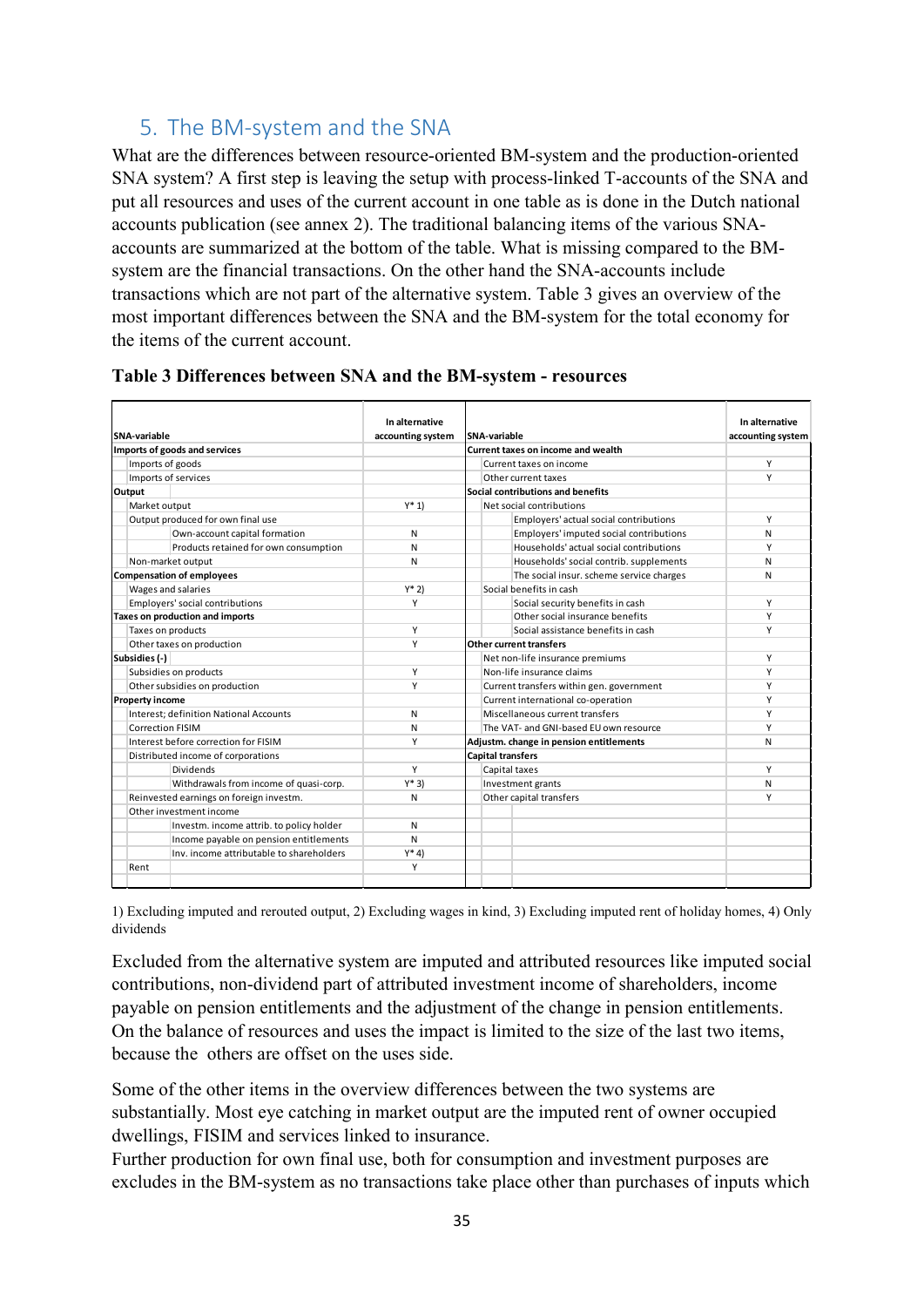# <span id="page-34-0"></span>5. The BM-system and the SNA

What are the differences between resource-oriented BM-system and the production-oriented SNA system? A first step is leaving the setup with process-linked T-accounts of the SNA and put all resources and uses of the current account in one table as is done in the Dutch national accounts publication (see annex 2). The traditional balancing items of the various SNAaccounts are summarized at the bottom of the table. What is missing compared to the BMsystem are the financial transactions. On the other hand the SNA-accounts include transactions which are not part of the alternative system. Table 3 gives an overview of the most important differences between the SNA and the BM-system for the total economy for the items of the current account.

|                                        |                                          | In alternative    |  |                                          | In alternative    |
|----------------------------------------|------------------------------------------|-------------------|--|------------------------------------------|-------------------|
| SNA-variable                           |                                          | accounting system |  | <b>SNA-variable</b>                      | accounting system |
|                                        | Imports of goods and services            |                   |  | Current taxes on income and wealth       |                   |
| Imports of goods                       |                                          |                   |  | Current taxes on income                  | Υ                 |
|                                        | Imports of services                      |                   |  | Other current taxes                      | Y                 |
| Output                                 |                                          |                   |  | Social contributions and benefits        |                   |
| Market output                          |                                          | $Y^* 1$           |  | Net social contributions                 |                   |
|                                        | Output produced for own final use        |                   |  | Employers' actual social contributions   | Y                 |
|                                        | Own-account capital formation            | N                 |  | Employers' imputed social contributions  | N                 |
|                                        | Products retained for own consumption    | N                 |  | Households' actual social contributions  | Υ                 |
|                                        | Non-market output                        | N                 |  | Households' social contrib. supplements  | N                 |
|                                        | <b>Compensation of employees</b>         |                   |  | The social insur. scheme service charges | N                 |
|                                        | Wages and salaries                       | $Y^*$ 2)          |  | Social benefits in cash                  |                   |
|                                        | Employers' social contributions          | Υ                 |  | Social security benefits in cash         | Υ                 |
| <b>Taxes on production and imports</b> |                                          |                   |  | Other social insurance benefits          | Υ                 |
| Taxes on products                      |                                          | Υ                 |  | Social assistance benefits in cash       | Υ                 |
| Other taxes on production              |                                          | Υ                 |  | <b>Other current transfers</b>           |                   |
| Subsidies (-)                          |                                          |                   |  | Net non-life insurance premiums          | Υ                 |
|                                        | Subsidies on products                    | Υ                 |  | Non-life insurance claims                | Υ                 |
|                                        | Other subsidies on production            | Υ                 |  | Current transfers within gen. government | Υ                 |
| <b>Property income</b>                 |                                          |                   |  | Current international co-operation       | Υ                 |
|                                        | Interest; definition National Accounts   | N                 |  | Miscellaneous current transfers          | Υ                 |
| <b>Correction FISIM</b>                |                                          | N                 |  | The VAT- and GNI-based EU own resource   | Υ                 |
|                                        | Interest before correction for FISIM     | Υ                 |  | Adjustm. change in pension entitlements  | N                 |
|                                        | Distributed income of corporations       |                   |  | <b>Capital transfers</b>                 |                   |
|                                        | Dividends                                | Υ                 |  | Capital taxes                            | Υ                 |
|                                        | Withdrawals from income of quasi-corp.   | $Y*3)$            |  | Investment grants                        | N                 |
|                                        | Reinvested earnings on foreign investm.  | N                 |  | Other capital transfers                  | Υ                 |
|                                        | Other investment income                  |                   |  |                                          |                   |
|                                        | Investm. income attrib. to policy holder | N                 |  |                                          |                   |
|                                        | Income payable on pension entitlements   | N                 |  |                                          |                   |
|                                        | Inv. income attributable to shareholders | $Y^* 4$           |  |                                          |                   |
| Rent                                   |                                          | Υ                 |  |                                          |                   |
|                                        |                                          |                   |  |                                          |                   |

| Table 3 Differences between SNA and the BM-system - resources |  |  |  |
|---------------------------------------------------------------|--|--|--|
|                                                               |  |  |  |

1) Excluding imputed and rerouted output, 2) Excluding wages in kind, 3) Excluding imputed rent of holiday homes, 4) Only dividends

Excluded from the alternative system are imputed and attributed resources like imputed social contributions, non-dividend part of attributed investment income of shareholders, income payable on pension entitlements and the adjustment of the change in pension entitlements. On the balance of resources and uses the impact is limited to the size of the last two items, because the others are offset on the uses side.

Some of the other items in the overview differences between the two systems are substantially. Most eye catching in market output are the imputed rent of owner occupied dwellings, FISIM and services linked to insurance.

Further production for own final use, both for consumption and investment purposes are excludes in the BM-system as no transactions take place other than purchases of inputs which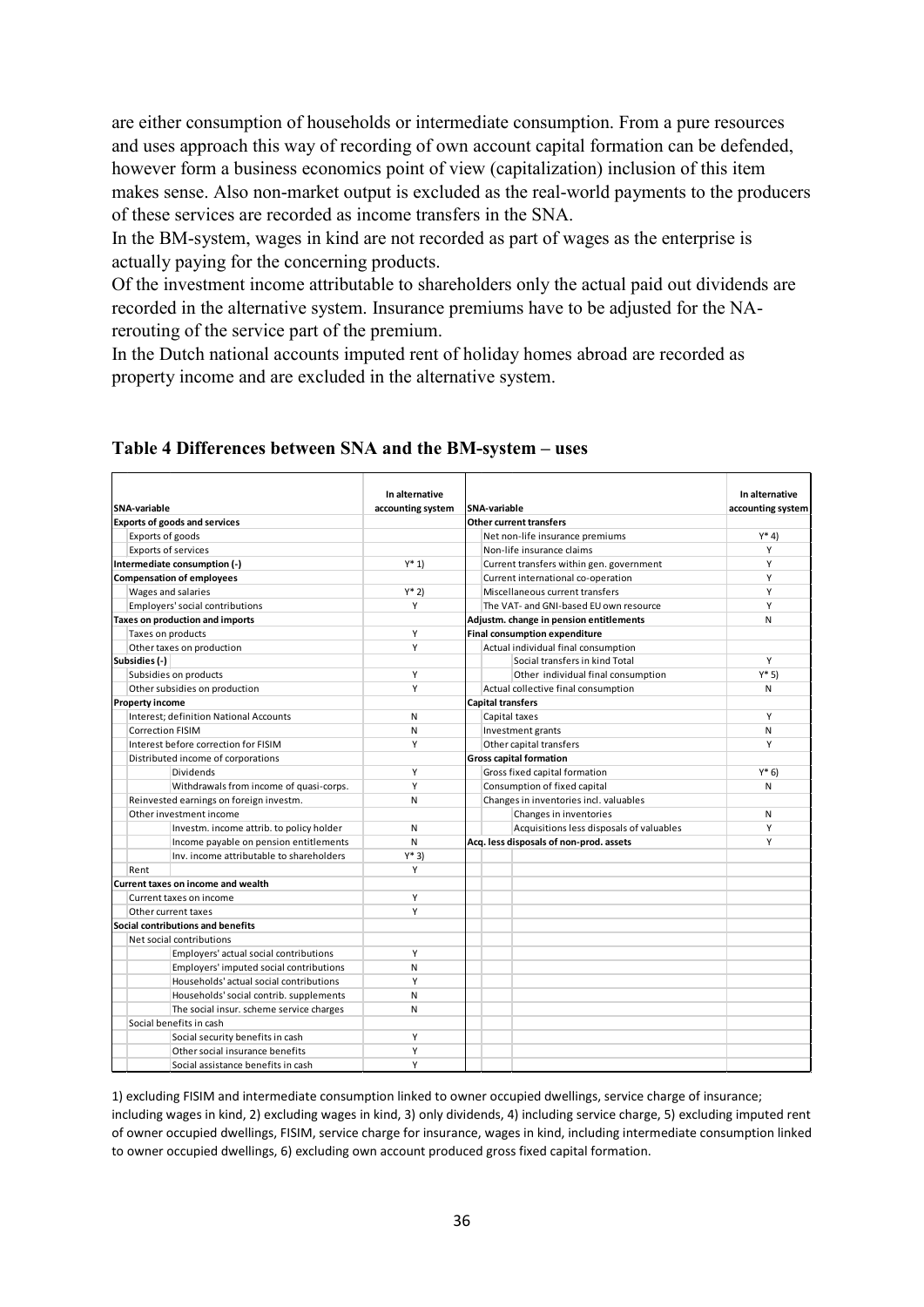are either consumption of households or intermediate consumption. From a pure resources and uses approach this way of recording of own account capital formation can be defended, however form a business economics point of view (capitalization) inclusion of this item makes sense. Also non-market output is excluded as the real-world payments to the producers of these services are recorded as income transfers in the SNA.

In the BM-system, wages in kind are not recorded as part of wages as the enterprise is actually paying for the concerning products.

Of the investment income attributable to shareholders only the actual paid out dividends are recorded in the alternative system. Insurance premiums have to be adjusted for the NArerouting of the service part of the premium.

In the Dutch national accounts imputed rent of holiday homes abroad are recorded as property income and are excluded in the alternative system.

| SNA-variable           |                                               | In alternative    | <b>SNA-variable</b>                      | In alternative    |
|------------------------|-----------------------------------------------|-------------------|------------------------------------------|-------------------|
|                        | <b>Exports of goods and services</b>          | accounting system | <b>Other current transfers</b>           | accounting system |
|                        | Exports of goods                              |                   | Net non-life insurance premiums          | $Y^*$ 4)          |
|                        | <b>Exports of services</b>                    |                   | Non-life insurance claims                | Y                 |
|                        | Intermediate consumption (-)                  | $Y^* 1$           | Current transfers within gen. government | Υ                 |
|                        | <b>Compensation of employees</b>              |                   | Current international co-operation       | Y                 |
|                        | Wages and salaries                            | $Y^*$ 2)          | Miscellaneous current transfers          | Υ                 |
|                        | Employers' social contributions               | Υ                 | The VAT- and GNI-based EU own resource   | Υ                 |
|                        | Taxes on production and imports               |                   | Adjustm. change in pension entitlements  | N                 |
|                        | Taxes on products                             | Υ                 | <b>Final consumption expenditure</b>     |                   |
|                        | Other taxes on production                     | Υ                 | Actual individual final consumption      |                   |
| Subsidies (-)          |                                               |                   | Social transfers in kind Total           | Υ                 |
|                        | Subsidies on products                         | Y                 | Other individual final consumption       | $Y*5$             |
|                        | Other subsidies on production                 | Υ                 | Actual collective final consumption      | N                 |
| <b>Property income</b> |                                               |                   | <b>Capital transfers</b>                 |                   |
|                        | <b>Interest: definition National Accounts</b> | N                 | Capital taxes                            | Υ                 |
|                        | <b>Correction FISIM</b>                       | N                 | Investment grants                        | N                 |
|                        | Interest before correction for FISIM          | Υ                 | Other capital transfers                  | Υ                 |
|                        | Distributed income of corporations            |                   | <b>Gross capital formation</b>           |                   |
|                        | <b>Dividends</b>                              | Υ                 | Gross fixed capital formation            | $Y^*$ 6)          |
|                        | Withdrawals from income of quasi-corps.       | Υ                 | Consumption of fixed capital             | N                 |
|                        | Reinvested earnings on foreign investm.       | N                 | Changes in inventories incl. valuables   |                   |
|                        | Other investment income                       |                   | Changes in inventories                   | N                 |
|                        | Investm. income attrib. to policy holder      | N                 | Acquisitions less disposals of valuables | Υ                 |
|                        | Income payable on pension entitlements        | N                 | Acq. less disposals of non-prod. assets  | Y                 |
|                        | Inv. income attributable to shareholders      | $Y^*3$            |                                          |                   |
| Rent                   |                                               | Y                 |                                          |                   |
|                        | <b>Current taxes on income and wealth</b>     |                   |                                          |                   |
|                        | Current taxes on income                       | Υ                 |                                          |                   |
|                        | Other current taxes                           | Υ                 |                                          |                   |
|                        | Social contributions and benefits             |                   |                                          |                   |
|                        | Net social contributions                      |                   |                                          |                   |
|                        | Employers' actual social contributions        | Υ                 |                                          |                   |
|                        | Employers' imputed social contributions       | N                 |                                          |                   |
|                        | Households' actual social contributions       | Υ                 |                                          |                   |
|                        | Households' social contrib. supplements       | N                 |                                          |                   |
|                        | The social insur. scheme service charges      | N                 |                                          |                   |
|                        | Social benefits in cash                       |                   |                                          |                   |
|                        | Social security benefits in cash              | Y                 |                                          |                   |
|                        | Other social insurance benefits               | Υ                 |                                          |                   |
|                        | Social assistance benefits in cash            | Υ                 |                                          |                   |
|                        |                                               |                   |                                          |                   |

#### **Table 4 Differences between SNA and the BM-system – uses**

1) excluding FISIM and intermediate consumption linked to owner occupied dwellings, service charge of insurance; including wages in kind, 2) excluding wages in kind, 3) only dividends, 4) including service charge, 5) excluding imputed rent of owner occupied dwellings, FISIM, service charge for insurance, wages in kind, including intermediate consumption linked to owner occupied dwellings, 6) excluding own account produced gross fixed capital formation.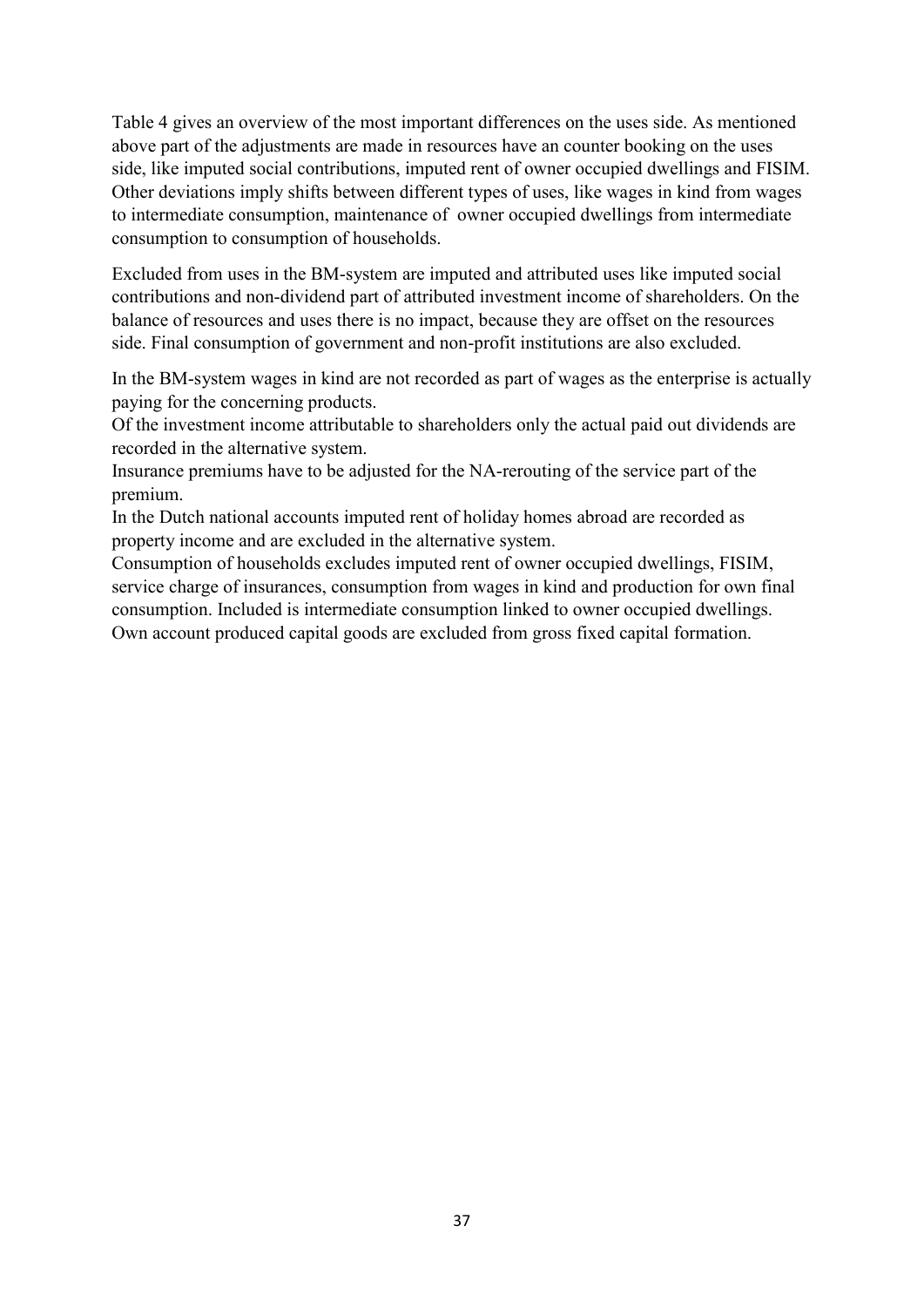Table 4 gives an overview of the most important differences on the uses side. As mentioned above part of the adjustments are made in resources have an counter booking on the uses side, like imputed social contributions, imputed rent of owner occupied dwellings and FISIM. Other deviations imply shifts between different types of uses, like wages in kind from wages to intermediate consumption, maintenance of owner occupied dwellings from intermediate consumption to consumption of households.

Excluded from uses in the BM-system are imputed and attributed uses like imputed social contributions and non-dividend part of attributed investment income of shareholders. On the balance of resources and uses there is no impact, because they are offset on the resources side. Final consumption of government and non-profit institutions are also excluded.

In the BM-system wages in kind are not recorded as part of wages as the enterprise is actually paying for the concerning products.

Of the investment income attributable to shareholders only the actual paid out dividends are recorded in the alternative system.

Insurance premiums have to be adjusted for the NA-rerouting of the service part of the premium.

In the Dutch national accounts imputed rent of holiday homes abroad are recorded as property income and are excluded in the alternative system.

Consumption of households excludes imputed rent of owner occupied dwellings, FISIM, service charge of insurances, consumption from wages in kind and production for own final consumption. Included is intermediate consumption linked to owner occupied dwellings. Own account produced capital goods are excluded from gross fixed capital formation.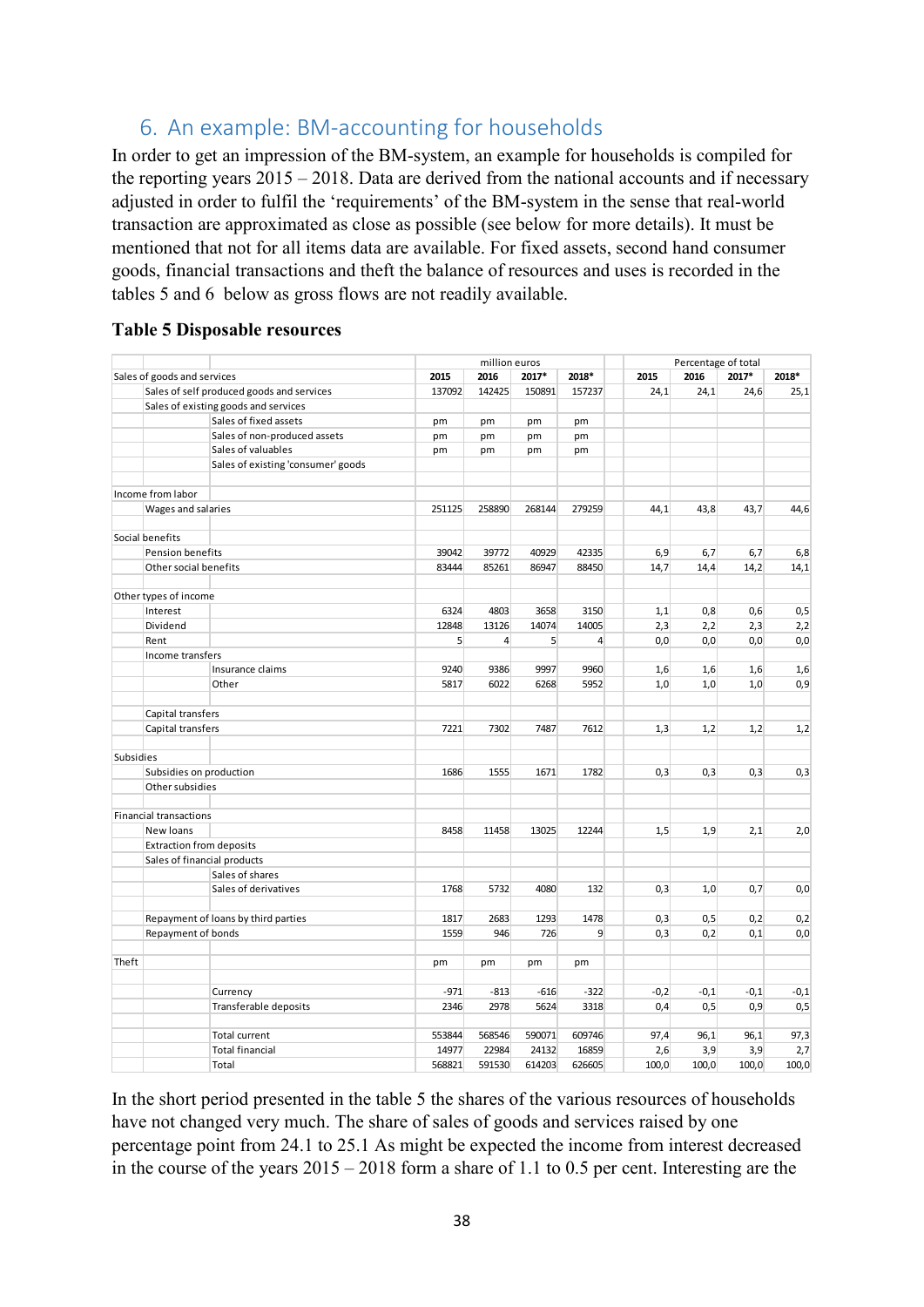# <span id="page-37-0"></span>6. An example: BM-accounting for households

In order to get an impression of the BM-system, an example for households is compiled for the reporting years 2015 – 2018. Data are derived from the national accounts and if necessary adjusted in order to fulfil the 'requirements' of the BM-system in the sense that real-world transaction are approximated as close as possible (see below for more details). It must be mentioned that not for all items data are available. For fixed assets, second hand consumer goods, financial transactions and theft the balance of resources and uses is recorded in the tables 5 and 6 below as gross flows are not readily available.

|                  |                               |                                           |        | million euros  |        |                |        | Percentage of total |        |        |
|------------------|-------------------------------|-------------------------------------------|--------|----------------|--------|----------------|--------|---------------------|--------|--------|
|                  | Sales of goods and services   |                                           | 2015   | 2016           | 2017*  | 2018*          | 2015   | 2016                | 2017*  | 2018*  |
|                  |                               | Sales of self produced goods and services | 137092 | 142425         | 150891 | 157237         | 24,1   | 24,1                | 24,6   | 25,1   |
|                  |                               | Sales of existing goods and services      |        |                |        |                |        |                     |        |        |
|                  |                               | Sales of fixed assets                     | pm     | pm             | pm     | pm             |        |                     |        |        |
|                  |                               | Sales of non-produced assets              | pm     | pm             | pm     | pm             |        |                     |        |        |
|                  |                               | Sales of valuables                        | pm     | pm             | pm     | pm             |        |                     |        |        |
|                  |                               | Sales of existing 'consumer' goods        |        |                |        |                |        |                     |        |        |
|                  | Income from labor             |                                           |        |                |        |                |        |                     |        |        |
|                  | Wages and salaries            |                                           | 251125 | 258890         | 268144 | 279259         | 44,1   | 43,8                | 43,7   | 44,6   |
|                  | Social benefits               |                                           |        |                |        |                |        |                     |        |        |
|                  | Pension benefits              |                                           | 39042  | 39772          | 40929  | 42335          | 6,9    | 6,7                 | 6,7    | 6,8    |
|                  | Other social benefits         |                                           | 83444  | 85261          | 86947  | 88450          | 14,7   | 14,4                | 14,2   | 14,1   |
|                  | Other types of income         |                                           |        |                |        |                |        |                     |        |        |
|                  | Interest                      |                                           | 6324   | 4803           | 3658   | 3150           | 1,1    | 0,8                 | 0,6    | 0,5    |
|                  | Dividend                      |                                           | 12848  | 13126          | 14074  | 14005          | 2,3    | 2,2                 | 2,3    | 2,2    |
|                  | Rent                          |                                           | 5      | $\overline{4}$ | 5      | $\overline{4}$ | 0,0    | 0,0                 | 0,0    | 0,0    |
|                  | Income transfers              |                                           |        |                |        |                |        |                     |        |        |
|                  |                               | Insurance claims                          | 9240   | 9386           | 9997   | 9960           | 1,6    | 1,6                 | 1,6    | 1,6    |
|                  |                               | Other                                     | 5817   | 6022           | 6268   | 5952           | 1,0    | 1,0                 | 1,0    | 0,9    |
|                  |                               |                                           |        |                |        |                |        |                     |        |        |
|                  | Capital transfers             |                                           |        |                |        |                |        |                     |        |        |
|                  | Capital transfers             |                                           | 7221   | 7302           | 7487   | 7612           | 1,3    | 1,2                 | 1,2    | 1,2    |
| <b>Subsidies</b> |                               |                                           |        |                |        |                |        |                     |        |        |
|                  | Subsidies on production       |                                           | 1686   | 1555           | 1671   | 1782           | 0,3    | 0,3                 | 0,3    | 0,3    |
|                  | Other subsidies               |                                           |        |                |        |                |        |                     |        |        |
|                  | <b>Financial transactions</b> |                                           |        |                |        |                |        |                     |        |        |
|                  | New loans                     |                                           | 8458   | 11458          | 13025  | 12244          | 1,5    | 1,9                 | 2,1    | 2,0    |
|                  |                               | <b>Extraction from deposits</b>           |        |                |        |                |        |                     |        |        |
|                  |                               | Sales of financial products               |        |                |        |                |        |                     |        |        |
|                  |                               | Sales of shares                           |        |                |        |                |        |                     |        |        |
|                  |                               | Sales of derivatives                      | 1768   | 5732           | 4080   | 132            | 0,3    | 1.0                 | 0,7    | 0,0    |
|                  |                               | Repayment of loans by third parties       | 1817   | 2683           | 1293   | 1478           | 0,3    | 0,5                 | 0,2    | 0,2    |
|                  | Repayment of bonds            |                                           | 1559   | 946            | 726    | 9              | 0,3    | 0,2                 | 0,1    | 0,0    |
|                  |                               |                                           |        |                |        |                |        |                     |        |        |
| Theft            |                               |                                           | pm     | pm             | pm     | pm             |        |                     |        |        |
|                  |                               | Currency                                  | $-971$ | $-813$         | $-616$ | $-322$         | $-0,2$ | $-0,1$              | $-0,1$ | $-0,1$ |
|                  |                               | Transferable deposits                     | 2346   | 2978           | 5624   | 3318           | 0,4    | 0, 5                | 0,9    | 0,5    |
|                  |                               |                                           |        |                |        |                |        |                     |        |        |
|                  |                               | <b>Total current</b>                      | 553844 | 568546         | 590071 | 609746         | 97,4   | 96,1                | 96,1   | 97,3   |
|                  |                               | <b>Total financial</b>                    | 14977  | 22984          | 24132  | 16859          | 2,6    | 3,9                 | 3,9    | 2,7    |
|                  |                               | Total                                     | 568821 | 591530         | 614203 | 626605         | 100,0  | 100,0               | 100,0  | 100,0  |

In the short period presented in the table 5 the shares of the various resources of households have not changed very much. The share of sales of goods and services raised by one percentage point from 24.1 to 25.1 As might be expected the income from interest decreased in the course of the years 2015 – 2018 form a share of 1.1 to 0.5 per cent. Interesting are the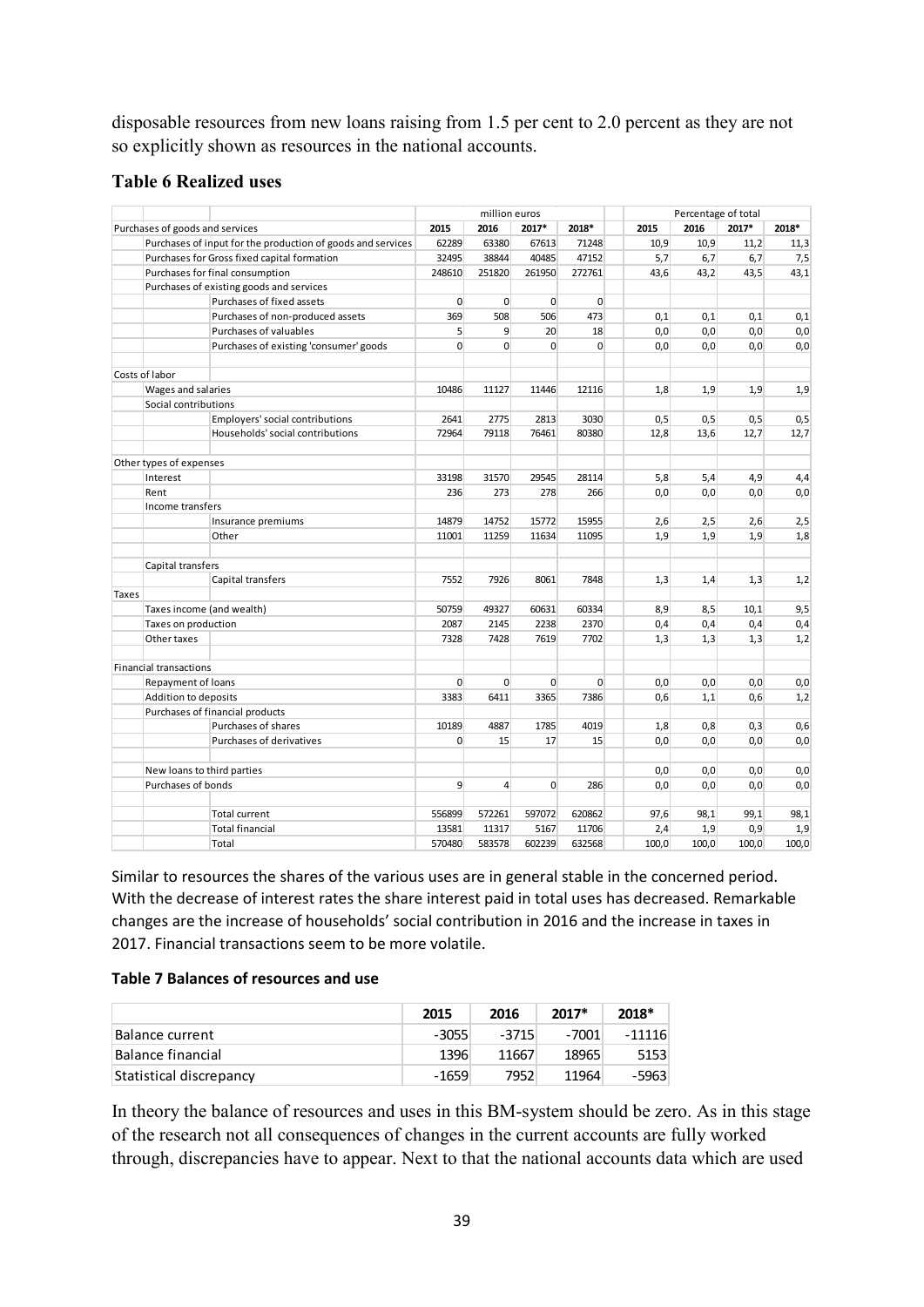disposable resources from new loans raising from 1.5 per cent to 2.0 percent as they are not so explicitly shown as resources in the national accounts.

#### **Table 6 Realized uses**

|       |                                 |                                                             | million euros  |                | Percentage of total |                |       |       |       |       |
|-------|---------------------------------|-------------------------------------------------------------|----------------|----------------|---------------------|----------------|-------|-------|-------|-------|
|       | Purchases of goods and services |                                                             | 2015           | 2016           | 2017*               | 2018*          | 2015  | 2016  | 2017* | 2018* |
|       |                                 | Purchases of input for the production of goods and services | 62289          | 63380          | 67613               | 71248          | 10,9  | 10,9  | 11,2  | 11,3  |
|       |                                 | Purchases for Gross fixed capital formation                 | 32495          | 38844          | 40485               | 47152          | 5,7   | 6,7   | 6,7   | 7,5   |
|       |                                 | Purchases for final consumption                             | 248610         | 251820         | 261950              | 272761         | 43,6  | 43,2  | 43,5  | 43,1  |
|       |                                 | Purchases of existing goods and services                    |                |                |                     |                |       |       |       |       |
|       |                                 | Purchases of fixed assets                                   | $\overline{0}$ | $\mathbf{0}$   | $\mathbf{0}$        | $\overline{0}$ |       |       |       |       |
|       |                                 | Purchases of non-produced assets                            | 369            | 508            | 506                 | 473            | 0,1   | 0,1   | 0,1   | 0,1   |
|       |                                 | Purchases of valuables                                      | $\overline{5}$ | 9              | 20                  | 18             | 0,0   | 0,0   | 0,0   | 0,0   |
|       |                                 | Purchases of existing 'consumer' goods                      | $\Omega$       | $\Omega$       | $\Omega$            | $\Omega$       | 0,0   | 0,0   | 0,0   | 0,0   |
|       | Costs of labor                  |                                                             |                |                |                     |                |       |       |       |       |
|       | Wages and salaries              |                                                             | 10486          | 11127          | 11446               | 12116          | 1,8   | 1,9   | 1,9   | 1,9   |
|       | Social contributions            |                                                             |                |                |                     |                |       |       |       |       |
|       |                                 | Employers' social contributions                             | 2641           | 2775           | 2813                | 3030           | 0,5   | 0,5   | 0,5   | 0,5   |
|       |                                 | Households' social contributions                            | 72964          | 79118          | 76461               | 80380          | 12,8  | 13,6  | 12,7  | 12,7  |
|       | Other types of expenses         |                                                             |                |                |                     |                |       |       |       |       |
|       | Interest                        |                                                             | 33198          | 31570          | 29545               | 28114          | 5,8   | 5,4   | 4,9   | 4,4   |
|       | Rent                            |                                                             | 236            | 273            | 278                 | 266            | 0,0   | 0,0   | 0,0   | 0,0   |
|       | Income transfers                |                                                             |                |                |                     |                |       |       |       |       |
|       |                                 | Insurance premiums                                          | 14879          | 14752          | 15772               | 15955          | 2,6   | 2,5   | 2,6   | 2,5   |
|       |                                 | Other                                                       | 11001          | 11259          | 11634               | 11095          | 1,9   | 1,9   | 1,9   | 1,8   |
|       | Capital transfers               |                                                             |                |                |                     |                |       |       |       |       |
|       |                                 | Capital transfers                                           | 7552           | 7926           | 8061                | 7848           | 1,3   | 1,4   | 1,3   | 1,2   |
| Taxes |                                 |                                                             |                |                |                     |                |       |       |       |       |
|       |                                 | Taxes income (and wealth)                                   | 50759          | 49327          | 60631               | 60334          | 8,9   | 8,5   | 10,1  | 9,5   |
|       | Taxes on production             |                                                             | 2087           | 2145           | 2238                | 2370           | 0,4   | 0,4   | 0,4   | 0,4   |
|       | Other taxes                     |                                                             | 7328           | 7428           | 7619                | 7702           | 1,3   | 1,3   | 1,3   | 1,2   |
|       | <b>Financial transactions</b>   |                                                             |                |                |                     |                |       |       |       |       |
|       | Repayment of loans              |                                                             | $\overline{0}$ | 0              | $\mathbf{0}$        | $\mathbf{0}$   | 0,0   | 0,0   | 0,0   | 0,0   |
|       | Addition to deposits            |                                                             | 3383           | 6411           | 3365                | 7386           | 0,6   | 1,1   | 0,6   | 1,2   |
|       |                                 | Purchases of financial products                             |                |                |                     |                |       |       |       |       |
|       |                                 | Purchases of shares                                         | 10189          | 4887           | 1785                | 4019           | 1,8   | 0,8   | 0,3   | 0,6   |
|       |                                 | Purchases of derivatives                                    | $\Omega$       | 15             | 17                  | 15             | 0.0   | 0.0   | 0.0   | 0,0   |
|       | New loans to third parties      |                                                             |                |                |                     |                | 0,0   | 0,0   | 0,0   | 0,0   |
|       | Purchases of bonds              |                                                             | 9              | $\overline{4}$ | $\overline{0}$      | 286            | 0,0   | 0,0   | 0,0   | 0,0   |
|       |                                 |                                                             |                |                |                     |                |       |       |       |       |
|       |                                 | <b>Total current</b>                                        | 556899         | 572261         | 597072              | 620862         | 97,6  | 98,1  | 99,1  | 98,1  |
|       |                                 | <b>Total financial</b>                                      | 13581          | 11317          | 5167                | 11706          | 2,4   | 1,9   | 0,9   | 1,9   |
|       |                                 | Total                                                       | 570480         | 583578         | 602239              | 632568         | 100,0 | 100,0 | 100,0 | 100,0 |

Similar to resources the shares of the various uses are in general stable in the concerned period. With the decrease of interest rates the share interest paid in total uses has decreased. Remarkable changes are the increase of households' social contribution in 2016 and the increase in taxes in 2017. Financial transactions seem to be more volatile.

#### **Table 7 Balances of resources and use**

|                         | 2015    | 2016    | $2017*$ | 2018*    |
|-------------------------|---------|---------|---------|----------|
| Balance current         | $-3055$ | $-3715$ | -7001   | $-11116$ |
| 'Balance financial      | 1396    | 11667   | 18965   | 5153     |
| Statistical discrepancy | $-1659$ | 7952    | 11964   | -5963    |

In theory the balance of resources and uses in this BM-system should be zero. As in this stage of the research not all consequences of changes in the current accounts are fully worked through, discrepancies have to appear. Next to that the national accounts data which are used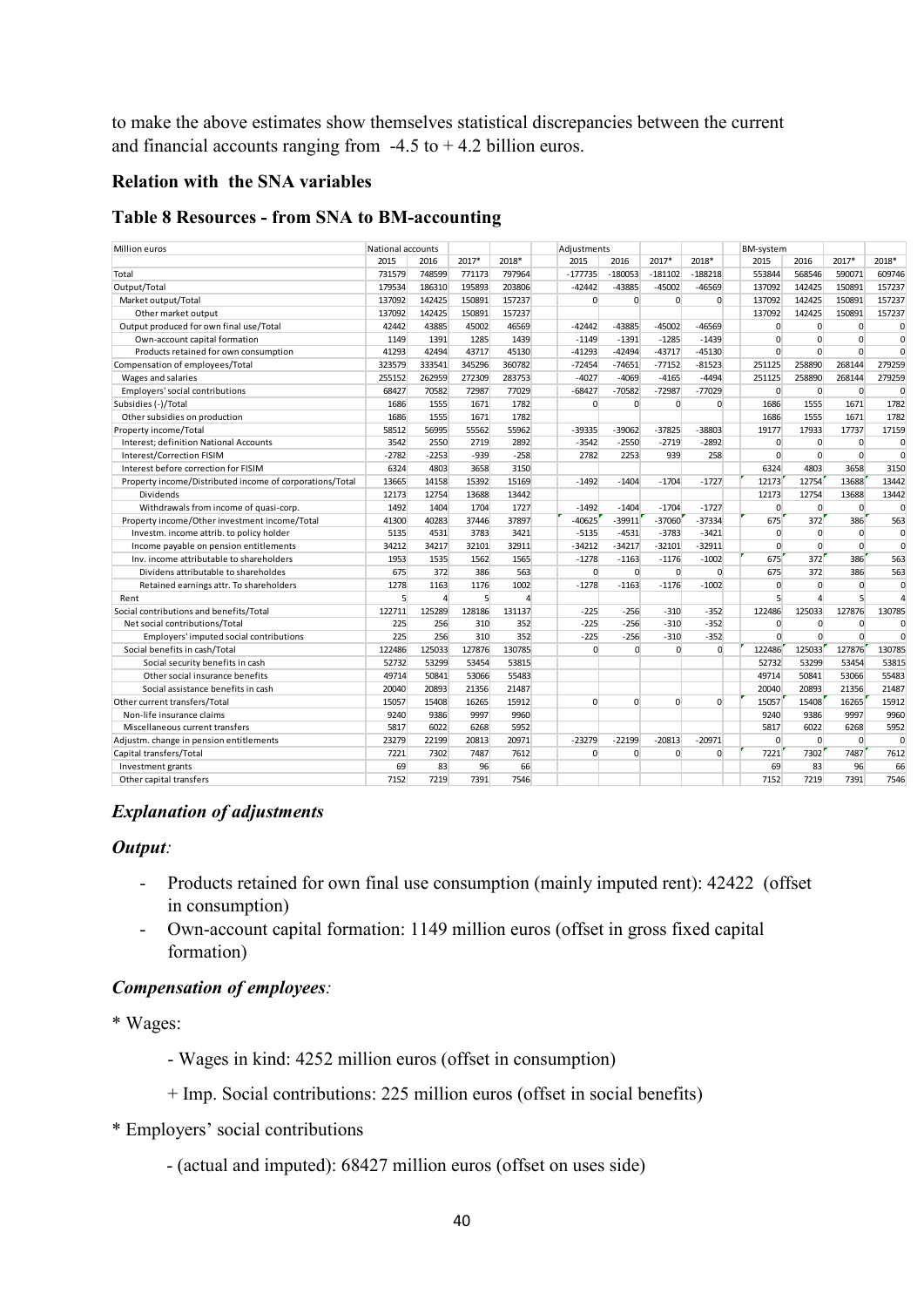to make the above estimates show themselves statistical discrepancies between the current and financial accounts ranging from  $-4.5$  to  $+4.2$  billion euros.

#### **Relation with the SNA variables**

#### **Table 8 Resources - from SNA to BM-accounting**

| Million euros                                            | National accounts |                |        |        | Adjustments  |              |              |              | BM-system   |                |                |                |
|----------------------------------------------------------|-------------------|----------------|--------|--------|--------------|--------------|--------------|--------------|-------------|----------------|----------------|----------------|
|                                                          | 2015              | 2016           | 2017*  | 2018*  | 2015         | 2016         | 2017*        | 2018*        | 2015        | 2016           | 2017*          | 2018*          |
| Total                                                    | 731579            | 748599         | 771173 | 797964 | $-177735$    | $-180053$    | $-181102$    | $-188218$    | 553844      | 568546         | 590071         | 609746         |
| Output/Total                                             | 179534            | 186310         | 195893 | 203806 | $-42442$     | -43885       | $-45002$     | $-46569$     | 137092      | 142425         | 150891         | 157237         |
| Market output/Total                                      | 137092            | 142425         | 150891 | 157237 | $\Omega$     | $\Omega$     | $\Omega$     | $\Omega$     | 137092      | 142425         | 150891         | 157237         |
| Other market output                                      | 137092            | 142425         | 150891 | 157237 |              |              |              |              | 137092      | 142425         | 150891         | 157237         |
| Output produced for own final use/Total                  | 42442             | 43885          | 45002  | 46569  | $-42442$     | -43885       | $-45002$     | -46569       | $\Omega$    | $\Omega$       | $\mathbf{0}$   | $\Omega$       |
| Own-account capital formation                            | 1149              | 1391           | 1285   | 1439   | $-1149$      | $-1391$      | $-1285$      | $-1439$      | $\Omega$    | 0              | $\mathbf{0}$   | $\mathbf 0$    |
| Products retained for own consumption                    | 41293             | 42494          | 43717  | 45130  | $-41293$     | $-42494$     | $-43717$     | $-45130$     | $\Omega$    | $\Omega$       | $\Omega$       | $\mathbf{0}$   |
| Compensation of employees/Total                          | 323579            | 333541         | 345296 | 360782 | $-72454$     | $-74651$     | $-77152$     | $-81523$     | 251125      | 258890         | 268144         | 279259         |
| Wages and salaries                                       | 255152            | 262959         | 272309 | 283753 | $-4027$      | $-4069$      | $-4165$      | $-4494$      | 251125      | 258890         | 268144         | 279259         |
| Employers' social contributions                          | 68427             | 70582          | 72987  | 77029  | $-68427$     | $-70582$     | $-72987$     | $-77029$     | $\mathbf 0$ | $\mathbf{0}$   | $\mathbf 0$    | $\mathbf 0$    |
| Subsidies (-)/Total                                      | 1686              | 1555           | 1671   | 1782   | $\Omega$     | $\Omega$     | $\Omega$     | $\Omega$     | 1686        | 1555           | 1671           | 1782           |
| Other subsidies on production                            | 1686              | 1555           | 1671   | 1782   |              |              |              |              | 1686        | 1555           | 1671           | 1782           |
| Property income/Total                                    | 58512             | 56995          | 55562  | 55962  | -39335       | $-39062$     | $-37825$     | -38803       | 19177       | 17933          | 17737          | 17159          |
| Interest; definition National Accounts                   | 3542              | 2550           | 2719   | 2892   | $-3542$      | $-2550$      | $-2719$      | $-2892$      | $\mathbf 0$ | $\mathbf{0}$   | $\mathbf 0$    | 0              |
| Interest/Correction FISIM                                | $-2782$           | $-2253$        | $-939$ | $-258$ | 2782         | 2253         | 939          | 258          | $\Omega$    | $\Omega$       | $\Omega$       | $\mathbf 0$    |
| Interest before correction for FISIM                     | 6324              | 4803           | 3658   | 3150   |              |              |              |              | 6324        | 4803           | 3658           | 3150           |
| Property income/Distributed income of corporations/Total | 13665             | 14158          | 15392  | 15169  | $-1492$      | $-1404$      | $-1704$      | $-1727$      | 12173       | 12754          | 13688          | 13442          |
| Dividends                                                | 12173             | 12754          | 13688  | 13442  |              |              |              |              | 12173       | 12754          | 13688          | 13442          |
| Withdrawals from income of quasi-corp.                   | 1492              | 1404           | 1704   | 1727   | $-1492$      | $-1404$      | $-1704$      | $-1727$      | $\mathbf 0$ | $\mathbf{0}$   | $\overline{0}$ | $\mathbf 0$    |
| Property income/Other investment income/Total            | 41300             | 40283          | 37446  | 37897  | $-40625$     | $-39911$     | $-37060$     | -37334       | 675         | 372            | 386            | 563            |
| Investm. income attrib. to policy holder                 | 5135              | 4531           | 3783   | 3421   | $-5135$      | $-4531$      | $-3783$      | $-3421$      | $\Omega$    | $\Omega$       | $\Omega$       | $\mathbf 0$    |
| Income payable on pension entitlements                   | 34212             | 34217          | 32101  | 32911  | $-34212$     | $-34217$     | $-32101$     | $-32911$     | $\Omega$    | $\mathbf{0}$   | $\mathbf{0}$   | $\mathbf 0$    |
| Inv. income attributable to shareholders                 | 1953              | 1535           | 1562   | 1565   | $-1278$      | $-1163$      | $-1176$      | $-1002$      | 675         | 372            | 386            | 563            |
| Dividens attributable to shareholdes                     | 675               | 372            | 386    | 563    | $\mathbf{0}$ | $\mathbf{0}$ | $\mathbf{0}$ | $\mathbf{0}$ | 675         | 372            | 386            | 563            |
| Retained earnings attr. To shareholders                  | 1278              | 1163           | 1176   | 1002   | $-1278$      | $-1163$      | $-1176$      | $-1002$      | $\mathbf 0$ | $\mathbf{0}$   | $\mathbf{0}$   | $\mathbf 0$    |
| Rent                                                     | $\overline{5}$    | $\overline{4}$ | 5      | 4      |              |              |              |              | 5           | $\overline{4}$ | 5              | $\overline{a}$ |
| Social contributions and benefits/Total                  | 122711            | 125289         | 128186 | 131137 | $-225$       | $-256$       | $-310$       | $-352$       | 122486      | 125033         | 127876         | 130785         |
| Net social contributions/Total                           | 225               | 256            | 310    | 352    | $-225$       | $-256$       | $-310$       | $-352$       | $\Omega$    | $\Omega$       | $\mathbf 0$    | $\Omega$       |
| Employers' imputed social contributions                  | 225               | 256            | 310    | 352    | $-225$       | $-256$       | $-310$       | $-352$       | $\Omega$    | $\mathbf{0}$   | $\Omega$       | $\Omega$       |
| Social benefits in cash/Total                            | 122486            | 125033         | 127876 | 130785 | $\Omega$     | 0            | $\Omega$     | $\mathbf{0}$ | 122486      | 125033         | 127876         | 130785         |
| Social security benefits in cash                         | 52732             | 53299          | 53454  | 53815  |              |              |              |              | 52732       | 53299          | 53454          | 53815          |
| Other social insurance benefits                          | 49714             | 50841          | 53066  | 55483  |              |              |              |              | 49714       | 50841          | 53066          | 55483          |
| Social assistance benefits in cash                       | 20040             | 20893          | 21356  | 21487  |              |              |              |              | 20040       | 20893          | 21356          | 21487          |
| Other current transfers/Total                            | 15057             | 15408          | 16265  | 15912  | $\Omega$     | $\Omega$     | $\Omega$     | $\Omega$     | 15057       | 15408          | 16265          | 15912          |
| Non-life insurance claims                                | 9240              | 9386           | 9997   | 9960   |              |              |              |              | 9240        | 9386           | 9997           | 9960           |
| Miscellaneous current transfers                          | 5817              | 6022           | 6268   | 5952   |              |              |              |              | 5817        | 6022           | 6268           | 5952           |
| Adjustm. change in pension entitlements                  | 23279             | 22199          | 20813  | 20971  | $-23279$     | $-22199$     | $-20813$     | $-20971$     | $\mathbf 0$ | $\mathbf{0}$   | $\mathbf{0}$   | $\mathbf 0$    |
| Capital transfers/Total                                  | 7221              | 7302           | 7487   | 7612   | $\mathbf 0$  | $\Omega$     | $\Omega$     | $\Omega$     | 7221        | 7302           | 7487           | 7612           |
| Investment grants                                        | 69                | 83             | 96     | 66     |              |              |              |              | 69          | 83             | 96             | 66             |
| Other capital transfers                                  | 7152              | 7219           | 7391   | 7546   |              |              |              |              | 7152        | 7219           | 7391           | 7546           |

#### *Explanation of adjustments*

#### *Output:*

- Products retained for own final use consumption (mainly imputed rent): 42422 (offset in consumption)
- Own-account capital formation: 1149 million euros (offset in gross fixed capital formation)

#### *Compensation of employees:*

\* Wages:

- Wages in kind: 4252 million euros (offset in consumption)
- + Imp. Social contributions: 225 million euros (offset in social benefits)
- \* Employers' social contributions
	- (actual and imputed): 68427 million euros (offset on uses side)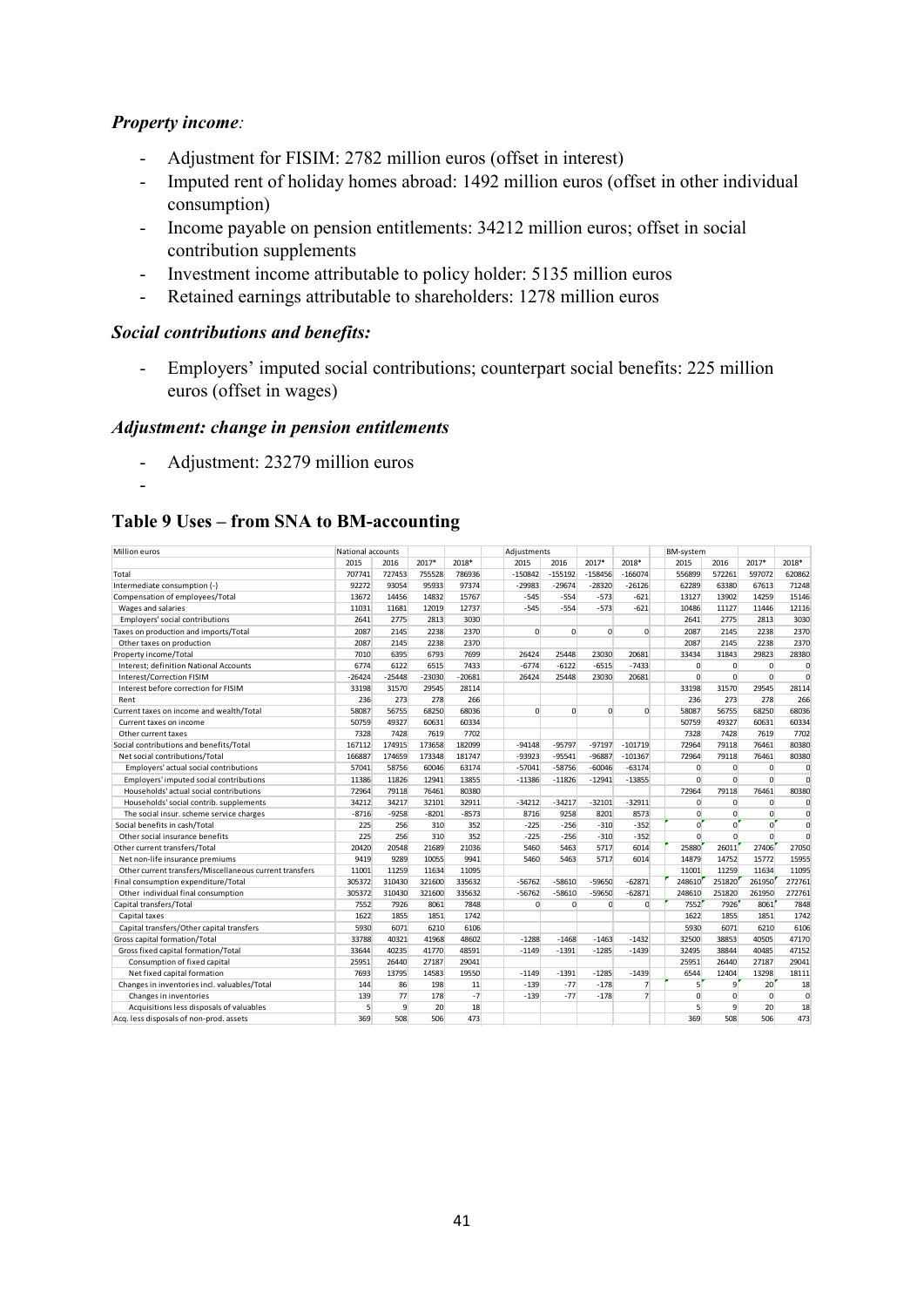# *Property income:*

-

- Adjustment for FISIM: 2782 million euros (offset in interest)
- Imputed rent of holiday homes abroad: 1492 million euros (offset in other individual consumption)
- Income payable on pension entitlements: 34212 million euros; offset in social contribution supplements
- Investment income attributable to policy holder: 5135 million euros
- Retained earnings attributable to shareholders: 1278 million euros

# *Social contributions and benefits:*

- Employers' imputed social contributions; counterpart social benefits: 225 million euros (offset in wages)

#### *Adjustment: change in pension entitlements*

- Adjustment: 23279 million euros

# **Table 9 Uses – from SNA to BM-accounting**

| Million euros                                           | National accounts |          |          |          | Adjustments  |           |             |                | BM-system      |                |              |              |
|---------------------------------------------------------|-------------------|----------|----------|----------|--------------|-----------|-------------|----------------|----------------|----------------|--------------|--------------|
|                                                         | 2015              | 2016     | 2017*    | 2018*    | 2015         | 2016      | 2017*       | 2018*          | 2015           | 2016           | 2017*        | 2018*        |
| Total                                                   | 707741            | 727453   | 755528   | 786936   | $-150842$    | $-155192$ | $-158456$   | $-166074$      | 556899         | 572261         | 597072       | 620862       |
| Intermediate consumption (-)                            | 92272             | 93054    | 95933    | 97374    | $-29983$     | $-29674$  | $-28320$    | $-26126$       | 62289          | 63380          | 67613        | 71248        |
| Compensation of employees/Total                         | 13672             | 14456    | 14832    | 15767    | $-545$       | $-554$    | $-573$      | $-621$         | 13127          | 13902          | 14259        | 15146        |
| Wages and salaries                                      | 11031             | 11681    | 12019    | 12737    | $-545$       | $-554$    | $-573$      | $-621$         | 10486          | 11127          | 11446        | 12116        |
| Employers' social contributions                         | 2641              | 2775     | 2813     | 3030     |              |           |             |                | 2641           | 2775           | 2813         | 3030         |
| Taxes on production and imports/Total                   | 2087              | 2145     | 2238     | 2370     | $\Omega$     | $\Omega$  | $\Omega$    | $\Omega$       | 2087           | 2145           | 2238         | 2370         |
| Other taxes on production                               | 2087              | 2145     | 2238     | 2370     |              |           |             |                | 2087           | 2145           | 2238         | 2370         |
| Property income/Total                                   | 7010              | 6395     | 6793     | 7699     | 26424        | 25448     | 23030       | 20681          | 33434          | 31843          | 29823        | 28380        |
| Interest; definition National Accounts                  | 6774              | 6122     | 6515     | 7433     | $-6774$      | $-6122$   | $-6515$     | $-7433$        | $\mathbf 0$    | $\mathbf 0$    | $\mathbf{0}$ | $\mathbf{C}$ |
| <b>Interest/Correction FISIM</b>                        | $-26424$          | $-25448$ | $-23030$ | $-20681$ | 26424        | 25448     | 23030       | 20681          | $\mathbf 0$    | $\mathbf{0}$   | $\mathbf{0}$ | $\mathbf 0$  |
| Interest before correction for FISIM                    | 33198             | 31570    | 29545    | 28114    |              |           |             |                | 33198          | 31570          | 29545        | 28114        |
| Rent                                                    | 236               | 273      | 278      | 266      |              |           |             |                | 236            | 273            | 278          | 266          |
| Current taxes on income and wealth/Total                | 58087             | 56755    | 68250    | 68036    | $\Omega$     | $\Omega$  | $\Omega$    | $\Omega$       | 58087          | 56755          | 68250        | 68036        |
| Current taxes on income                                 | 50759             | 49327    | 60631    | 60334    |              |           |             |                | 50759          | 49327          | 60631        | 60334        |
| Other current taxes                                     | 7328              | 7428     | 7619     | 7702     |              |           |             |                | 7328           | 7428           | 7619         | 7702         |
| Social contributions and benefits/Total                 | 167112            | 174915   | 173658   | 182099   | $-94148$     | $-95797$  | $-97197$    | $-101719$      | 72964          | 79118          | 76461        | 80380        |
| Net social contributions/Total                          | 166887            | 174659   | 173348   | 181747   | $-93923$     | $-95541$  | $-96887$    | $-101367$      | 72964          | 79118          | 76461        | 80380        |
| Employers' actual social contributions                  | 57041             | 58756    | 60046    | 63174    | $-57041$     | $-58756$  | $-60046$    | $-63174$       | $\mathbf 0$    | $\mathbf 0$    | $\mathbf{0}$ | $\mathsf{C}$ |
| Employers' imputed social contributions                 | 11386             | 11826    | 12941    | 13855    | $-11386$     | $-11826$  | $-12941$    | $-13855$       | $\Omega$       | $\mathbf 0$    | $\mathbf{0}$ | $\mathbf 0$  |
| Households' actual social contributions                 | 72964             | 79118    | 76461    | 80380    |              |           |             |                | 72964          | 79118          | 76461        | 80380        |
| Households' social contrib. supplements                 | 34212             | 34217    | 32101    | 32911    | $-34212$     | $-34217$  | $-32101$    | $-32911$       | 0              | $\mathbf 0$    | $\mathbf 0$  | $\mathsf{C}$ |
| The social insur. scheme service charges                | $-8716$           | $-9258$  | $-8201$  | $-8573$  | 8716         | 9258      | 8201        | 8573           | $\mathbf{0}$   | $\Omega$       | $\Omega$     | $\mathbf 0$  |
| Social benefits in cash/Total                           | 225               | 256      | 310      | 352      | $-225$       | $-256$    | $-310$      | $-352$         | 0              | $\Omega$       | $\Omega$     | $\mathbf 0$  |
| Other social insurance benefits                         | 225               | 256      | 310      | 352      | $-225$       | $-256$    | $-310$      | $-352$         | $\Omega$       | $\mathbf 0$    | $\Omega$     | $\mathbf 0$  |
| Other current transfers/Total                           | 20420             | 20548    | 21689    | 21036    | 5460         | 5463      | 5717        | 6014           | 25880          | 26011          | 27406        | 27050        |
| Net non-life insurance premiums                         | 9419              | 9289     | 10055    | 9941     | 5460         | 5463      | 5717        | 6014           | 14879          | 14752          | 15772        | 15955        |
| Other current transfers/Miscellaneous current transfers | 11001             | 11259    | 11634    | 11095    |              |           |             |                | 11001          | 11259          | 11634        | 11095        |
| Final consumption expenditure/Total                     | 305372            | 310430   | 321600   | 335632   | $-56762$     | $-58610$  | $-59650$    | $-62871$       | 248610         | 251820         | 261950       | 272761       |
| Other individual final consumption                      | 305372            | 310430   | 321600   | 335632   | $-56762$     | $-58610$  | $-59650$    | $-62871$       | 248610         | 251820         | 261950       | 272761       |
| Capital transfers/Total                                 | 7552              | 7926     | 8061     | 7848     | $\mathbf{0}$ | 0         | $\mathbf 0$ | $\Omega$       | 7552           | 7926           | 8061         | 7848         |
| Capital taxes                                           | 1622              | 1855     | 1851     | 1742     |              |           |             |                | 1622           | 1855           | 1851         | 1742         |
| Capital transfers/Other capital transfers               | 5930              | 6071     | 6210     | 6106     |              |           |             |                | 5930           | 6071           | 6210         | 6106         |
| Gross capital formation/Total                           | 33788             | 40321    | 41968    | 48602    | $-1288$      | $-1468$   | $-1463$     | $-1432$        | 32500          | 38853          | 40505        | 47170        |
| Gross fixed capital formation/Total                     | 33644             | 40235    | 41770    | 48591    | $-1149$      | $-1391$   | $-1285$     | $-1439$        | 32495          | 38844          | 40485        | 47152        |
| Consumption of fixed capital                            | 25951             | 26440    | 27187    | 29041    |              |           |             |                | 25951          | 26440          | 27187        | 29041        |
| Net fixed capital formation                             | 7693              | 13795    | 14583    | 19550    | $-1149$      | $-1391$   | $-1285$     | $-1439$        | 6544           | 12404          | 13298        | 18111        |
| Changes in inventories incl. valuables/Total            | 144               | 86       | 198      | 11       | $-139$       | $-77$     | $-178$      | 7              | $\overline{5}$ | $\overline{q}$ | 20           | 18           |
| Changes in inventories                                  | 139               | 77       | 178      | $-7$     | $-139$       | $-77$     | $-178$      | $\overline{7}$ | 0              | $\Omega$       | $\mathbf{0}$ | 0            |
| Acquisitions less disposals of valuables                | 5                 | 9        | 20       | 18       |              |           |             |                | 5              | $\mathbf{q}$   | 20           | 18           |
| Acq. less disposals of non-prod. assets                 | 369               | 508      | 506      | 473      |              |           |             |                | 369            | 508            | 506          | 473          |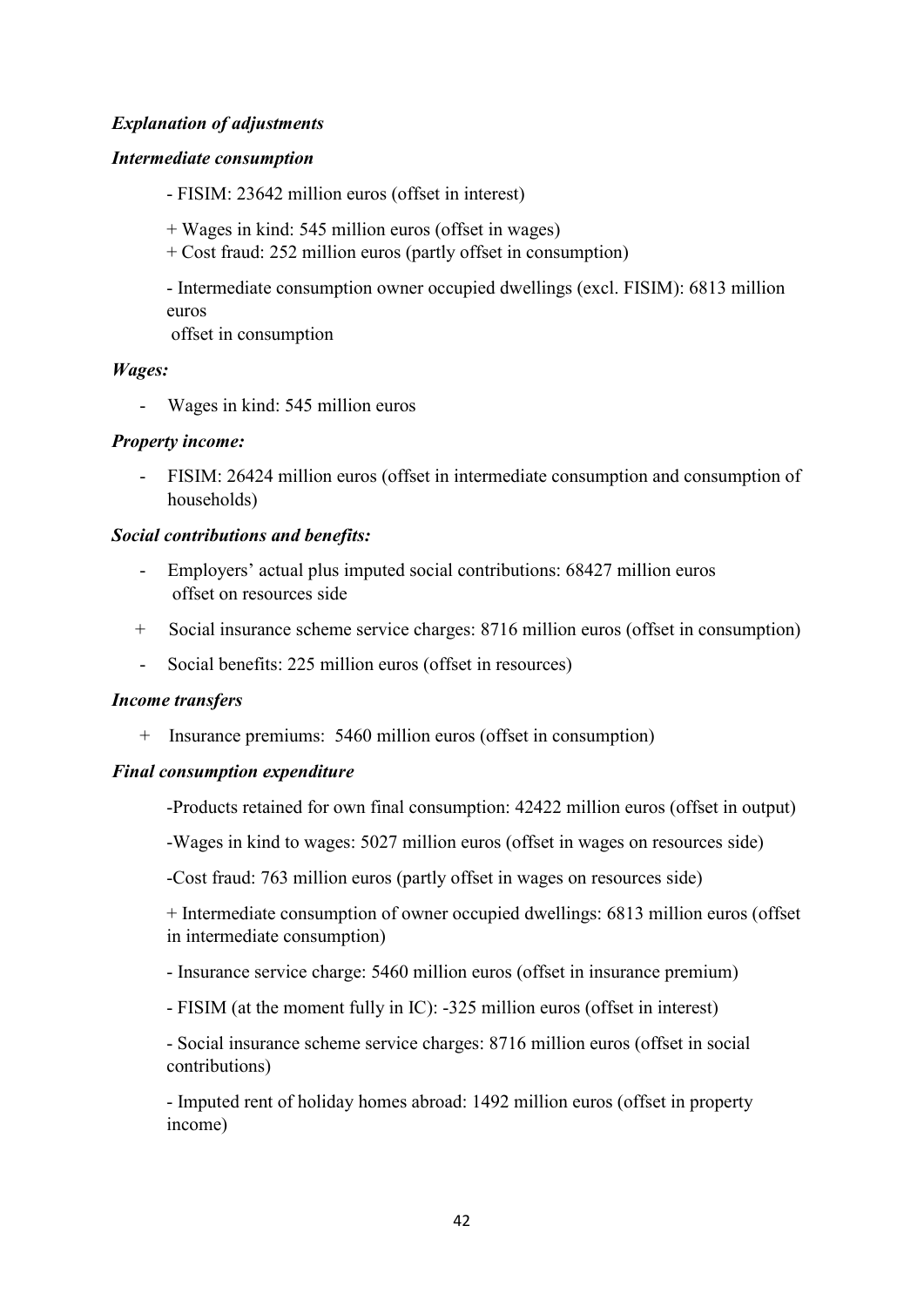# *Explanation of adjustments*

## *Intermediate consumption*

- FISIM: 23642 million euros (offset in interest)

- + Wages in kind: 545 million euros (offset in wages)
- + Cost fraud: 252 million euros (partly offset in consumption)

- Intermediate consumption owner occupied dwellings (excl. FISIM): 6813 million euros

offset in consumption

#### *Wages:*

- Wages in kind: 545 million euros

#### *Property income:*

- FISIM: 26424 million euros (offset in intermediate consumption and consumption of households)

#### *Social contributions and benefits:*

- Employers' actual plus imputed social contributions: 68427 million euros offset on resources side
- + Social insurance scheme service charges: 8716 million euros (offset in consumption)
- Social benefits: 225 million euros (offset in resources)

#### *Income transfers*

+ Insurance premiums:5460 million euros (offset in consumption)

#### *Final consumption expenditure*

-Products retained for own final consumption: 42422 million euros (offset in output)

-Wages in kind to wages: 5027 million euros (offset in wages on resources side)

-Cost fraud: 763 million euros (partly offset in wages on resources side)

+ Intermediate consumption of owner occupied dwellings: 6813 million euros (offset in intermediate consumption)

- Insurance service charge: 5460 million euros (offset in insurance premium)

- FISIM (at the moment fully in IC): -325 million euros (offset in interest)

- Social insurance scheme service charges: 8716 million euros (offset in social contributions)

- Imputed rent of holiday homes abroad: 1492 million euros (offset in property income)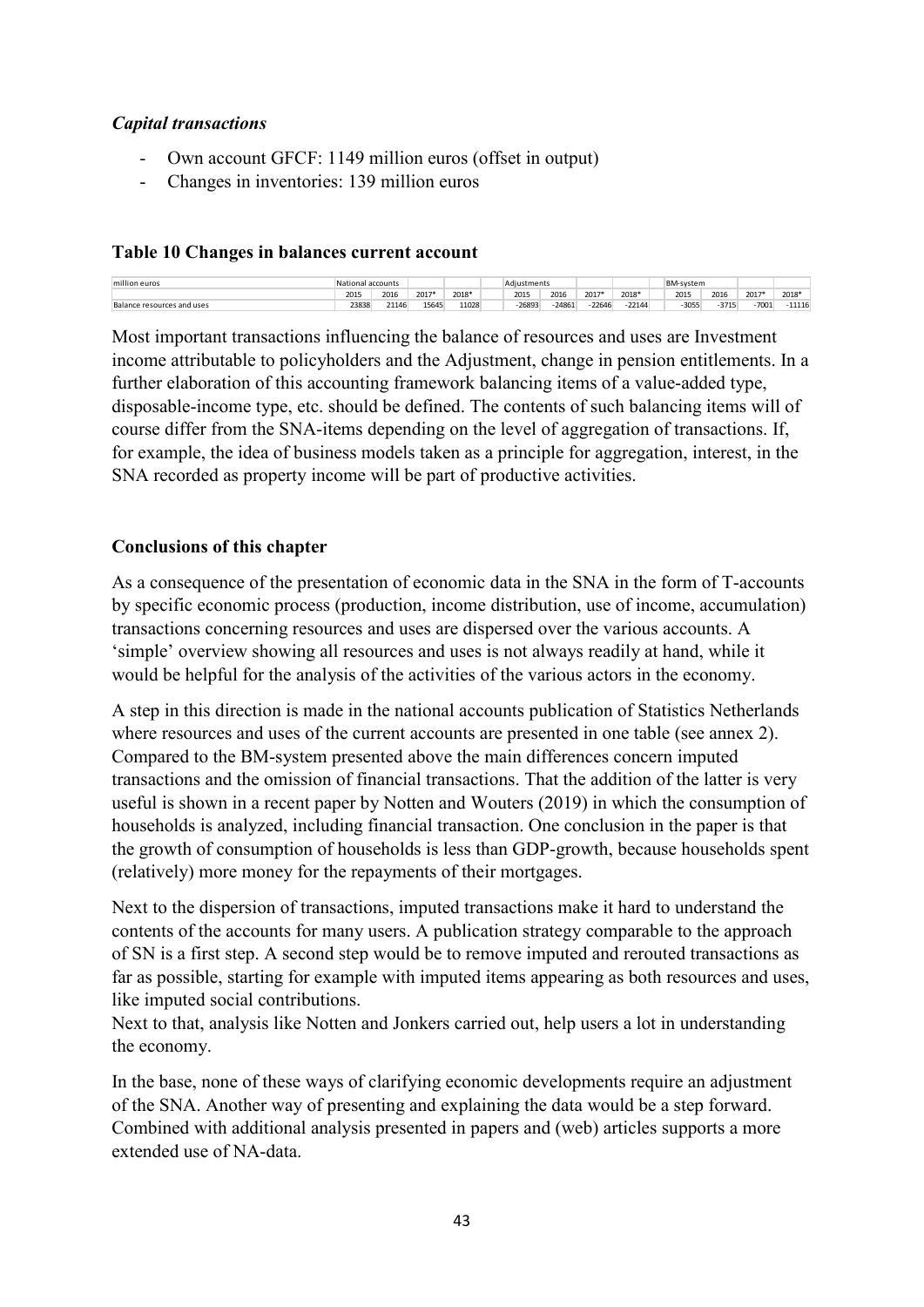# *Capital transactions*

- Own account GFCF: 1149 million euros (offset in output)
- Changes in inventories: 139 million euros

## **Table 10 Changes in balances current account**

| million euros              |       | tional accounts: |       |       | Adiustments |       |          |          | BM-system |                  |      |       |
|----------------------------|-------|------------------|-------|-------|-------------|-------|----------|----------|-----------|------------------|------|-------|
|                            | 2015  | 2016             | 2017* | 2018* | 2015        | 2016  | 2017*    | 2018*    | 2015      | 2016             | 2017 | 2018* |
| Balance resources and uses | 23838 | 21146            | 15645 | 11028 | 26893       | 24861 | $-22646$ | $-22144$ |           | $-3715$<br>-3055 | 7001 | 11116 |

Most important transactions influencing the balance of resources and uses are Investment income attributable to policyholders and the Adjustment, change in pension entitlements. In a further elaboration of this accounting framework balancing items of a value-added type, disposable-income type, etc. should be defined. The contents of such balancing items will of course differ from the SNA-items depending on the level of aggregation of transactions. If, for example, the idea of business models taken as a principle for aggregation, interest, in the SNA recorded as property income will be part of productive activities.

# **Conclusions of this chapter**

As a consequence of the presentation of economic data in the SNA in the form of T-accounts by specific economic process (production, income distribution, use of income, accumulation) transactions concerning resources and uses are dispersed over the various accounts. A 'simple' overview showing all resources and uses is not always readily at hand, while it would be helpful for the analysis of the activities of the various actors in the economy.

A step in this direction is made in the national accounts publication of Statistics Netherlands where resources and uses of the current accounts are presented in one table (see annex 2). Compared to the BM-system presented above the main differences concern imputed transactions and the omission of financial transactions. That the addition of the latter is very useful is shown in a recent paper by Notten and Wouters (2019) in which the consumption of households is analyzed, including financial transaction. One conclusion in the paper is that the growth of consumption of households is less than GDP-growth, because households spent (relatively) more money for the repayments of their mortgages.

Next to the dispersion of transactions, imputed transactions make it hard to understand the contents of the accounts for many users. A publication strategy comparable to the approach of SN is a first step. A second step would be to remove imputed and rerouted transactions as far as possible, starting for example with imputed items appearing as both resources and uses, like imputed social contributions.

Next to that, analysis like Notten and Jonkers carried out, help users a lot in understanding the economy.

In the base, none of these ways of clarifying economic developments require an adjustment of the SNA. Another way of presenting and explaining the data would be a step forward. Combined with additional analysis presented in papers and (web) articles supports a more extended use of NA-data.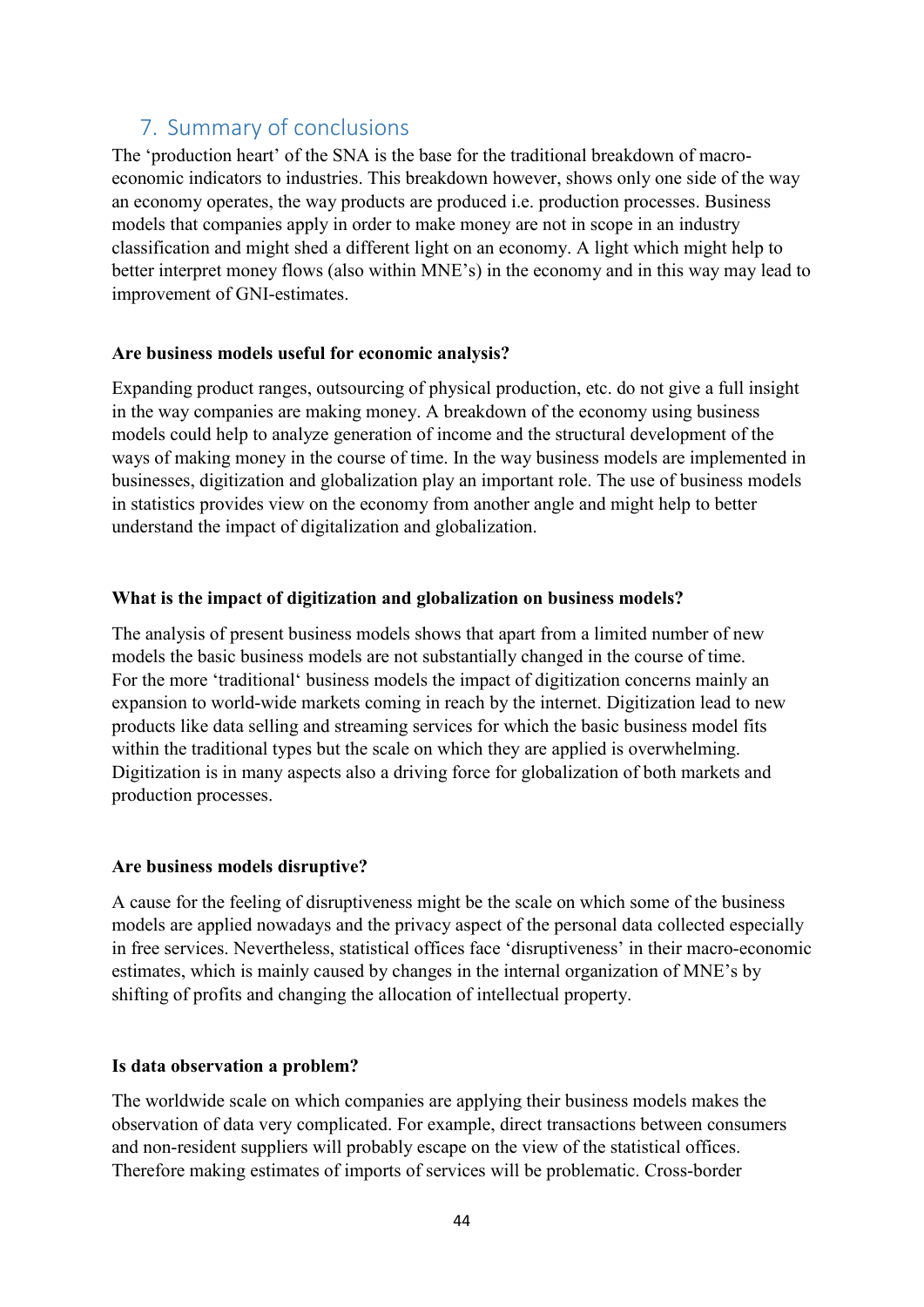# <span id="page-43-0"></span>7. Summary of conclusions

The 'production heart' of the SNA is the base for the traditional breakdown of macroeconomic indicators to industries. This breakdown however, shows only one side of the way an economy operates, the way products are produced i.e. production processes. Business models that companies apply in order to make money are not in scope in an industry classification and might shed a different light on an economy. A light which might help to better interpret money flows (also within MNE's) in the economy and in this way may lead to improvement of GNI-estimates.

#### **Are business models useful for economic analysis?**

Expanding product ranges, outsourcing of physical production, etc. do not give a full insight in the way companies are making money. A breakdown of the economy using business models could help to analyze generation of income and the structural development of the ways of making money in the course of time. In the way business models are implemented in businesses, digitization and globalization play an important role. The use of business models in statistics provides view on the economy from another angle and might help to better understand the impact of digitalization and globalization.

# **What is the impact of digitization and globalization on business models?**

The analysis of present business models shows that apart from a limited number of new models the basic business models are not substantially changed in the course of time. For the more 'traditional' business models the impact of digitization concerns mainly an expansion to world-wide markets coming in reach by the internet. Digitization lead to new products like data selling and streaming services for which the basic business model fits within the traditional types but the scale on which they are applied is overwhelming. Digitization is in many aspects also a driving force for globalization of both markets and production processes.

# **Are business models disruptive?**

A cause for the feeling of disruptiveness might be the scale on which some of the business models are applied nowadays and the privacy aspect of the personal data collected especially in free services. Nevertheless, statistical offices face 'disruptiveness' in their macro-economic estimates, which is mainly caused by changes in the internal organization of MNE's by shifting of profits and changing the allocation of intellectual property.

# **Is data observation a problem?**

The worldwide scale on which companies are applying their business models makes the observation of data very complicated. For example, direct transactions between consumers and non-resident suppliers will probably escape on the view of the statistical offices. Therefore making estimates of imports of services will be problematic. Cross-border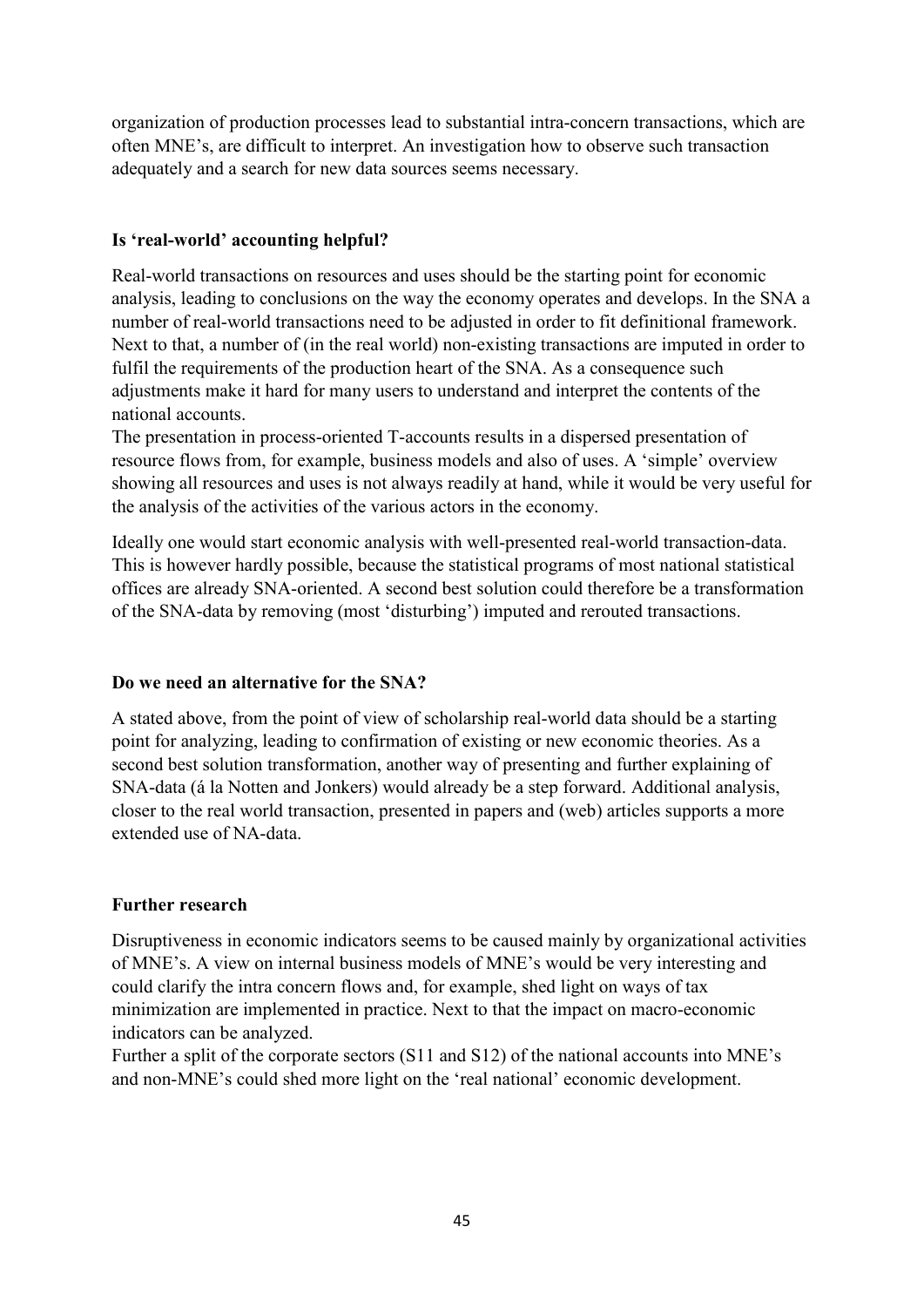organization of production processes lead to substantial intra-concern transactions, which are often MNE's, are difficult to interpret. An investigation how to observe such transaction adequately and a search for new data sources seems necessary.

# **Is 'real-world' accounting helpful?**

Real-world transactions on resources and uses should be the starting point for economic analysis, leading to conclusions on the way the economy operates and develops. In the SNA a number of real-world transactions need to be adjusted in order to fit definitional framework. Next to that, a number of (in the real world) non-existing transactions are imputed in order to fulfil the requirements of the production heart of the SNA. As a consequence such adjustments make it hard for many users to understand and interpret the contents of the national accounts.

The presentation in process-oriented T-accounts results in a dispersed presentation of resource flows from, for example, business models and also of uses. A 'simple' overview showing all resources and uses is not always readily at hand, while it would be very useful for the analysis of the activities of the various actors in the economy.

Ideally one would start economic analysis with well-presented real-world transaction-data. This is however hardly possible, because the statistical programs of most national statistical offices are already SNA-oriented. A second best solution could therefore be a transformation of the SNA-data by removing (most 'disturbing') imputed and rerouted transactions.

# **Do we need an alternative for the SNA?**

A stated above, from the point of view of scholarship real-world data should be a starting point for analyzing, leading to confirmation of existing or new economic theories. As a second best solution transformation, another way of presenting and further explaining of SNA-data (á la Notten and Jonkers) would already be a step forward. Additional analysis, closer to the real world transaction, presented in papers and (web) articles supports a more extended use of NA-data.

# **Further research**

Disruptiveness in economic indicators seems to be caused mainly by organizational activities of MNE's. A view on internal business models of MNE's would be very interesting and could clarify the intra concern flows and, for example, shed light on ways of tax minimization are implemented in practice. Next to that the impact on macro-economic indicators can be analyzed.

Further a split of the corporate sectors (S11 and S12) of the national accounts into MNE's and non-MNE's could shed more light on the 'real national' economic development.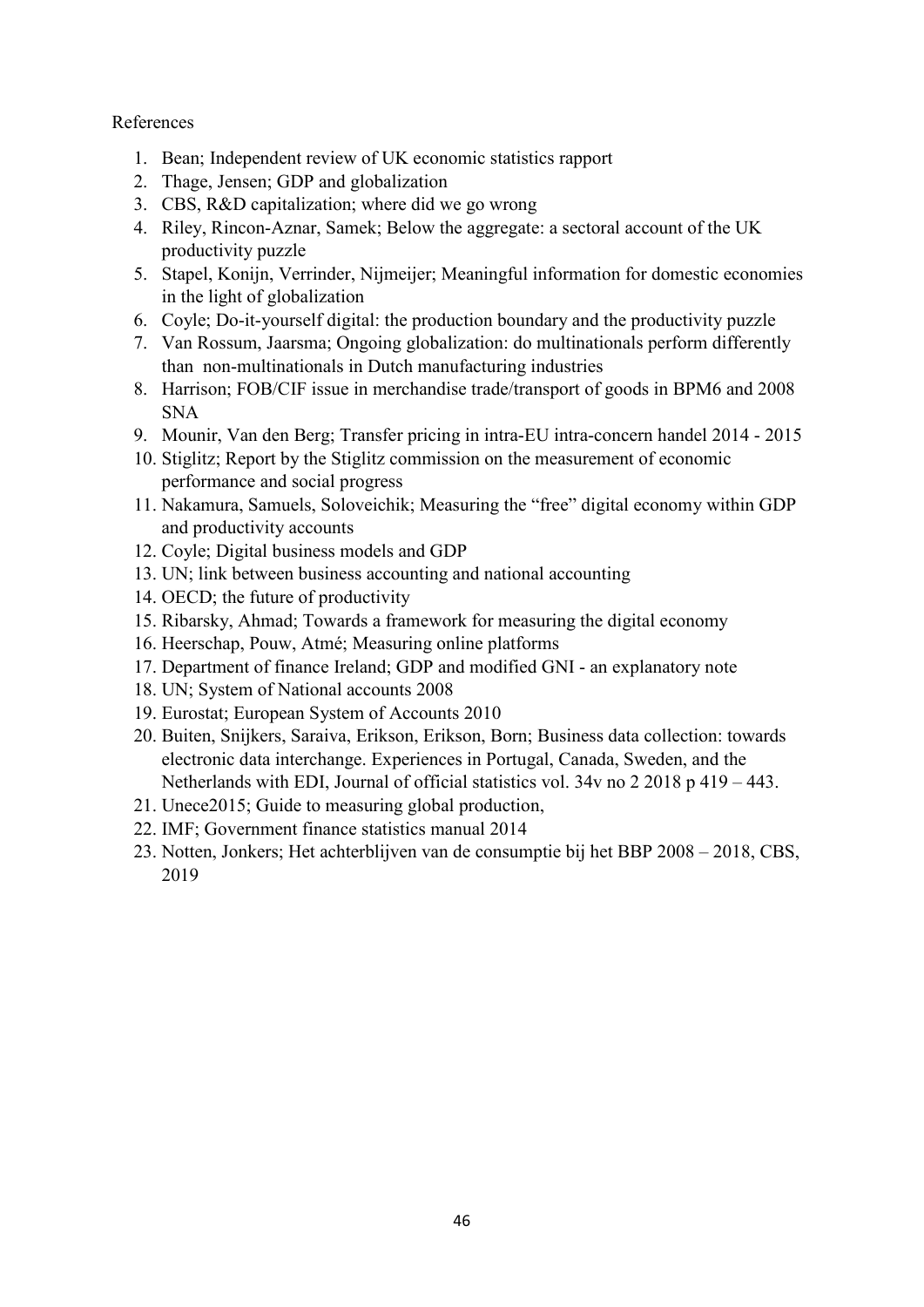# References

- 1. Bean; Independent review of UK economic statistics rapport
- 2. Thage, Jensen; GDP and globalization
- 3. CBS, R&D capitalization; where did we go wrong
- 4. Riley, Rincon-Aznar, Samek; Below the aggregate: a sectoral account of the UK productivity puzzle
- 5. Stapel, Konijn, Verrinder, Nijmeijer; Meaningful information for domestic economies in the light of globalization
- 6. Coyle; Do-it-yourself digital: the production boundary and the productivity puzzle
- 7. Van Rossum, Jaarsma; Ongoing globalization: do multinationals perform differently than non-multinationals in Dutch manufacturing industries
- 8. Harrison; FOB/CIF issue in merchandise trade/transport of goods in BPM6 and 2008 SNA
- 9. Mounir, Van den Berg; Transfer pricing in intra-EU intra-concern handel 2014 2015
- 10. Stiglitz; Report by the Stiglitz commission on the measurement of economic performance and social progress
- 11. Nakamura, Samuels, Soloveichik; Measuring the "free" digital economy within GDP and productivity accounts
- 12. Coyle; Digital business models and GDP
- 13. UN; link between business accounting and national accounting
- 14. OECD; the future of productivity
- 15. Ribarsky, Ahmad; Towards a framework for measuring the digital economy
- 16. Heerschap, Pouw, Atmé; Measuring online platforms
- 17. Department of finance Ireland; GDP and modified GNI an explanatory note
- 18. UN; System of National accounts 2008
- 19. Eurostat; European System of Accounts 2010
- 20. Buiten, Snijkers, Saraiva, Erikson, Erikson, Born; Business data collection: towards electronic data interchange. Experiences in Portugal, Canada, Sweden, and the Netherlands with EDI, Journal of official statistics vol. 34v no 2 2018 p 419 – 443.
- 21. Unece2015; Guide to measuring global production,
- 22. IMF; Government finance statistics manual 2014
- 23. Notten, Jonkers; Het achterblijven van de consumptie bij het BBP 2008 2018, CBS, 2019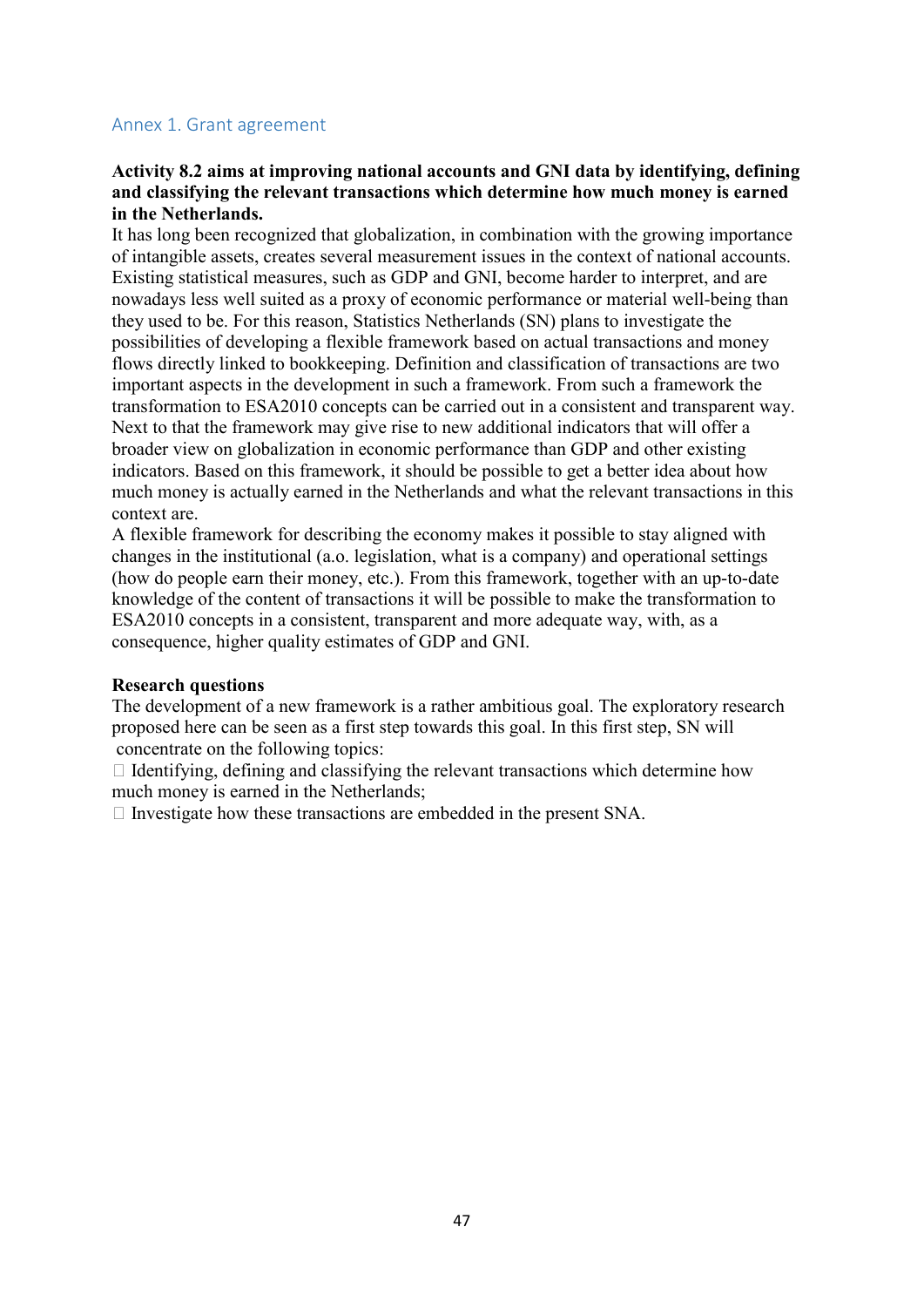#### <span id="page-46-0"></span>Annex 1. Grant agreement

## **Activity 8.2 aims at improving national accounts and GNI data by identifying, defining and classifying the relevant transactions which determine how much money is earned in the Netherlands.**

It has long been recognized that globalization, in combination with the growing importance of intangible assets, creates several measurement issues in the context of national accounts. Existing statistical measures, such as GDP and GNI, become harder to interpret, and are nowadays less well suited as a proxy of economic performance or material well-being than they used to be. For this reason, Statistics Netherlands (SN) plans to investigate the possibilities of developing a flexible framework based on actual transactions and money flows directly linked to bookkeeping. Definition and classification of transactions are two important aspects in the development in such a framework. From such a framework the transformation to ESA2010 concepts can be carried out in a consistent and transparent way. Next to that the framework may give rise to new additional indicators that will offer a broader view on globalization in economic performance than GDP and other existing indicators. Based on this framework, it should be possible to get a better idea about how much money is actually earned in the Netherlands and what the relevant transactions in this context are.

A flexible framework for describing the economy makes it possible to stay aligned with changes in the institutional (a.o. legislation, what is a company) and operational settings (how do people earn their money, etc.). From this framework, together with an up-to-date knowledge of the content of transactions it will be possible to make the transformation to ESA2010 concepts in a consistent, transparent and more adequate way, with, as a consequence, higher quality estimates of GDP and GNI.

#### **Research questions**

The development of a new framework is a rather ambitious goal. The exploratory research proposed here can be seen as a first step towards this goal. In this first step, SN will concentrate on the following topics:

 $\Box$  Identifying, defining and classifying the relevant transactions which determine how much money is earned in the Netherlands;

 $\Box$  Investigate how these transactions are embedded in the present SNA.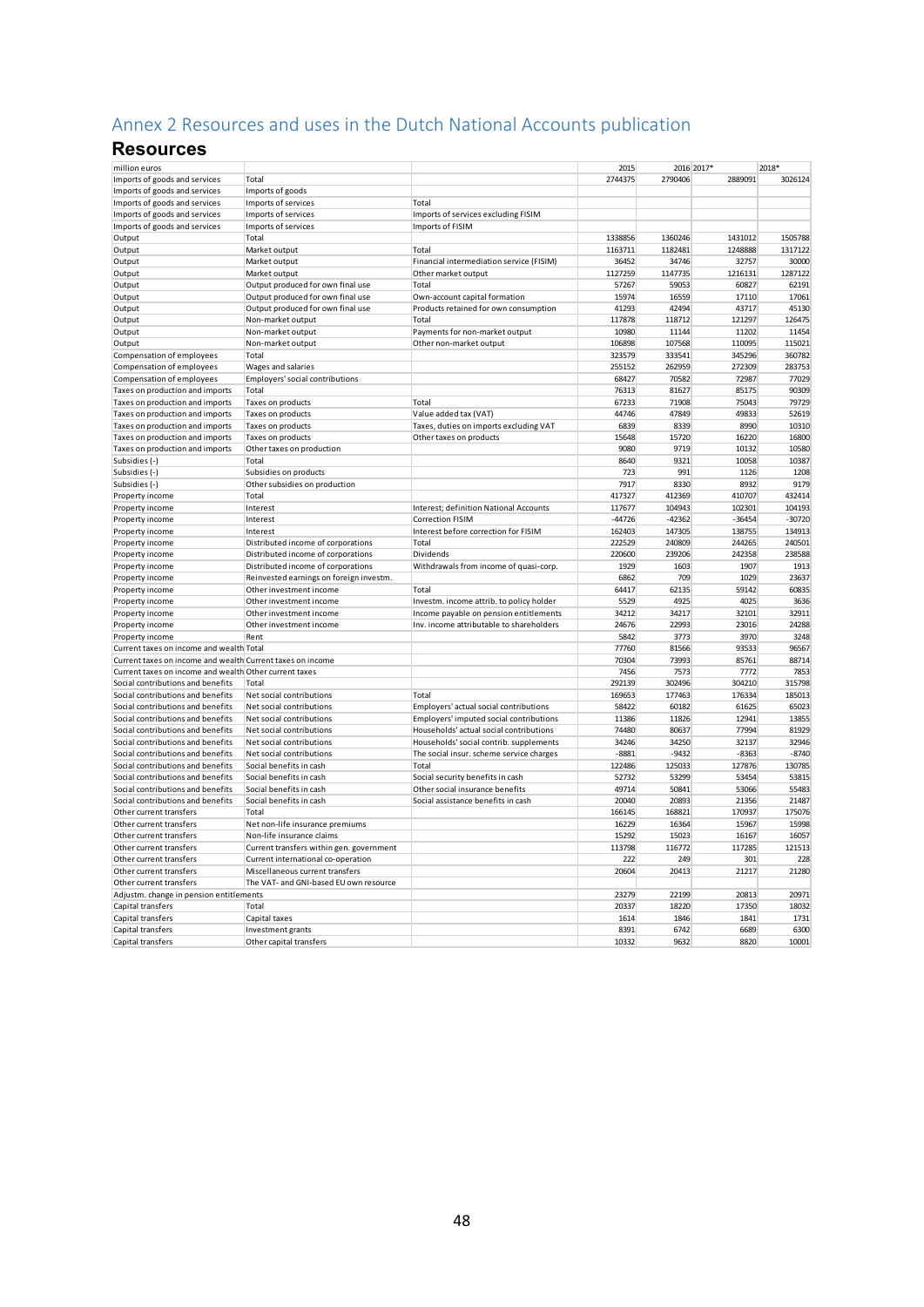# <span id="page-47-0"></span>Annex 2 Resources and uses in the Dutch National Accounts publication

# **Resources**

| million euros                                                          |                                                      |                                                                                     | 2015             |                  | 2016 2017*       | 2018*            |
|------------------------------------------------------------------------|------------------------------------------------------|-------------------------------------------------------------------------------------|------------------|------------------|------------------|------------------|
| Imports of goods and services                                          | Total                                                |                                                                                     | 2744375          | 2790406          | 2889091          | 3026124          |
| Imports of goods and services                                          | Imports of goods                                     |                                                                                     |                  |                  |                  |                  |
| Imports of goods and services                                          | Imports of services                                  | Total                                                                               |                  |                  |                  |                  |
| Imports of goods and services                                          | Imports of services                                  | Imports of services excluding FISIM                                                 |                  |                  |                  |                  |
| Imports of goods and services                                          | Imports of services                                  | Imports of FISIM                                                                    |                  |                  |                  |                  |
| Output                                                                 | Total                                                |                                                                                     | 1338856          | 1360246          | 1431012          | 1505788          |
| Output                                                                 | Market output                                        | Total                                                                               | 1163711          | 1182481          | 1248888          | 1317122          |
| Output                                                                 | Market output                                        | Financial intermediation service (FISIM)                                            | 36452            | 34746            | 32757            | 30000            |
| Output                                                                 | Market output                                        | Other market output                                                                 | 1127259          | 1147735          | 1216131          | 1287122          |
| Output                                                                 | Output produced for own final use                    | Total                                                                               | 57267            | 59053            | 60827            | 62191            |
| Output                                                                 | Output produced for own final use                    | Own-account capital formation                                                       | 15974            | 16559            | 17110            | 17061            |
| Output                                                                 | Output produced for own final use                    | Products retained for own consumption                                               | 41293            | 42494            | 43717            | 45130            |
| Output                                                                 | Non-market output                                    | Total                                                                               | 117878           | 118712           | 121297           | 126475           |
| Output                                                                 | Non-market output                                    | Payments for non-market output                                                      | 10980            | 11144            | 11202            | 11454            |
| Output                                                                 | Non-market output                                    | Other non-market output                                                             | 106898           | 107568           | 110095           | 115021           |
| Compensation of employees                                              | Total                                                |                                                                                     | 323579           | 333541           | 345296           | 360782           |
| Compensation of employees                                              | Wages and salaries                                   |                                                                                     | 255152           | 262959           | 272309           | 283753           |
| Compensation of employees                                              | Employers' social contributions                      |                                                                                     | 68427            | 70582            | 72987            | 77029            |
| Taxes on production and imports                                        | Total                                                |                                                                                     | 76313            | 81627            | 85175            | 90309            |
| Taxes on production and imports                                        | Taxes on products                                    | Total                                                                               | 67233            | 71908            | 75043            | 79729            |
| Taxes on production and imports                                        | Taxes on products                                    | Value added tax (VAT)                                                               | 44746            | 47849            | 49833            | 52619            |
| Taxes on production and imports                                        | Taxes on products                                    | Taxes, duties on imports excluding VAT                                              | 6839             | 8339             | 8990             | 10310            |
| Taxes on production and imports                                        | Taxes on products                                    | Other taxes on products                                                             | 15648            | 15720            | 16220            | 16800            |
| Taxes on production and imports                                        | Other taxes on production                            |                                                                                     | 9080             | 9719             | 10132            | 10580            |
| Subsidies (-)                                                          | Total                                                |                                                                                     | 8640             | 9321             | 10058            | 10387            |
| Subsidies (-)                                                          | Subsidies on products                                |                                                                                     | 723              | 991              | 1126             | 1208             |
| Subsidies (-)                                                          | Other subsidies on production                        |                                                                                     | 7917             | 8330             | 8932             | 9179             |
| Property income                                                        | Total                                                |                                                                                     | 417327           | 412369           | 410707           | 432414           |
| Property income                                                        | Interest                                             | Interest; definition National Accounts                                              | 117677           | 104943           | 102301           | 104193           |
| Property income                                                        | Interest                                             | <b>Correction FISIM</b>                                                             | $-44726$         | $-42362$         | $-36454$         | $-30720$         |
| Property income                                                        | Interest                                             | Interest before correction for FISIM                                                | 162403           | 147305           | 138755           | 134913           |
| Property income                                                        | Distributed income of corporations                   | Total                                                                               | 222529           | 240809           | 244265           | 240501           |
| Property income                                                        | Distributed income of corporations                   | Dividends                                                                           | 220600           | 239206           | 242358           | 238588           |
| Property income                                                        | Distributed income of corporations                   | Withdrawals from income of quasi-corp.                                              | 1929             | 1603             | 1907             | 1913             |
| Property income                                                        | Reinvested earnings on foreign investm.              |                                                                                     | 6862             | 709              | 1029             | 23637            |
| Property income                                                        | Other investment income                              | Total                                                                               | 64417            | 62135            | 59142            | 60835            |
| Property income                                                        | Other investment income                              | Investm. income attrib. to policy holder                                            | 5529             | 4925             | 4025             | 3636             |
| Property income                                                        | Other investment income                              | Income payable on pension entitlements                                              | 34212            | 34217            | 32101            | 32911            |
| Property income                                                        | Other investment income                              | Inv. income attributable to shareholders                                            | 24676            | 22993            | 23016            | 24288            |
| Property income                                                        | Rent                                                 |                                                                                     | 5842             | 3773             | 3970             | 3248             |
| Current taxes on income and wealth Total                               |                                                      |                                                                                     | 77760            | 81566            | 93533            | 96567            |
| Current taxes on income and wealth Current taxes on income             |                                                      |                                                                                     | 70304            | 73993            | 85761            | 88714            |
| Current taxes on income and wealth Other current taxes                 | Total                                                |                                                                                     | 7456             | 7573             | 7772             | 7853             |
| Social contributions and benefits                                      |                                                      | Total                                                                               | 292139<br>169653 | 302496<br>177463 | 304210<br>176334 | 315798<br>185013 |
| Social contributions and benefits                                      | Net social contributions                             | Employers' actual social contributions                                              | 58422            | 60182            | 61625            | 65023            |
| Social contributions and benefits<br>Social contributions and benefits | Net social contributions<br>Net social contributions |                                                                                     | 11386            | 11826            | 12941            | 13855            |
| Social contributions and benefits                                      | Net social contributions                             | Employers' imputed social contributions<br>Households' actual social contributions  | 74480            | 80637            | 77994            | 81929            |
|                                                                        |                                                      |                                                                                     |                  |                  |                  | 32946            |
| Social contributions and benefits<br>Social contributions and benefits | Net social contributions<br>Net social contributions | Households' social contrib. supplements<br>The social insur. scheme service charges | 34246<br>$-8881$ | 34250<br>$-9432$ | 32137<br>$-8363$ | $-8740$          |
| Social contributions and benefits                                      | Social benefits in cash                              | Total                                                                               | 122486           | 125033           | 127876           | 130785           |
| Social contributions and benefits                                      | Social benefits in cash                              | Social security benefits in cash                                                    | 52732            | 53299            | 53454            | 53815            |
| Social contributions and benefits                                      | Social benefits in cash                              | Other social insurance benefits                                                     | 49714            | 50841            | 53066            | 55483            |
| Social contributions and benefits                                      | Social benefits in cash                              | Social assistance benefits in cash                                                  | 20040            | 20893            | 21356            | 21487            |
| Other current transfers                                                | Total                                                |                                                                                     | 166145           | 168821           | 170937           | 175076           |
| Other current transfers                                                | Net non-life insurance premiums                      |                                                                                     | 16229            | 16364            | 15967            | 15998            |
| Other current transfers                                                | Non-life insurance claims                            |                                                                                     | 15292            | 15023            | 16167            | 16057            |
| Other current transfers                                                | Current transfers within gen. government             |                                                                                     | 113798           | 116772           | 117285           | 121513           |
| Other current transfers                                                | Current international co-operation                   |                                                                                     | 222              | 249              | 301              | 228              |
| Other current transfers                                                | Miscellaneous current transfers                      |                                                                                     | 20604            | 20413            | 21217            | 21280            |
| Other current transfers                                                | The VAT- and GNI-based EU own resource               |                                                                                     |                  |                  |                  |                  |
| Adjustm. change in pension entitlements                                |                                                      |                                                                                     | 23279            | 22199            | 20813            | 20971            |
| Capital transfers                                                      | Total                                                |                                                                                     | 20337            | 18220            | 17350            | 18032            |
| Capital transfers                                                      | Capital taxes                                        |                                                                                     | 1614             | 1846             | 1841             | 1731             |
| Capital transfers                                                      | Investment grants                                    |                                                                                     | 8391             | 6742             | 6689             | 6300             |
| Capital transfers                                                      | Other capital transfers                              |                                                                                     | 10332            | 9632             | 8820             | 10001            |
|                                                                        |                                                      |                                                                                     |                  |                  |                  |                  |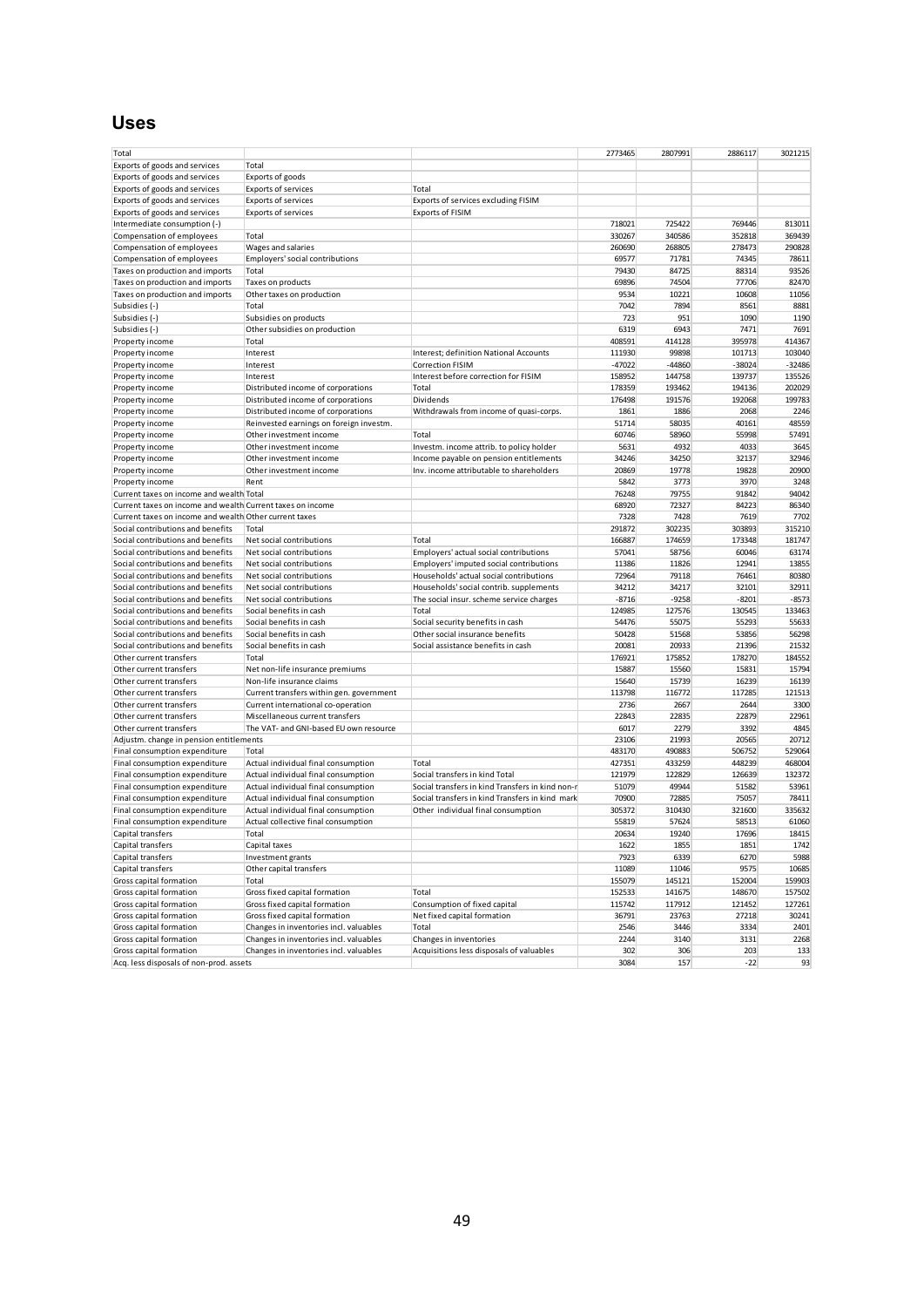# **Uses**

| Total                                                      |                                          |                                                  | 2773465  | 2807991  | 2886117  | 3021215  |
|------------------------------------------------------------|------------------------------------------|--------------------------------------------------|----------|----------|----------|----------|
| Exports of goods and services                              | Total                                    |                                                  |          |          |          |          |
| Exports of goods and services                              | Exports of goods                         |                                                  |          |          |          |          |
| Exports of goods and services                              | <b>Exports of services</b>               | Total                                            |          |          |          |          |
| Exports of goods and services                              | <b>Exports of services</b>               | Exports of services excluding FISIM              |          |          |          |          |
| Exports of goods and services                              | <b>Exports of services</b>               | <b>Exports of FISIM</b>                          |          |          |          |          |
| Intermediate consumption (-)                               |                                          |                                                  | 718021   | 725422   | 769446   | 813011   |
| Compensation of employees                                  | Total                                    |                                                  | 330267   | 340586   | 352818   | 369439   |
| Compensation of employees                                  | Wages and salaries                       |                                                  | 260690   | 268805   | 278473   | 290828   |
| Compensation of employees                                  | Employers' social contributions          |                                                  | 69577    | 71781    | 74345    | 78611    |
| Taxes on production and imports                            | Total                                    |                                                  | 79430    | 84725    | 88314    | 93526    |
| Taxes on production and imports                            | Taxes on products                        |                                                  | 69896    | 74504    | 77706    | 82470    |
| Taxes on production and imports                            | Other taxes on production                |                                                  | 9534     | 10221    | 10608    | 11056    |
| Subsidies (-)                                              | Total                                    |                                                  | 7042     | 7894     | 8561     | 8881     |
| Subsidies (-)                                              | Subsidies on products                    |                                                  | 723      | 951      | 1090     | 1190     |
| Subsidies (-)                                              | Other subsidies on production            |                                                  | 6319     | 6943     | 7471     | 7691     |
| Property income                                            | Total                                    |                                                  | 408591   | 414128   | 395978   | 414367   |
| Property income                                            | Interest                                 | Interest; definition National Accounts           | 111930   | 99898    | 101713   | 103040   |
| Property income                                            | Interest                                 | <b>Correction FISIM</b>                          | $-47022$ | $-44860$ | $-38024$ | $-32486$ |
| Property income                                            | Interest                                 | Interest before correction for FISIM             | 158952   | 144758   | 139737   | 135526   |
| Property income                                            | Distributed income of corporations       | Total                                            | 178359   | 193462   | 194136   | 202029   |
| Property income                                            | Distributed income of corporations       | Dividends                                        | 176498   | 191576   | 192068   | 199783   |
| Property income                                            | Distributed income of corporations       | Withdrawals from income of quasi-corps.          | 1861     | 1886     | 2068     | 2246     |
| Property income                                            | Reinvested earnings on foreign investm.  |                                                  | 51714    | 58035    | 40161    | 48559    |
| Property income                                            | Other investment income                  | Total                                            | 60746    | 58960    | 55998    | 57491    |
| Property income                                            | Other investment income                  | Investm. income attrib. to policy holder         | 5631     | 4932     | 4033     | 3645     |
| Property income                                            | Other investment income                  | Income payable on pension entitlements           | 34246    | 34250    | 32137    | 32946    |
| Property income                                            | Other investment income                  | Inv. income attributable to shareholders         | 20869    | 19778    | 19828    | 20900    |
| Property income                                            | Rent                                     |                                                  | 5842     | 3773     | 3970     | 3248     |
| Current taxes on income and wealth Total                   |                                          |                                                  | 76248    | 79755    | 91842    | 94042    |
| Current taxes on income and wealth Current taxes on income |                                          |                                                  | 68920    | 72327    | 84223    | 86340    |
| Current taxes on income and wealth Other current taxes     |                                          |                                                  | 7328     | 7428     | 7619     | 7702     |
| Social contributions and benefits                          | Total                                    |                                                  | 291872   | 302235   | 303893   | 315210   |
| Social contributions and benefits                          | Net social contributions                 | Total                                            | 166887   | 174659   | 173348   | 181747   |
| Social contributions and benefits                          | Net social contributions                 | Employers' actual social contributions           | 57041    | 58756    | 60046    | 63174    |
| Social contributions and benefits                          | Net social contributions                 | Employers' imputed social contributions          | 11386    | 11826    | 12941    | 13855    |
| Social contributions and benefits                          | Net social contributions                 | Households' actual social contributions          | 72964    | 79118    | 76461    | 80380    |
| Social contributions and benefits                          | Net social contributions                 | Households' social contrib. supplements          | 34212    | 34217    | 32101    | 32911    |
| Social contributions and benefits                          | Net social contributions                 | The social insur. scheme service charges         | $-8716$  | $-9258$  | $-8201$  | $-8573$  |
| Social contributions and benefits                          | Social benefits in cash                  | Total                                            | 124985   | 127576   | 130545   | 133463   |
| Social contributions and benefits                          | Social benefits in cash                  | Social security benefits in cash                 | 54476    | 55075    | 55293    | 55633    |
| Social contributions and benefits                          | Social benefits in cash                  | Other social insurance benefits                  | 50428    | 51568    | 53856    | 56298    |
| Social contributions and benefits                          | Social benefits in cash                  | Social assistance benefits in cash               | 20081    | 20933    | 21396    | 21532    |
| Other current transfers                                    | Total                                    |                                                  | 176921   | 175852   | 178270   | 184552   |
| Other current transfers                                    | Net non-life insurance premiums          |                                                  | 15887    | 15560    | 15831    | 15794    |
| Other current transfers                                    | Non-life insurance claims                |                                                  | 15640    | 15739    | 16239    | 16139    |
| Other current transfers                                    | Current transfers within gen. government |                                                  | 113798   | 116772   | 117285   | 121513   |
| Other current transfers                                    | Current international co-operation       |                                                  | 2736     | 2667     | 2644     | 3300     |
| Other current transfers                                    | Miscellaneous current transfers          |                                                  | 22843    | 22835    | 22879    | 22961    |
| Other current transfers                                    | The VAT- and GNI-based EU own resource   |                                                  | 6017     | 2279     | 3392     | 4845     |
| Adjustm. change in pension entitlements                    |                                          |                                                  | 23106    | 21993    | 20565    | 20712    |
| Final consumption expenditure                              | Total                                    |                                                  | 483170   | 490883   | 506752   | 529064   |
| Final consumption expenditure                              | Actual individual final consumption      | Total                                            | 427351   | 433259   | 448239   | 468004   |
| Final consumption expenditure                              | Actual individual final consumption      | Social transfers in kind Total                   | 121979   | 122829   | 126639   | 132372   |
| Final consumption expenditure                              | Actual individual final consumption      | Social transfers in kind Transfers in kind non-r | 51079    | 49944    | 51582    | 53961    |
| Final consumption expenditure                              | Actual individual final consumption      | Social transfers in kind Transfers in kind mark  | 70900    | 72885    | 75057    | 78411    |
| Final consumption expenditure                              | Actual individual final consumption      | Other individual final consumption               | 305372   | 310430   | 321600   | 335632   |
| Final consumption expenditure                              | Actual collective final consumption      |                                                  | 55819    | 57624    | 58513    | 61060    |
| Capital transfers                                          | Total                                    |                                                  | 20634    | 19240    | 17696    | 18415    |
| Capital transfers                                          | Capital taxes                            |                                                  | 1622     | 1855     | 1851     | 1742     |
| Capital transfers                                          | Investment grants                        |                                                  | 7923     | 6339     | 6270     | 5988     |
| Capital transfers                                          | Other capital transfers                  |                                                  | 11089    | 11046    | 9575     | 10685    |
| Gross capital formation                                    | Total                                    |                                                  | 155079   | 145121   | 152004   | 159903   |
| Gross capital formation                                    | Gross fixed capital formation            | Total                                            | 152533   | 141675   | 148670   | 157502   |
| Gross capital formation                                    | Gross fixed capital formation            | Consumption of fixed capital                     | 115742   | 117912   | 121452   | 127261   |
| Gross capital formation                                    | Gross fixed capital formation            | Net fixed capital formation                      | 36791    | 23763    | 27218    | 30241    |
| Gross capital formation                                    | Changes in inventories incl. valuables   | Total                                            | 2546     | 3446     | 3334     | 2401     |
| Gross capital formation                                    | Changes in inventories incl. valuables   | Changes in inventories                           | 2244     | 3140     | 3131     | 2268     |
| Gross capital formation                                    | Changes in inventories incl. valuables   | Acquisitions less disposals of valuables         | 302      | 306      | 203      | 133      |
| Acq. less disposals of non-prod. assets                    |                                          |                                                  | 3084     | 157      | $-22$    | 93       |